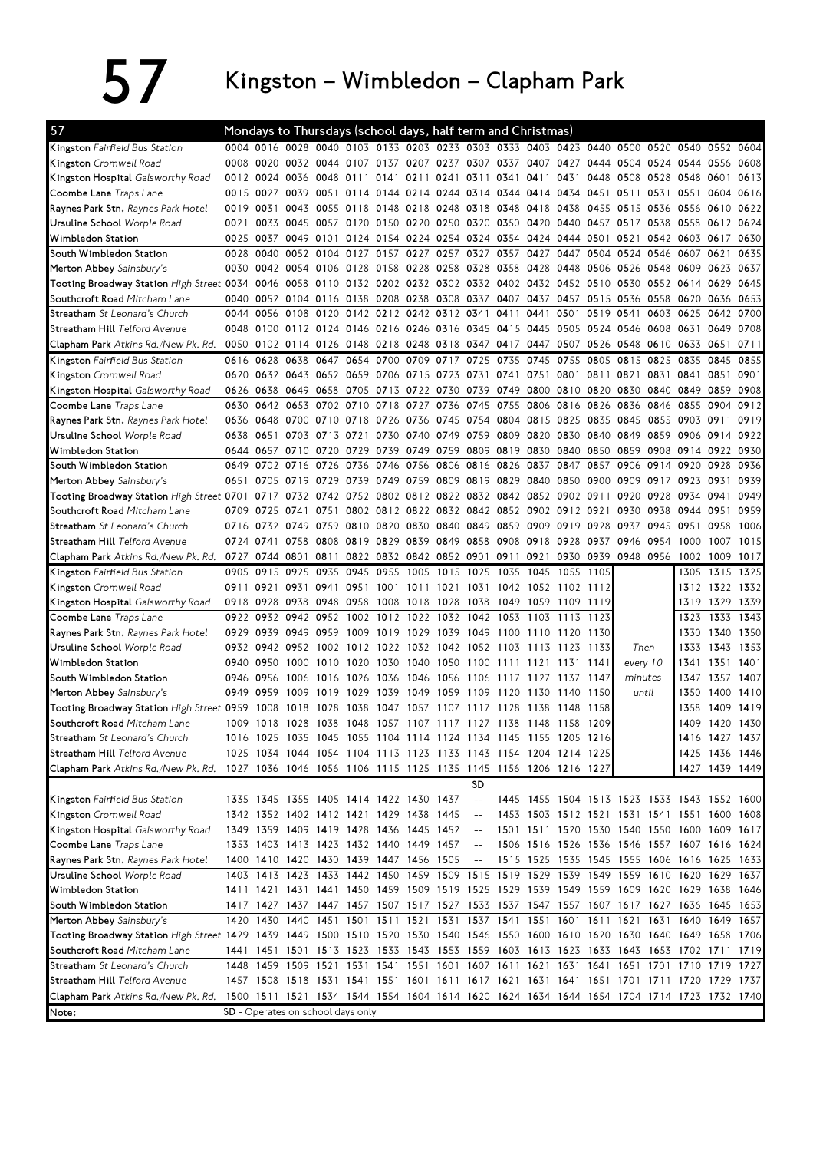## $57$  Kingston – Wimbledon – Clapham Park

| 57                                                                                                                             |           |           |                     |                |                                         |           |                     |           | Mondays to Thursdays (school days, half term and Christmas)      |      |                |                     |           |                                                                                           |           |      |                |                |
|--------------------------------------------------------------------------------------------------------------------------------|-----------|-----------|---------------------|----------------|-----------------------------------------|-----------|---------------------|-----------|------------------------------------------------------------------|------|----------------|---------------------|-----------|-------------------------------------------------------------------------------------------|-----------|------|----------------|----------------|
| Kingston Fairfield Bus Station                                                                                                 |           |           |                     |                |                                         |           |                     |           |                                                                  |      |                |                     |           | 0004 0016 0028 0040 0103 0133 0203 0233 0303 0333 0403 0423 0440 0500 0520 0540 0552 0604 |           |      |                |                |
| Kingston Cromwell Road                                                                                                         | 0008      | 0020      | 0032 0044 0107      |                |                                         | 0137      |                     |           | 0207 0237 0307 0337 0407                                         |      |                | 0427                |           | 0444 0504 0524 0544                                                                       |           |      | 0556           | 0608           |
| Kingston Hospital Galsworthy Road                                                                                              |           | 0012 0024 | 0036                | 0048 0111      |                                         | 0141      | 0211                | 0241      | 0311                                                             | 0341 | 0411           | 0431                |           | 0448 0508                                                                                 | 0528 0548 |      | 0601           | 0613           |
| Coombe Lane Traps Lane                                                                                                         | 0015      | 0027      | 0039                | 0051           | 0114                                    |           | 0144 0214 0244 0314 |           |                                                                  | 0344 | 0414 0434      |                     | 0451      | 0511                                                                                      | 0531      | 0551 | 0604           | 0616           |
| Raynes Park Stn. Raynes Park Hotel                                                                                             | 0019      | 0031      |                     | 0043 0055 0118 |                                         |           |                     |           | 0148 0218 0248 0318 0348 0418 0438                               |      |                |                     |           | 0455 0515 0536 0556                                                                       |           |      | 0610           | 0622           |
| <b>Ursuline School</b> Worple Road                                                                                             | 0021      | 0033      | 0045 0057 0120      |                |                                         |           |                     |           | 0150 0220 0250 0320 0350 0420 0440                               |      |                |                     |           | 0457 0517 0538 0558                                                                       |           |      | 0612 0624      |                |
| Wimbledon Station                                                                                                              | 0025      | 0037      |                     |                |                                         |           |                     |           | 0049 0101 0124 0154 0224 0254 0324 0354                          |      |                | 0424 0444 0501      |           | 0521                                                                                      | 0542 0603 |      | 0617           | 0630           |
| South Wimbledon Station                                                                                                        | 0028      | 0040      | 0052                | 0104           | 0127                                    | 0157      | 0227                | 0257 0327 |                                                                  | 0357 | 0427           | 0447                | 0504      | 0524                                                                                      | 0546 0607 |      | 0621           | 0635           |
| Merton Abbey Sainsbury's                                                                                                       | 0030      | 0042 0054 |                     | 0106 0128      |                                         |           | 0158 0228 0258 0328 |           |                                                                  |      | 0358 0428 0448 |                     | 0506      | 0526 0548 0609                                                                            |           |      | 0623           | 0637           |
| Tooting Broadway Station <i>High Street</i> 0034                                                                               |           | 0046      | 0058                | 0110 0132      |                                         |           |                     |           | 0202 0232 0302 0332 0402 0432 0452 0510                          |      |                |                     |           | 0530                                                                                      | 0552 0614 |      | 0629           | 0645           |
| Southcroft Road Mitcham Lane                                                                                                   | 0040      |           | 0052 0104 0116 0138 |                |                                         | 0208 0238 |                     |           | 0308 0337 0407 0437 0457                                         |      |                |                     | 0515 0536 |                                                                                           | 0558 0620 |      | 0636           | 0653           |
| Streatham St Leonard's Church                                                                                                  | 0044      | 0056      | 0108                | 0120           | 0142                                    |           | 0212 0242 0312 0341 |           |                                                                  | 0411 | 0441           | 0501                | 0519      | 0541                                                                                      | 0603 0625 |      | 0642           | 0700           |
| Streatham Hill Telford Avenue                                                                                                  | 0048      |           | 0100 0112 0124 0146 |                |                                         |           | 0216 0246 0316 0345 |           |                                                                  |      | 0415 0445 0505 |                     | 0524 0546 |                                                                                           | 0608 0631 |      | 0649           | 0708           |
| Clapham Park Atkins Rd./New Pk. Rd.                                                                                            | 0050      |           |                     |                |                                         |           |                     |           |                                                                  |      |                |                     |           | 0102 0114 0126 0148 0218 0248 0318 0347 0417 0447 0507 0526 0548 0610 0633                |           |      | 0651           | 0711           |
| Kingston Fairfield Bus Station                                                                                                 | 0616      | 0628      | 0638                | 0647 0654      |                                         |           | 0700 0709 0717      |           | 0725                                                             | 0735 | 0745           | 0755                | 0805      | 0815                                                                                      | 0825      | 0835 | 0845           | 0855           |
| Kingston Cromwell Road                                                                                                         | 0620      |           | 0632 0643 0652 0659 |                |                                         |           | 0706 0715 0723 0731 |           |                                                                  | 0741 | 0751 0801      |                     | 0811      | 0821                                                                                      | 0831 0841 |      | 0851           | 0901           |
| Kingston Hospital Galsworthy Road                                                                                              | 0626      | 0638      | 0649                | 0658 0705      |                                         |           | 0713 0722 0730 0739 |           |                                                                  | 0749 | 0800 0810      |                     | 0820      | 0830                                                                                      | 0840 0849 |      | 0859           | 0908           |
| Coombe Lane Traps Lane                                                                                                         | 0630      | 0642      | 0653                | 0702           | 0710                                    | 0718      | 0727                | 0736      | 0745                                                             | 0755 | 0806           | 0816                | 0826      | 0836                                                                                      | 0846      | 0855 | 0904           | 0912           |
| Raynes Park Stn. Raynes Park Hotel                                                                                             | 0636      | 0648      | 0700 0710 0718      |                |                                         |           | 0726 0736 0745 0754 |           |                                                                  |      | 0804 0815 0825 |                     | 0835 0845 |                                                                                           | 0855 0903 |      | 0911           | 0919           |
| <b>Ursuline School</b> Worple Road                                                                                             | 0638      | 0651      | 0703                | 0713           | 0721                                    | 0730      | 0740 0749 0759      |           |                                                                  | 0809 | 0820 0830      |                     | 0840      | 0849                                                                                      | 0859 0906 |      | 0914           | 0922           |
| Wimbledon Station                                                                                                              | 0644      | 0657      | 0710 0720           |                | 0729                                    | 0739      | 0749 0759 0809      |           |                                                                  |      | 0819 0830 0840 |                     | 0850      | 0859                                                                                      | 0908 0914 |      | 0922           | 0930           |
| South Wimbledon Station                                                                                                        | 0649      | 0702      | 0716                | 0726           | 0736                                    | 0746 0756 |                     | 0806 0816 |                                                                  | 0826 | 0837           | 0847                | 0857      | 0906                                                                                      | 0914 0920 |      | 0928           | 0936           |
| Merton Abbey Sainsbury's                                                                                                       | 0651      | 07<br>05  | 0719                | 0729           | 0739                                    | 0749 0759 |                     | 0809 0819 |                                                                  |      | 0829 0840 0850 |                     | 0900      | 0909                                                                                      | 0917      | 0923 | 0931           | 0939           |
| Tooting Broadway Station High Street 0701                                                                                      |           | 0717      | 0732                | 0742           | 0752                                    |           |                     |           | 0802 0812 0822 0832 0842 0852 0902                               |      |                |                     | 0911      | 0920                                                                                      | 0928 0934 |      | 0941           | 0949           |
| Southcroft Road Mitcham Lane                                                                                                   | 0709      | 0725      | 0741                | 0751           |                                         |           |                     |           | 0802 0812 0822 0832 0842 0852 0902 0912 0921                     |      |                |                     |           | 0930                                                                                      | 0938 0944 |      | 0951           | 0959           |
| Streatham St Leonard's Church                                                                                                  | 0716      | 0732      | 0749                | 0759           | 0810                                    | 0820      | 0830                | 0840      | 0849                                                             | 0859 | 0909 0919      |                     | 0928      | 0937                                                                                      | 0945      | 0951 | 0958           | 1006           |
| Streatham Hill Telford Avenue                                                                                                  | 0724 0741 |           | 0758                | 0808 0819      |                                         |           | 0829 0839 0849 0858 |           |                                                                  |      | 0908 0918 0928 |                     | 0937      | 0946                                                                                      | 0954      | 1000 | 1007           | 1015           |
| Clapham Park Atkins Rd./New Pk. Rd.                                                                                            | 0727      | 0744      | 0801                | 0811           | 0822                                    |           | 0832 0842 0852 0901 |           |                                                                  | 0911 | 0921           | 0930                |           | 0939 0948 0956 1002                                                                       |           |      | 1009           | 1017           |
| Kingston Fairfield Bus Station                                                                                                 | 0905      | 0915      | 0925                | 0935 0945      |                                         | 0955      | 1005                | 1015 1025 |                                                                  | 1035 | 1045           | 1055                | 1105      |                                                                                           |           | 1305 | 1315           | 1325           |
| Kingston Cromwell Road                                                                                                         | 0911      | 0921      | 0931                | 0941           | 0951                                    |           | 1001 1011 1021 1031 |           |                                                                  |      |                | 1042 1052 1102 1112 |           |                                                                                           |           | 1312 |                | 1322 1332      |
| Kingston Hospital Galsworthy Road                                                                                              | 0918      | 0928      | 0938                | 0948 0958      |                                         | 1008      | 1018                | 1028      | 1038                                                             | 1049 | 1059           | 1109                | 1119      |                                                                                           |           | 1319 | 1329           | 1339           |
| Coombe Lane Traps Lane                                                                                                         | 0922      | 0932      | 0942 0952           |                | 1002                                    |           | 1012 1022 1032      |           | 1042                                                             | 1053 | 1103           | 1113                | 1123      |                                                                                           |           | 1323 | 1333           | 1343           |
| Raynes Park Stn. Raynes Park Hotel                                                                                             | 0929      | 0939      | 0949 0959           |                | 1009                                    |           | 1019 1029 1039 1049 |           |                                                                  | 1100 | 1110           | 1120                | 1130      |                                                                                           |           | 1330 |                | 1340 1350      |
| <b>Ursuline School</b> Worple Road                                                                                             |           |           | 0932 0942 0952 1002 |                |                                         |           |                     |           | 1012 1022 1032 1042 1052 1103                                    |      | 1113           | 1123                | 1133      | Then                                                                                      |           | 1333 | 1343           | 1353           |
| <b>Wimbledon Station</b>                                                                                                       | 0940      | 0950      | 1000                | 1010           | 1020                                    | 1030      | 1040 1050           |           | -1100                                                            | 1111 | 1121           | 1131                | 1141      | every 10                                                                                  |           | 1341 | 1351           | 1401           |
| South Wimbledon Station                                                                                                        | 0946      | 0956      | 1006                | 1016           | 1026                                    | 1036      | 1046                | 1056      | 1106                                                             | 1117 | 1127           | 1137                | 1147      | minutes                                                                                   |           | 1347 | 1357           | 1407           |
| Merton Abbey Sainsbury's                                                                                                       | 0949      | 0959      | 1009                | 1019           | 1029                                    | 1039      | 1049                | 1059      | 1109                                                             | 1120 | 1130           | 1140                | 1150      |                                                                                           | until     | 1350 | 1400           | 1410           |
| Tooting Broadway Station High Street 0959                                                                                      |           | 1008      | 1018                | 1028           | 1038                                    | 1047      | 1057                | 1107      | 1117                                                             | 1128 | 1138           | 1148                | 1158      |                                                                                           |           | 1358 |                | 1409 1419      |
| Southcroft Road Mitcham Lane                                                                                                   |           |           |                     |                |                                         |           |                     |           | 1009 1018 1028 1038 1048 1057 1107 1117 1127 1138 1148 1158      |      |                |                     | 1209      |                                                                                           |           |      | 1409 1420 1430 |                |
| Streatham St Leonard's Church                                                                                                  |           |           |                     |                |                                         |           |                     |           | 1016 1025 1035 1045 1055 1104 1114 1124 1134 1145 1155 1205 1216 |      |                |                     |           |                                                                                           |           |      |                | 1416 1427 1437 |
| Streatham Hill Telford Avenue                                                                                                  |           |           |                     |                |                                         |           |                     |           | 1025 1034 1044 1054 1104 1113 1123 1133 1143 1154 1204 1214 1225 |      |                |                     |           |                                                                                           |           |      |                | 1425 1436 1446 |
| Clapham Park Atkins Rd./New Pk. Rd.                                                                                            |           |           |                     |                |                                         |           |                     |           | 1027 1036 1046 1056 1106 1115 1125 1135 1145 1156 1206 1216 1227 |      |                |                     |           |                                                                                           |           |      |                | 1427 1439 1449 |
|                                                                                                                                |           |           |                     |                |                                         |           |                     |           | <b>SD</b>                                                        |      |                |                     |           |                                                                                           |           |      |                |                |
| Kingston Fairfield Bus Station                                                                                                 |           |           |                     |                | 1335 1345 1355 1405 1414 1422 1430 1437 |           |                     |           | $\hspace{0.05cm} \dashrightarrow$                                |      |                |                     |           | 1445 1455 1504 1513 1523 1533 1543 1552 1600                                              |           |      |                |                |
| Kingston Cromwell Road                                                                                                         |           |           |                     |                | 1342 1352 1402 1412 1421 1429 1438 1445 |           |                     |           | $\overline{\phantom{a}}$                                         |      |                |                     |           | 1453 1503 1512 1521 1531 1541 1551 1600 1608                                              |           |      |                |                |
| Kingston Hospital Galsworthy Road                                                                                              |           |           |                     |                | 1349 1359 1409 1419 1428 1436 1445 1452 |           |                     |           | $-\!$                                                            |      |                |                     |           | 1501 1511 1520 1530 1540 1550 1600 1609 1617                                              |           |      |                |                |
| Coombe Lane Traps Lane                                                                                                         |           |           |                     |                | 1353 1403 1413 1423 1432 1440 1449 1457 |           |                     |           | $-\!$                                                            |      |                |                     |           | 1506 1516 1526 1536 1546 1557 1607 1616 1624                                              |           |      |                |                |
| Raynes Park Stn. Raynes Park Hotel                                                                                             |           |           |                     |                | 1400 1410 1420 1430 1439 1447 1456 1505 |           |                     |           | $-\!$                                                            |      |                |                     |           | 1515 1525 1535 1545 1555 1606 1616 1625 1633                                              |           |      |                |                |
| Ursuline School <i>Worple Road</i>                                                                                             |           |           |                     |                |                                         |           |                     |           |                                                                  |      |                |                     |           | 1403 1413 1423 1433 1442 1450 1459 1509 1515 1519 1529 1539 1549 1559 1610 1620 1629 1637 |           |      |                |                |
| Wimbledon Station                                                                                                              |           |           |                     |                |                                         |           |                     |           |                                                                  |      |                |                     |           | 1411 1421 1431 1441 1450 1459 1509 1519 1525 1529 1539 1549 1559 1609 1620 1629 1638 1646 |           |      |                |                |
| South Wimbledon Station                                                                                                        |           |           |                     |                |                                         |           |                     |           |                                                                  |      |                |                     |           | 1417 1427 1437 1447 1457 1507 1517 1527 1533 1537 1547 1557 1607 1617 1627 1636 1645 1653 |           |      |                |                |
| Merton Abbey Sainsbury's                                                                                                       |           |           |                     |                |                                         |           |                     |           |                                                                  |      |                |                     |           | 1420 1430 1440 1451 1501 1511 1521 1531 1537 1541 1551 1601 1611 1621 1631 1640 1649 1657 |           |      |                |                |
| Tooting Broadway Station High Street 1429 1439 1449 1500 1510 1520 1530 1540 1546 1550 1600 1610 1620 1630 1640 1649 1658 1706 |           |           |                     |                |                                         |           |                     |           |                                                                  |      |                |                     |           |                                                                                           |           |      |                |                |
| Southcroft Road Mitcham Lane                                                                                                   |           |           |                     |                |                                         |           |                     |           |                                                                  |      |                |                     |           | 1441 1451 1501 1513 1523 1533 1543 1553 1559 1603 1613 1623 1633 1643 1653 1702 1711 1719 |           |      |                |                |
| Streatham St Leonard's Church                                                                                                  |           |           |                     |                |                                         |           |                     |           |                                                                  |      |                |                     |           | 1448 1459 1509 1521 1531 1541 1551 1601 1607 1611 1621 1631 1641 1651 1701 1710 1719 1727 |           |      |                |                |
| Streatham Hill Telford Avenue                                                                                                  |           |           |                     |                |                                         |           |                     |           |                                                                  |      |                |                     |           | 1457 1508 1518 1531 1541 1551 1601 1611 1617 1621 1631 1641 1651 1701 1711 1720 1729 1737 |           |      |                |                |
| Clapham Park Atkins Rd./New Pk. Rd.                                                                                            |           |           |                     |                |                                         |           |                     |           |                                                                  |      |                |                     |           | 1500 1511 1521 1534 1544 1554 1604 1614 1620 1624 1634 1644 1654 1704 1714 1723 1732 1740 |           |      |                |                |
| Note:                                                                                                                          |           |           |                     |                | SD - Operates on school days only       |           |                     |           |                                                                  |      |                |                     |           |                                                                                           |           |      |                |                |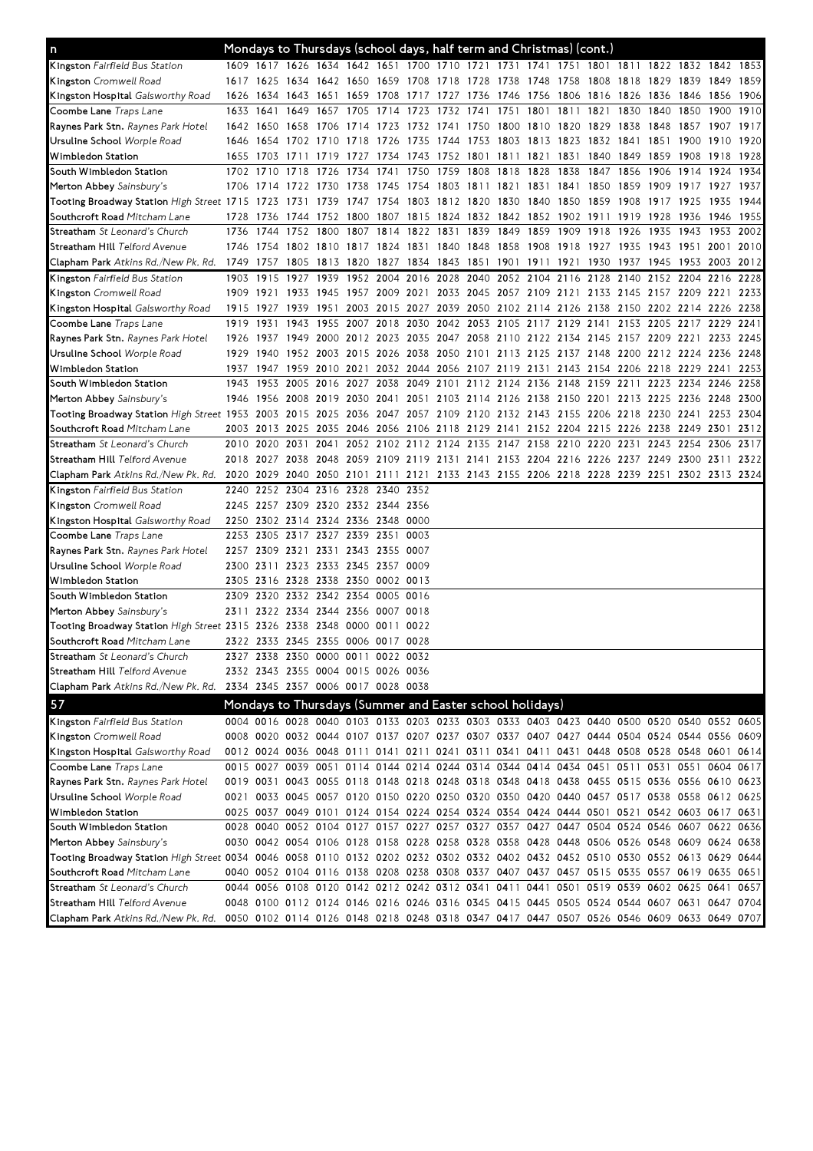| n                                                                                                                              |           |                                                                                           |           | Mondays to Thursdays (school days, half term and Christmas) (cont.)                          |           |                |                |           |                                                        |                     |  |                          |                                    |           |                                                                                                                                                                                        |           |              |
|--------------------------------------------------------------------------------------------------------------------------------|-----------|-------------------------------------------------------------------------------------------|-----------|----------------------------------------------------------------------------------------------|-----------|----------------|----------------|-----------|--------------------------------------------------------|---------------------|--|--------------------------|------------------------------------|-----------|----------------------------------------------------------------------------------------------------------------------------------------------------------------------------------------|-----------|--------------|
| Kingston Fairfield Bus Station                                                                                                 |           |                                                                                           |           |                                                                                              |           |                |                |           |                                                        |                     |  |                          |                                    |           | 1609 1617 1626 1634 1642 1651 1700 1710 1721 1731 1741 1751 1801 1811 1822 1832 1842 1853                                                                                              |           |              |
| <b>Kingston</b> Cromwell Road                                                                                                  |           | 1617 1625                                                                                 |           | 1634 1642 1650 1659 1708 1718 1728 1738 1748 1758 1808 1818 1829 1839                        |           |                |                |           |                                                        |                     |  |                          |                                    |           |                                                                                                                                                                                        | 1849      | 1859         |
| <b>Kingston Hospital</b> Galsworthy Road                                                                                       |           | 1626 1634                                                                                 |           | 1643 1651 1659 1708 1717 1727 1736                                                           |           |                |                |           |                                                        |                     |  |                          | 1746 1756 1806 1816 1826 1836 1846 |           |                                                                                                                                                                                        | 1856      | 1906         |
| Coombe Lane <i>Traps Lane</i>                                                                                                  |           | 1633 1641                                                                                 |           | 1649 1657 1705 1714 1723 1732 1741                                                           |           |                |                |           |                                                        |                     |  | 1751 1801 1811 1821 1830 |                                    | 1840      | 1850                                                                                                                                                                                   | 1900      | 1910         |
| <b>Raynes Park Stn.</b> <i>Raynes Park Hotel</i>                                                                               |           | 1642 1650                                                                                 |           |                                                                                              |           |                |                |           |                                                        |                     |  |                          |                                    |           | 1658 1706 1714 1723 1732 1741 1750 1800 1810 1820 1829 1838 1848 1857 1907 1917                                                                                                        |           |              |
| Ursuline School <i>Worple Road</i>                                                                                             |           |                                                                                           |           |                                                                                              |           |                |                |           |                                                        |                     |  |                          |                                    |           | 1646 1654 1702 1710 1718 1726 1735 1744 1753 1803 1813 1823 1832 1841 1851 1900 1910 1920                                                                                              |           |              |
| Wimbledon Station                                                                                                              |           | 1655 1703                                                                                 |           | 1711 1719 1727 1734 1743 1752 1801 1811 1821 1831 1840 1849 1859 1908                        |           |                |                |           |                                                        |                     |  |                          |                                    |           |                                                                                                                                                                                        | 1918 1928 |              |
| South Wimbledon Station                                                                                                        |           | 1702 1710                                                                                 |           | 1718 1726 1734                                                                               |           | 1741 1750      |                | 1759 1808 |                                                        | 1818 1828 1838      |  | 1847 1856                |                                    | 1906 1914 |                                                                                                                                                                                        | 1924      | 1934         |
| Merton Abbey Sainsbury's                                                                                                       |           | 1706 1714                                                                                 |           | 1722 1730 1738 1745                                                                          |           |                |                |           | 1754 1803 1811 1821 1831 1841 1850 1859                |                     |  |                          |                                    | 1909 1917 |                                                                                                                                                                                        | 1927      | 1937         |
| Tooting Broadway Station High Street 1715 1723                                                                                 |           |                                                                                           | 1731      | 1739                                                                                         | 1747 1754 |                | 1803 1812 1820 |           |                                                        | 1830 1840 1850 1859 |  |                          | 1908                               | 1917 1925 |                                                                                                                                                                                        | 1935      | 1944         |
| S <b>outhcroft Road</b> Mitcham Lane                                                                                           | 1728 1736 |                                                                                           | 1744 1752 |                                                                                              | 1800      |                |                |           | 1807 1815 1824 1832 1842 1852 1902 1911 1919 1928 1936 |                     |  |                          |                                    |           |                                                                                                                                                                                        | 1946      | 1955         |
| <b>Streatham</b> St Leonard's Church                                                                                           | 1736      | 1744                                                                                      |           | 1752 1800 1807 1814 1822 1831 1839                                                           |           |                |                |           |                                                        |                     |  | 1849 1859 1909 1918 1926 |                                    | 1935 1943 |                                                                                                                                                                                        | 1953 2002 |              |
| S <b>treatham Hill</b> Telford Avenue                                                                                          |           |                                                                                           |           |                                                                                              |           |                |                |           |                                                        |                     |  |                          |                                    |           | 1746 1754 1802 1810 1817 1824 1831 1840 1848 1858 1908 1918 1927 1935 1943 1951 2001 2010                                                                                              |           |              |
| Clapham Park Atkins Rd./New Pk. Rd.                                                                                            |           |                                                                                           |           |                                                                                              |           |                |                |           |                                                        |                     |  |                          |                                    |           | 1749 1757 1805 1813 1820 1827 1834 1843 1851 1901 1911 1921 1930 1937 1945 1953 2003 2012                                                                                              |           |              |
| <b>Kingston</b> Fairfield Bus Station                                                                                          | 1903      | 1915                                                                                      | 1927      | 1939                                                                                         |           | 1952 2004 2016 |                | 2028 2040 |                                                        | 2052 2104 2116      |  | 2128                     | 2140                               |           | 2152 2204 2216                                                                                                                                                                         |           | 2228         |
| <b>Kingston</b> Cromwell Road                                                                                                  | 1909 1921 |                                                                                           | 1933      | 1945                                                                                         |           |                |                |           |                                                        |                     |  |                          |                                    |           | 1957 2009 2021 2033 2045 2057 2109 2121 2133 2145 2157 2209 2221                                                                                                                       |           | 2233         |
| <b>Kingston Hospital</b> Galsworthy Road                                                                                       | 1915 1927 |                                                                                           | 1939      | 1951                                                                                         |           |                |                |           | 2003 2015 2027 2039 2050 2102 2114 2126 2138           |                     |  |                          |                                    |           | 2150 2202 2214 2226 2238                                                                                                                                                               |           |              |
| Coombe Lane <i>Traps Lane</i>                                                                                                  | 1919      | 1931                                                                                      | 1943      | 1955 2007 2018 2030                                                                          |           |                |                |           | 2042 2053 2105 2117 2129 2141                          |                     |  |                          |                                    |           | 2153 2205 2217 2229                                                                                                                                                                    |           | 2241         |
| <b>Raynes Park Stn.</b> <i>Raynes Park Hotel</i>                                                                               |           | 1926 1937                                                                                 |           |                                                                                              |           |                |                |           |                                                        |                     |  |                          |                                    |           | 1949 2000 2012 2023 2035 2047 2058 2110 2122 2134 2145 2157 2209 2221 2233 2245                                                                                                        |           |              |
| Ursuline School <i>Worple Road</i>                                                                                             |           | 1929 1940                                                                                 |           |                                                                                              |           |                |                |           |                                                        |                     |  |                          |                                    |           | 1952 2003 2015 2026 2038 2050 2101 2113 2125 2137 2148 2200 2212 2224 2236 2248                                                                                                        |           |              |
| Wimbledon Station<br>South Wimbledon Station                                                                                   |           |                                                                                           |           |                                                                                              |           |                |                |           |                                                        |                     |  |                          |                                    |           | 1937 1947 1959 2010 2021 2032 2044 2056 2107 2119 2131 2143 2154 2206 2218 2229 2241                                                                                                   |           | 2253         |
|                                                                                                                                |           | 1943 1953<br>1946 1956                                                                    |           | 2005 2016 2027 2038<br>2008 2019 2030 2041 2051 2103 2114 2126 2138 2150 2201 2213 2225 2236 |           |                |                |           |                                                        |                     |  |                          |                                    |           | 2049 2101 2112 2124 2136 2148 2159 2211 2223 2234 2246                                                                                                                                 | 2248      | 2258<br>2300 |
| Merton Abbey Sainsbury's<br>Tooting Broadway Station High Street 1953 2003                                                     |           |                                                                                           |           |                                                                                              |           |                |                |           |                                                        |                     |  |                          |                                    |           | 2015 2025 2036 2047 2057 2109 2120 2132 2143 2155 2206 2218 2230 2241 2253 2304                                                                                                        |           |              |
| S <b>outhcroft Road</b> Mitcham Lane                                                                                           |           |                                                                                           |           |                                                                                              |           |                |                |           |                                                        |                     |  |                          |                                    |           | 2003 2013 2025 2035 2046 2056 2106 2118 2129 2141 2152 2204 2215 2226 2238 2249 2301                                                                                                   |           | 2312         |
| Streatham St Leonard's Church                                                                                                  |           | 2010 2020                                                                                 | 2031      | 2041                                                                                         |           |                |                |           | 2052 2102 2112 2124 2135 2147 2158 2210 2220 2231      |                     |  |                          |                                    | 2243 2254 |                                                                                                                                                                                        | 2306 2317 |              |
| S <b>treatham Hill</b> Telford Avenue                                                                                          |           |                                                                                           |           |                                                                                              |           |                |                |           |                                                        |                     |  |                          |                                    |           | 2018 2027 2038 2048 2059 2109 2119 2131 2141 2153 2204 2216 2226 2237 2249 2300 2311                                                                                                   |           | 2322         |
| <b>Clapham Park</b> Atkins Rd./New Pk. Rd.                                                                                     | 2020 2029 |                                                                                           |           |                                                                                              |           |                |                |           |                                                        |                     |  |                          |                                    |           | 2040 2050 2101 2111 2121 2133 2143 2155 2206 2218 2228 2239 2251 2302 2313 2324                                                                                                        |           |              |
| <b>Kingston</b> Fairfield Bus Station                                                                                          |           |                                                                                           |           | 2240 2252 2304 2316 2328 2340 2352                                                           |           |                |                |           |                                                        |                     |  |                          |                                    |           |                                                                                                                                                                                        |           |              |
| <b>Kingston</b> Cromwell Road                                                                                                  |           |                                                                                           |           | 2245 2257 2309 2320 2332 2344 2356                                                           |           |                |                |           |                                                        |                     |  |                          |                                    |           |                                                                                                                                                                                        |           |              |
| <b>Kingston Hospital</b> Galsworthy Road                                                                                       |           |                                                                                           |           | 2250 2302 2314 2324 2336 2348 0000                                                           |           |                |                |           |                                                        |                     |  |                          |                                    |           |                                                                                                                                                                                        |           |              |
| Coombe Lane <i>Traps Lane</i>                                                                                                  |           |                                                                                           |           | 2253 2305 2317 2327 2339 2351 0003                                                           |           |                |                |           |                                                        |                     |  |                          |                                    |           |                                                                                                                                                                                        |           |              |
| <b>Raynes Park Stn.</b> <i>Raynes Park Hotel</i>                                                                               |           |                                                                                           |           | 2257 2309 2321 2331 2343 2355 0007                                                           |           |                |                |           |                                                        |                     |  |                          |                                    |           |                                                                                                                                                                                        |           |              |
| Ursuline School <i>Worple Road</i>                                                                                             |           |                                                                                           |           | 2300 2311 2323 2333 2345 2357 0009                                                           |           |                |                |           |                                                        |                     |  |                          |                                    |           |                                                                                                                                                                                        |           |              |
| Wimbledon Station                                                                                                              |           | 2305 2316                                                                                 |           | 2328 2338 2350 0002 0013                                                                     |           |                |                |           |                                                        |                     |  |                          |                                    |           |                                                                                                                                                                                        |           |              |
| South Wimbledon Station                                                                                                        |           | 2309 2320                                                                                 |           | 2332 2342 2354 0005 0016                                                                     |           |                |                |           |                                                        |                     |  |                          |                                    |           |                                                                                                                                                                                        |           |              |
| Merton Abbey Sainsbury's                                                                                                       |           |                                                                                           |           | 2311 2322 2334 2344 2356 0007 0018                                                           |           |                |                |           |                                                        |                     |  |                          |                                    |           |                                                                                                                                                                                        |           |              |
| Tooting Broadway Station High Street 2315 2326                                                                                 |           |                                                                                           |           | 2338 2348 0000 0011 0022                                                                     |           |                |                |           |                                                        |                     |  |                          |                                    |           |                                                                                                                                                                                        |           |              |
| S <b>outhcroft Road</b> Mitcham Lane                                                                                           |           |                                                                                           |           | 2322 2333 2345 2355 0006 0017 0028                                                           |           |                |                |           |                                                        |                     |  |                          |                                    |           |                                                                                                                                                                                        |           |              |
| <b>Streatham</b> <i>St Leonard's Church</i>                                                                                    |           |                                                                                           |           | 2327 2338 2350 0000 0011 0022 0032                                                           |           |                |                |           |                                                        |                     |  |                          |                                    |           |                                                                                                                                                                                        |           |              |
| Streatham Hill <i>Telford Avenue</i>                                                                                           |           |                                                                                           |           | 2332 2343 2355 0004 0015 0026 0036                                                           |           |                |                |           |                                                        |                     |  |                          |                                    |           |                                                                                                                                                                                        |           |              |
| Clapham Park Atkins Rd./New Pk. Rd.                                                                                            |           |                                                                                           |           | 2334 2345 2357 0006 0017 0028 0038                                                           |           |                |                |           |                                                        |                     |  |                          |                                    |           |                                                                                                                                                                                        |           |              |
| 57                                                                                                                             |           |                                                                                           |           | Mondays to Thursdays (Summer and Easter school holidays)                                     |           |                |                |           |                                                        |                     |  |                          |                                    |           |                                                                                                                                                                                        |           |              |
| Kingston Fairfield Bus Station                                                                                                 |           |                                                                                           |           |                                                                                              |           |                |                |           |                                                        |                     |  |                          |                                    |           | 0004 0016 0028 0040 0103 0133 0203 0233 0303 0333 0403 0423 0440 0500 0520 0540 0552 0605                                                                                              |           |              |
| <b>Kingston</b> Cromwell Road                                                                                                  |           |                                                                                           |           |                                                                                              |           |                |                |           |                                                        |                     |  |                          |                                    |           | 0008 0020 0032 0044 0107 0137 0207 0237 0307 0337 0407 0427 0444 0504 0524 0544 0556 0609                                                                                              |           |              |
| Kingston Hospital Galsworthy Road                                                                                              |           |                                                                                           |           |                                                                                              |           |                |                |           |                                                        |                     |  |                          |                                    |           | 0012 0024 0036 0048 0111 0141 0211 0241 0311 0341 0411 0431 0448 0508 0528 0548 0601 0614                                                                                              |           |              |
| Coombe Lane <i>Traps Lane</i>                                                                                                  |           |                                                                                           |           |                                                                                              |           |                |                |           |                                                        |                     |  |                          |                                    |           | 0015 0027 0039 0051 0114 0144 0214 0244 0314 0344 0414 0434 0451 0511 0531 0551 0604 0617                                                                                              |           |              |
| <b>Raynes Park Stn.</b> <i>Raynes Park Hotel</i>                                                                               |           |                                                                                           |           |                                                                                              |           |                |                |           |                                                        |                     |  |                          |                                    |           | 0019 0031 0043 0055 0118 0148 0218 0248 0318 0348 0418 0438 0455 0515 0536 0556 0610 0623                                                                                              |           |              |
| Ursuline School <i>Worple Road</i>                                                                                             |           |                                                                                           |           |                                                                                              |           |                |                |           |                                                        |                     |  |                          |                                    |           | 0021 0033 0045 0057 0120 0150 0220 0250 0320 0350 0420 0440 0457 0517 0538 0558 0612 0625                                                                                              |           |              |
| Wimbledon Station                                                                                                              |           |                                                                                           |           |                                                                                              |           |                |                |           |                                                        |                     |  |                          |                                    |           | 0025 0037 0049 0101 0124 0154 0224 0254 0324 0354 0424 0444 0501 0521 0542 0603 0617 0631                                                                                              |           |              |
| South Wimbledon Station                                                                                                        |           |                                                                                           |           |                                                                                              |           |                |                |           |                                                        |                     |  |                          |                                    |           | 0028 0040 0052 0104 0127 0157 0227 0257 0327 0357 0427 0447 0504 0524 0546 0607 0622 0636                                                                                              |           |              |
| Merton Abbey Sainsbury's                                                                                                       |           |                                                                                           |           |                                                                                              |           |                |                |           |                                                        |                     |  |                          |                                    |           | 0030 0042 0054 0106 0128 0158 0228 0258 0328 0358 0428 0448 0506 0526 0548 0609 0624 0638                                                                                              |           |              |
| Tooting Broadway Station High Street 0034 0046 0058 0110 0132 0202 0232 0302 0332 0402 0432 0452 0510 0530 0552 0613 0629 0644 |           |                                                                                           |           |                                                                                              |           |                |                |           |                                                        |                     |  |                          |                                    |           |                                                                                                                                                                                        |           |              |
| S <b>outhcroft Road</b> Mitcham Lane                                                                                           |           |                                                                                           |           |                                                                                              |           |                |                |           |                                                        |                     |  |                          |                                    |           | 0040 0052 0104 0116 0138 0208 0238 0308 0337 0407 0437 0457 0515 0535 0557 0619 0635 0651                                                                                              |           |              |
| <b>Streatham</b> <i>St Leonard's Church</i>                                                                                    |           | 0044 0056 0108 0120 0142 0212 0242 0312 0341 0411 0441 0501 0519 0539 0602 0625 0641 0657 |           |                                                                                              |           |                |                |           |                                                        |                     |  |                          |                                    |           |                                                                                                                                                                                        |           |              |
|                                                                                                                                |           |                                                                                           |           |                                                                                              |           |                |                |           |                                                        |                     |  |                          |                                    |           |                                                                                                                                                                                        |           |              |
| Streatham Hill <i>Telford Avenue</i><br>Clapham Park Atkins Rd./New Pk. Rd.                                                    |           |                                                                                           |           |                                                                                              |           |                |                |           |                                                        |                     |  |                          |                                    |           | 0048 0100 0112 0124 0146 0216 0246 0316 0345 0415 0445 0505 0524 0544 0607 0631 0647 0704<br>0050 0102 0114 0126 0148 0218 0248 0318 0347 0417 0447 0507 0526 0546 0609 0633 0649 0707 |           |              |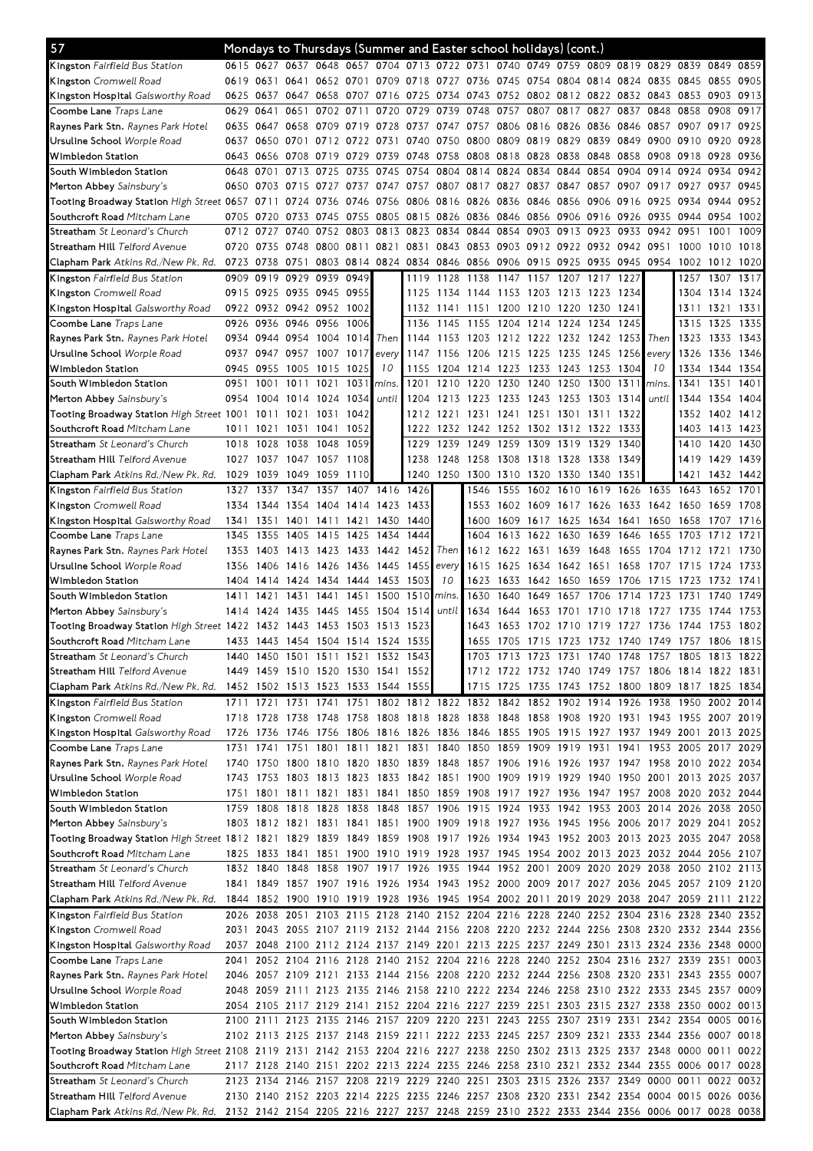| 57                                                                                                                                                                     |              |              | Mondays to Thursdays (Summer and Easter school holidays) (cont.)                                                                                                             |                                                                                 |                               |                |                |                |                                    |                |                |                               |              |                |                                    |                |                                                      |              |
|------------------------------------------------------------------------------------------------------------------------------------------------------------------------|--------------|--------------|------------------------------------------------------------------------------------------------------------------------------------------------------------------------------|---------------------------------------------------------------------------------|-------------------------------|----------------|----------------|----------------|------------------------------------|----------------|----------------|-------------------------------|--------------|----------------|------------------------------------|----------------|------------------------------------------------------|--------------|
| <b>Kingston</b> Fairfield Bus Station                                                                                                                                  |              |              | 0615 0627 0637 0648 0657 0704 0713 0722 0731 0740 0749 0759 0809 0819 0829 0839 0849 0859                                                                                    |                                                                                 |                               |                |                |                |                                    |                |                |                               |              |                |                                    |                |                                                      |              |
| <b>Kingston</b> Cromwell Road                                                                                                                                          |              | 0619 0631    | 0641                                                                                                                                                                         |                                                                                 | 0652 0701                     | 0709           | 0718 0727 0736 |                |                                    |                |                |                               |              |                | 0745 0754 0804 0814 0824 0835 0845 |                | 0855                                                 | 0905         |
| K <b>ingston Hospital</b> Galsworthy Road                                                                                                                              | 0625 0637    |              | 0647                                                                                                                                                                         | 0658                                                                            | 0707 0716                     |                | 0725 0734 0743 |                |                                    |                |                |                               |              |                | 0752 0802 0812 0822 0832 0843 0853 |                | 0903                                                 | 0913         |
| Coombe Lane <i>Traps Lane</i>                                                                                                                                          | 0629 0641    |              | 0651                                                                                                                                                                         | 0702                                                                            | 0711                          | 0720           | 0729           | 0739           | 0748                               | 0757           | 0807           | 0817                          | 0827         | 0837           | 0848 0858                          |                | 0908                                                 | 0917         |
| <b>Raynes Park Stn.</b> <i>Raynes Park Hotel</i>                                                                                                                       |              | 0635 0647    |                                                                                                                                                                              | 0658 0709 0719                                                                  |                               | 0728           | 0737           |                | 0747 0757 0806 0816 0826 0836      |                |                |                               |              |                | 0846 0857 0907 0917                |                |                                                      | 0925         |
| Ursuline School <i>Worple Road</i>                                                                                                                                     |              | 0637 0650    | 0701                                                                                                                                                                         |                                                                                 | 0712 0722 0731                |                | 0740           | 0750 0800      |                                    |                | 0809 0819 0829 |                               | 0839         | 0849           | 0900 0910                          |                | 0920                                                 | 0928         |
| Wimbledon Station                                                                                                                                                      |              | 0643 0656    | 0708 0719                                                                                                                                                                    |                                                                                 | 0729                          | 0739           | 0748           | 0758 0808      |                                    | 0818 0828      |                | 0838                          | 0848         | 0858           | 0908 0918                          |                | 0928                                                 | 0936         |
| South Wimbledon Station<br>Merton Abbey Sainsbury's                                                                                                                    | 0648 0701    | 0650 0703    | 0713<br>0715                                                                                                                                                                 | 0725<br>0727                                                                    | 0735<br>0737                  | 0745<br>0747   | 0754<br>0757   |                | 0804 0814<br>0807 0817             | 0824<br>0827   | 0834<br>0837   | 0844<br>0847                  | 0854<br>0857 | 0904<br>0907   | 0914 0924<br>0917                  | 0927           | 0934<br>0937                                         | 0942<br>0945 |
| Tooting Broadway Station <i>High Street</i> 0657 0711                                                                                                                  |              |              | 0724                                                                                                                                                                         | 0736                                                                            | 0746                          | 0756           |                | 0806 0816 0826 |                                    | 0836 0846 0856 |                |                               | 0906         | 0916           | 0925 0934                          |                | 0944                                                 | 0952         |
| Southcroft Road Mitcham Lane                                                                                                                                           |              | 0705 0720    | 0733                                                                                                                                                                         | 0745                                                                            | 0755                          | 0805           | 0815           | 0826 0836      |                                    | 0846 0856      |                | 0906 0916                     |              | 0926           | 0935 0944                          |                | 0954                                                 | 1002         |
| <b>Streatham</b> <i>St Leonard's Church</i>                                                                                                                            | 0712 0727    |              | 0740                                                                                                                                                                         | 0752                                                                            | 0803                          | 0813           | 0823           |                | 0834 0844                          |                | 0854 0903 0913 |                               | 0923         | 0933           | 0942                               | 0951           | 1001                                                 | 1009         |
| S <b>treatham Hill</b> Telford Avenue                                                                                                                                  |              | 0720 0735    | 0748                                                                                                                                                                         |                                                                                 | 0800 0811 0821                |                | 0831           | 0843 0853      |                                    |                |                | 0903 0912 0922 0932 0942 0951 |              |                |                                    | 1000           | 1010                                                 | 1018         |
| <b>Clapham Park</b> Atkins Rd./New Pk. Rd.                                                                                                                             | 0723 0738    |              | 0751                                                                                                                                                                         |                                                                                 | 0803 0814 0824 0834 0846 0856 |                |                |                |                                    |                |                |                               |              |                | 0906 0915 0925 0935 0945 0954 1002 |                | 1012 1020                                            |              |
| <b>Kingston</b> Fairfield Bus Station                                                                                                                                  |              | 0909 0919    | 0929                                                                                                                                                                         | 0939                                                                            | 0949                          |                | 1119           | 1128 1138      |                                    | 1147 1157      |                | 1207                          | 1217         | 1227           |                                    | 1257           | 1307                                                 | 1317         |
| <b>Kingston</b> Cromwell Road                                                                                                                                          |              | 0915 0925    |                                                                                                                                                                              | 0935 0945 0955                                                                  |                               |                | 1125           | 1134 1144      |                                    | 1153           | 1203 1213      |                               | 1223         | 1234           |                                    | 1304           | 1314                                                 | 1324         |
| <b>Kingston Hospital</b> Galsworthy Road                                                                                                                               |              |              | 0922 0932 0942 0952                                                                                                                                                          |                                                                                 | 1002                          |                |                | 1132 1141 1151 |                                    | 1200 1210 1220 |                |                               | 1230         | 1241           |                                    | 1311           | 1321                                                 | 1331         |
| Coombe Lane <i>Traps Lane</i>                                                                                                                                          | 0926         | 0936         | 0946 0956                                                                                                                                                                    |                                                                                 | 1006                          |                | 1136           |                | 1145 1155                          | 1204           | 1214 1224      |                               | 1234         | 1245           |                                    | 1315           | 1325                                                 | 1335         |
| <b>Raynes Park Stn.</b> <i>Raynes Park Hotel</i>                                                                                                                       |              | 0934 0944    | 0954 1004                                                                                                                                                                    |                                                                                 | 1014                          | Then           | 1144           |                | 1153 1203                          | 1212 1222 1232 |                |                               | 1242         | 1253           | Then                               | 1323           | 1333                                                 | 1343         |
| Ursuline School <i>Worple Road</i>                                                                                                                                     |              |              | 0937 0947 0957 1007 1017                                                                                                                                                     |                                                                                 |                               | every          | 1147           | 1156 1206      |                                    | 1215 1225 1235 |                |                               | 1245         | 1256           | every                              | 1326           | 1336                                                 | 1346         |
| Wimbledon Station                                                                                                                                                      |              | 0945 0955    | 1005                                                                                                                                                                         | 1015                                                                            | 1025                          | 10             | 1155           |                | 1204 1214 1223 1233 1243           |                |                |                               | 1253         | 1304           | 10                                 | 1334           | 1344 1354                                            |              |
| South Wimbledon Station                                                                                                                                                | 0951<br>0954 | 1001<br>1004 | 1011<br>1014                                                                                                                                                                 | 1021<br>1024                                                                    | 1031<br>1034                  | mins.<br>until | 1201<br>1204   | 1210<br>1213   | 1220<br>1223                       | 1230<br>1233   | 1240<br>1243   | 1250                          | 1300<br>1303 | 1311<br>1314   | mins.<br>until                     | 1341<br>1344   | 1351<br>1354                                         | 1401<br>1404 |
| Merton Abbey Sainsbury's<br>Tooting Broadway Station High Street 1001                                                                                                  |              | 1011         | 1021                                                                                                                                                                         | 1031                                                                            | 1042                          |                | 1212           | 1221           | 1231                               | 1241           | 1251           | 1253<br>1301                  | 1311         | 1322           |                                    | 1352           | 1402                                                 | 1412         |
| Southcroft Road Mitcham Lane                                                                                                                                           | 1011         | 1021         | 1031                                                                                                                                                                         | 1041                                                                            | 1052                          |                | 1222           | 1232           | 1242                               | 1252           | 1302 1312      |                               | 1322         | 1333           |                                    | 1403           | 1413 1423                                            |              |
| Streatham St Leonard's Church                                                                                                                                          | 1018         | 1028         | 1038                                                                                                                                                                         | 1048                                                                            | 1059                          |                | 1229           | 1239           | 1249                               | 1259           | 1309           | 1319                          | 1329         | 1340           |                                    | 1410           | 1420                                                 | 1430         |
| Streatham Hill <i>Telford Avenue</i>                                                                                                                                   |              |              | 1027 1037 1047 1057                                                                                                                                                          |                                                                                 | 1108                          |                | 1238           | 1248 1258      |                                    | 1308 1318 1328 |                |                               | 1338         | 1349           |                                    | 1419           | 1429                                                 | 1439         |
| <b>Clapham Park</b> Atkins Rd./New Pk. Rd.                                                                                                                             | 1029 1039    |              |                                                                                                                                                                              | 1049 1059 1110                                                                  |                               |                |                |                | 1240 1250 1300 1310 1320 1330 1340 |                |                |                               |              | 1351           |                                    | 1421           | 1432 1442                                            |              |
| <b>Kingston</b> Fairfield Bus Station                                                                                                                                  | 1327         | 1337         | 1347                                                                                                                                                                         | 1357                                                                            | 1407                          | 1416           | 1426           |                | 1546                               | 1555           | 1602           | 1610                          | 1619         | 1626           | 1635                               | 1643           | 1652                                                 | 1701         |
| <b>Kingston</b> Cromwell Road                                                                                                                                          | 1334         | 1344         | 1354                                                                                                                                                                         | 1404 1414                                                                       |                               | 1423           | 1433           |                | 1553                               | 1602 1609      |                | 1617                          | 1626         | 1633           | 1642 1650                          |                | 1659                                                 | 1708         |
| K <b>ingston Hospital</b> Galsworthy Road                                                                                                                              | 1341         | 1351         | 1401                                                                                                                                                                         | 1411                                                                            | 1421                          | 1430           | 1440           |                | 1600                               | 1609           | 1617           | 1625                          | 1634         | 1641           | 1650                               | 1658           | 1707                                                 | 1716         |
| Coombe Lane <i>Traps Lane</i>                                                                                                                                          | 1345         | 1355         | 1405                                                                                                                                                                         | 1415                                                                            | 1425                          | 1434           | 1444           |                | 1604                               | 1613           | 1622           | 1630                          | 1639         | 1646           | 1655                               | 1703           | 1712                                                 | 1721         |
| <b>Raynes Park Stn.</b> <i>Raynes Park Hotel</i>                                                                                                                       | 1353         | 1403         |                                                                                                                                                                              | 1413 1423 1433                                                                  |                               | 1442 1452      |                | Then           | 1612                               |                | 1622 1631 1639 |                               | 1648         | 1655           |                                    | 1704 1712 1721 |                                                      | 1730         |
| Ursuline School <i>Worple Road</i>                                                                                                                                     | 1356         | 1406         |                                                                                                                                                                              | 1416 1426 1436                                                                  |                               | 1445           | 1455           | every          | 1615                               | 1625           |                | 1634 1642 1651                |              | 1658           | 1707 1715                          |                | 1724                                                 | 1733         |
| Wimbledon Station                                                                                                                                                      | 1404         | 1414         |                                                                                                                                                                              | 1424 1434 1444                                                                  |                               | 1453           | 1503           | 10             | 1623                               | 1633           | 1642 1650      |                               | 1659         | 1706           | 1715                               | 1723           | 1732                                                 | 1741         |
| South Wimbledon Station                                                                                                                                                | 1411         | 1421         | 1431                                                                                                                                                                         | 1441                                                                            | 1451                          | 1500           | 1510           | mins.          | 1630                               | 1640           | 1649           | 1657                          | 1706         | 1714           | 1723                               | 1731           | 1740                                                 | 1749         |
| Merton Abbey Sainsbury's                                                                                                                                               | 1414         | 1424         | 1435                                                                                                                                                                         | 1445                                                                            | 1455                          | 1504           | 1514           | until          | 1634<br>1643                       | 1644           | 53<br>16       |                               | 10<br>17     | 18<br>17<br>17 | 1727                               | 1735           | 1744                                                 | 1753         |
| Tooting Broadway Station High Street 1422<br>Southcroft Road Mitcham Lane                                                                                              |              | 1432         | 1443<br>1433 1443 1454 1504 1514 1524 1535                                                                                                                                   | 1453                                                                            | 1503                          | 1513           | 1523           |                | 1655                               | 1653           | 1702           | 1710                          | 1719         |                | 1736                               | 1744           | 1753<br>1705 1715 1723 1732 1740 1749 1757 1806 1815 | 1802         |
| <b>Streatham</b> <i>St Leonard's Church</i>                                                                                                                            |              |              | 1440 1450 1501 1511 1521 1532 1543                                                                                                                                           |                                                                                 |                               |                |                |                |                                    |                |                |                               |              |                |                                    |                | 1703 1713 1723 1731 1740 1748 1757 1805 1813 1822    |              |
| S <b>treatham Hill</b> Telford Avenue                                                                                                                                  |              |              | 1449 1459 1510 1520 1530 1541 1552                                                                                                                                           |                                                                                 |                               |                |                |                |                                    |                |                |                               |              |                |                                    |                | 1712 1722 1732 1740 1749 1757 1806 1814 1822 1831    |              |
| <b>Clapham Park</b> Atkins Rd./New Pk. Rd.                                                                                                                             |              |              | 1452 1502 1513 1523 1533 1544 1555                                                                                                                                           |                                                                                 |                               |                |                |                | 1715                               |                |                |                               |              |                |                                    |                | 1725 1735 1743 1752 1800 1809 1817 1825 1834         |              |
| <b>Kingston</b> Fairfield Bus Station                                                                                                                                  |              | 1711 1721    |                                                                                                                                                                              | 1731 1741 1751 1802 1812 1822 1832 1842 1852 1902 1914 1926 1938 1950 2002 2014 |                               |                |                |                |                                    |                |                |                               |              |                |                                    |                |                                                      |              |
| Kingston Cromwell Road                                                                                                                                                 |              | 1718 1728    |                                                                                                                                                                              | 1738 1748 1758 1808 1818 1828 1838 1848 1858 1908 1920 1931 1943 1955 2007 2019 |                               |                |                |                |                                    |                |                |                               |              |                |                                    |                |                                                      |              |
| Kingston Hospital Galsworthy Road                                                                                                                                      |              | 1726 1736    |                                                                                                                                                                              | 1746 1756 1806 1816 1826 1836 1846 1855 1905 1915 1927 1937 1949 2001 2013 2025 |                               |                |                |                |                                    |                |                |                               |              |                |                                    |                |                                                      |              |
| Coombe Lane Traps Lane                                                                                                                                                 | 1731         | 1741         | 1751                                                                                                                                                                         |                                                                                 | 1801 1811 1821 1831           |                |                |                | 1840 1850 1859 1909 1919 1931 1941 |                |                |                               |              |                |                                    |                | 1953 2005 2017 2029                                  |              |
| Raynes Park Stn. Raynes Park Hotel                                                                                                                                     |              |              | 1740 1750 1800 1810 1820 1830 1839 1848 1857 1906 1916 1926 1937 1947 1958 2010 2022 2034                                                                                    |                                                                                 |                               |                |                |                |                                    |                |                |                               |              |                |                                    |                |                                                      |              |
| Ursuline School <i>Worple Road</i>                                                                                                                                     |              | 1743 1753    |                                                                                                                                                                              | 1803 1813 1823 1833 1842 1851 1900 1909 1919 1929 1940 1950 2001 2013 2025 2037 |                               |                |                |                |                                    |                |                |                               |              |                |                                    |                |                                                      |              |
| Wimbledon Station                                                                                                                                                      |              |              | 1751 1801 1811 1821 1831 1841 1850 1859 1908 1917 1927 1936 1947 1957 2008 2020 2032 2044                                                                                    |                                                                                 |                               |                |                |                |                                    |                |                |                               |              |                |                                    |                |                                                      |              |
| South Wimbledon Station                                                                                                                                                |              | 1759 1808    |                                                                                                                                                                              | 1818 1828 1838 1848 1857 1906 1915 1924 1933 1942 1953 2003 2014 2026 2038      |                               |                |                |                |                                    |                |                |                               |              |                |                                    |                |                                                      | 2050         |
| Merton Abbey Sainsbury's                                                                                                                                               |              |              | 1803 1812 1821 1831 1841 1851 1900 1909 1918 1927 1936 1945 1956 2006 2017 2029 2041                                                                                         |                                                                                 |                               |                |                |                |                                    |                |                |                               |              |                |                                    |                |                                                      | 2052         |
| Tooting Broadway Station High Street 1812 1821 1829 1839 1849 1859 1908 1917 1926 1934 1943 1952 2003 2013 2023 2035 2047 2058<br>S <b>outhcroft Road</b> Mitcham Lane |              | 1825 1833    |                                                                                                                                                                              | 1841 1851 1900 1910 1919 1928 1937 1945 1954 2002 2013 2023 2032 2044 2056 2107 |                               |                |                |                |                                    |                |                |                               |              |                |                                    |                |                                                      |              |
| <b>Streatham</b> <i>St Leonard's Church</i>                                                                                                                            |              | 1832 1840    |                                                                                                                                                                              | 1848 1858 1907 1917 1926 1935 1944 1952 2001 2009 2020 2029 2038 2050 2102 2113 |                               |                |                |                |                                    |                |                |                               |              |                |                                    |                |                                                      |              |
| S <b>treatham Hill</b> Telford Avenue                                                                                                                                  |              |              | 1841 1849 1857 1907 1916 1926 1934 1943 1952 2000 2009 2017 2027 2036 2045 2057 2109 2120                                                                                    |                                                                                 |                               |                |                |                |                                    |                |                |                               |              |                |                                    |                |                                                      |              |
| <b>Clapham Park</b> Atkins Rd./New Pk. Rd.                                                                                                                             |              |              | 1844 1852 1900 1910 1919 1928 1936 1945 1954 2002 2011 2019 2029 2038 2047 2059 2111 2122                                                                                    |                                                                                 |                               |                |                |                |                                    |                |                |                               |              |                |                                    |                |                                                      |              |
| Kingston Fairfield Bus Station                                                                                                                                         |              |              | 2026 2038 2051 2103 2115 2128 2140 2152 2204 2216 2228 2240 2252 2304 2316 2328 2340 2352                                                                                    |                                                                                 |                               |                |                |                |                                    |                |                |                               |              |                |                                    |                |                                                      |              |
| <b>Kingston</b> Cromwell Road                                                                                                                                          |              |              | 2031 2043 2055 2107 2119 2132 2144 2156 2208 2220 2232 2244 2256 2308 2320 2332 2344 2356                                                                                    |                                                                                 |                               |                |                |                |                                    |                |                |                               |              |                |                                    |                |                                                      |              |
| <b>Kingston Hospital</b> Galsworthy Road                                                                                                                               |              |              | 2037 2048 2100 2112 2124 2137 2149 2201 2213 2225 2237 2249 2301 2313 2324 2336 2348 0000                                                                                    |                                                                                 |                               |                |                |                |                                    |                |                |                               |              |                |                                    |                |                                                      |              |
| Coombe Lane <i>Traps Lane</i>                                                                                                                                          | 2041         |              | 2052 2104 2116 2128 2140 2152 2204 2216 2228 2240 2252 2304 2316 2327 2339 2351                                                                                              |                                                                                 |                               |                |                |                |                                    |                |                |                               |              |                |                                    |                |                                                      | 0003         |
| <b>Raynes Park Stn.</b> <i>Raynes Park Hotel</i>                                                                                                                       |              |              | 2046 2057 2109 2121 2133 2144 2156 2208 2220 2232 2244 2256 2308 2320 2331 2343 2355 0007                                                                                    |                                                                                 |                               |                |                |                |                                    |                |                |                               |              |                |                                    |                |                                                      |              |
| Ursuline School <i>Worple Road</i>                                                                                                                                     |              |              | 2048 2059 2111 2123 2135 2146 2158 2210 2222 2234 2246 2258 2310 2322 2333 2345 2357 0009                                                                                    |                                                                                 |                               |                |                |                |                                    |                |                |                               |              |                |                                    |                |                                                      |              |
| Wimbledon Station                                                                                                                                                      |              |              | 2054 2105 2117 2129 2141 2152 2204 2216 2227 2239 2251 2303 2315 2327 2338 2350 0002 0013                                                                                    |                                                                                 |                               |                |                |                |                                    |                |                |                               |              |                |                                    |                |                                                      |              |
| South Wimbledon Station                                                                                                                                                |              |              | 2100 2111 2123 2135 2146 2157 2209 2220 2231 2243 2255 2307 2319 2331                                                                                                        |                                                                                 |                               |                |                |                |                                    |                |                |                               |              |                |                                    |                | 2342 2354 0005 0016                                  |              |
| Merton Abbey Sainsbury's                                                                                                                                               |              |              | 2102 2113 2125 2137 2148 2159 2211 2222 2233 2245 2257 2309 2321 2333 2344 2356 0007 0018                                                                                    |                                                                                 |                               |                |                |                |                                    |                |                |                               |              |                |                                    |                |                                                      |              |
| Tooting Broadway Station High Street 2108 2119 2131 2142 2153 2204 2216 2227 2238 2250 2302 2313 2325 2337 2348 0000 0011 0022                                         |              |              |                                                                                                                                                                              |                                                                                 |                               |                |                |                |                                    |                |                |                               |              |                |                                    |                |                                                      |              |
| S <b>outhcroft Road</b> Mitcham Lane                                                                                                                                   |              |              | 2117 2128 2140 2151 2202 2213 2224 2235 2246 2258 2310 2321 2332 2344 2355 0006 0017 0028                                                                                    |                                                                                 |                               |                |                |                |                                    |                |                |                               |              |                |                                    |                |                                                      |              |
| <b>Streatham</b> <i>St Leonard's Church</i><br>S <b>treatham Hill</b> Telford Avenue                                                                                   |              |              | 2123 2134 2146 2157 2208 2219 2229 2240 2251 2303 2315 2326 2337 2349 0000 0011<br>2130 2140 2152 2203 2214 2225 2235 2246 2257 2308 2320 2331 2342 2354 0004 0015 0026 0036 |                                                                                 |                               |                |                |                |                                    |                |                |                               |              |                |                                    |                |                                                      | 0022 0032    |
| Clapham Park Atkins Rd./New Pk. Rd. 2132 2142 2154 2205 2216 2227 2237 2248 2259 2310 2322 2333 2344 2356 0006 0017 0028 0038                                          |              |              |                                                                                                                                                                              |                                                                                 |                               |                |                |                |                                    |                |                |                               |              |                |                                    |                |                                                      |              |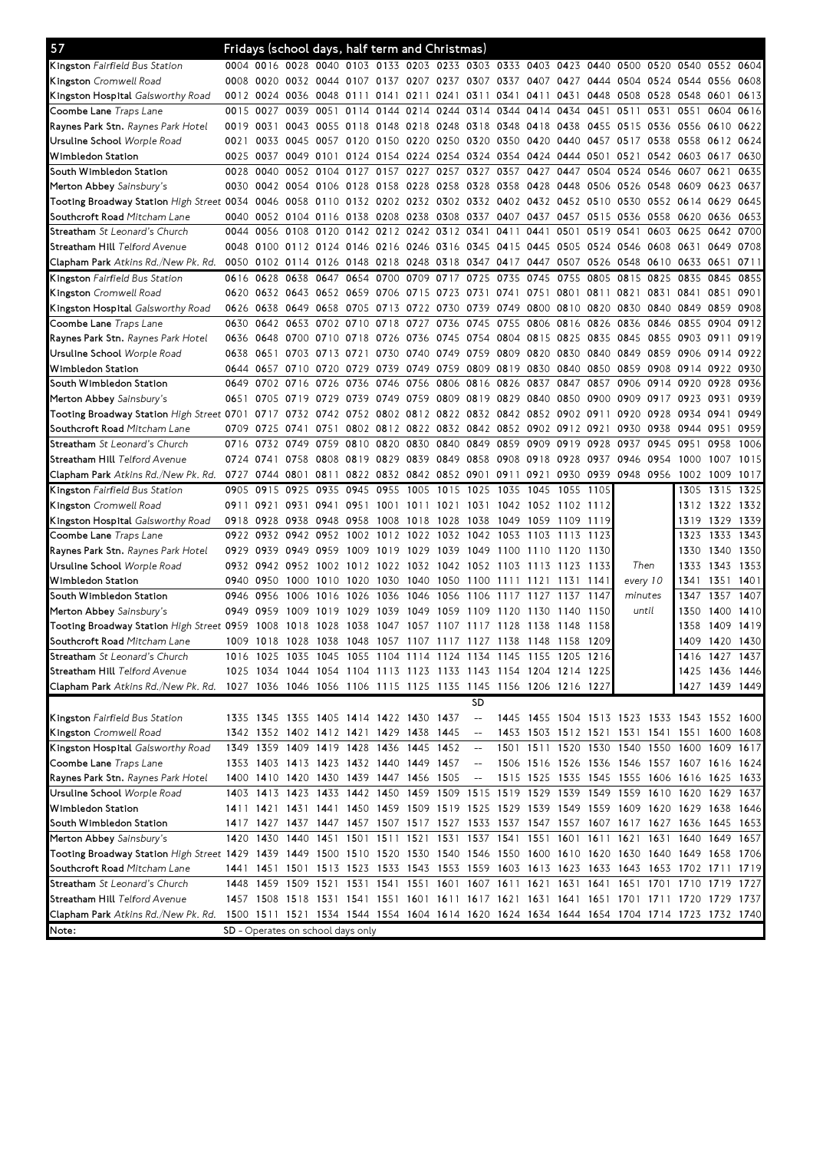| 57                                                                                                                                                         |           |                | Fridays (school days, half term and Christmas)                   |                     |           |                                                             |                     |           |                               |           |                          |           |                |                                                                                           |           |                     |           |                |
|------------------------------------------------------------------------------------------------------------------------------------------------------------|-----------|----------------|------------------------------------------------------------------|---------------------|-----------|-------------------------------------------------------------|---------------------|-----------|-------------------------------|-----------|--------------------------|-----------|----------------|-------------------------------------------------------------------------------------------|-----------|---------------------|-----------|----------------|
| <b>Kingston</b> Fairfield Bus Station                                                                                                                      |           |                |                                                                  |                     |           |                                                             |                     |           |                               |           |                          |           |                | 0004 0016 0028 0040 0103 0133 0203 0233 0303 0333 0403 0423 0440 0500 0520 0540 0552 0604 |           |                     |           |                |
| <b>Kingston</b> Cromwell Road                                                                                                                              | 0008 0020 |                |                                                                  |                     |           | 0032 0044 0107 0137 0207 0237 0307 0337 0407 0427           |                     |           |                               |           |                          |           |                | 0444 0504 0524 0544                                                                       |           |                     | 0556      | 0608           |
| K <b>ingston Hospital</b> Galsworthy Road                                                                                                                  | 0012 0024 |                | 0036                                                             | 0048 0111 0141      |           |                                                             | 0211                | 0241      | 0311                          | 0341      | 0411                     | 0431      |                | 0448 0508 0528 0548                                                                       |           |                     | 0601      | 0613           |
| Coombe Lane <i>Traps Lane</i>                                                                                                                              | 0015 0027 |                | 0039                                                             | 0051                | 0114      |                                                             |                     |           | 0144 0214 0244 0314 0344      |           | 0414                     | 0434      | 0451           | 0511                                                                                      | 0531      | 0551                | 0604      | 0616           |
| Raynes Park Stn. Raynes Park Hotel                                                                                                                         | 0019 0031 |                | 0043                                                             | 0055                | 0118 0148 |                                                             | 0218 0248 0318      |           |                               | 0348 0418 |                          | 0438      | 0455           | 0515                                                                                      | 0536 0556 |                     | 0610      | 0622           |
| Ursuline School <i>Worple Road</i>                                                                                                                         | 0021      | 0033           |                                                                  | 0045 0057 0120 0150 |           |                                                             | 0220 0250 0320      |           |                               |           | 0350 0420 0440           |           | 0457 0517      |                                                                                           | 0538 0558 |                     | 0612 0624 |                |
| Wimbledon Station                                                                                                                                          | 0025 0037 |                |                                                                  |                     |           | 0049 0101 0124 0154 0224 0254 0324 0354 0424 0444 0501 0521 |                     |           |                               |           |                          |           |                |                                                                                           |           | 0542 0603 0617      |           | 0630           |
| South Wimbledon Station                                                                                                                                    | 0028 0040 |                |                                                                  | 0052 0104           |           | 0127 0157 0227                                              |                     | 0257 0327 |                               | 0357      | 0427                     | 0447      | 0504 0524      |                                                                                           | 0546 0607 |                     | 0621      | 0635           |
| Merton Abbey Sainsbury's                                                                                                                                   | 0030      | 0042           |                                                                  | 0054 0106 0128 0158 |           |                                                             | 0228                | 0258 0328 |                               | 0358 0428 |                          | 0448      | 0506           | 0526                                                                                      | 0548 0609 |                     | 0623      | 0637           |
| Tooting Broadway Station High Street 0034 0046                                                                                                             |           |                | 0058                                                             |                     |           | 0110 0132 0202 0232 0302 0332 0402 0432 0452 0510 0530      |                     |           |                               |           |                          |           |                |                                                                                           | 0552 0614 |                     | 0629      | 0645           |
| Southcroft Road Mitcham Lane                                                                                                                               | 0040      | 0052           | 0104 0116                                                        |                     | 0138 0208 |                                                             | 0238                | 0308 0337 |                               | 0407      | 0437                     | 0457      | 0515           | 0536                                                                                      | 0558 0620 |                     | 0636      | 0653           |
| <b>Streatham</b> <i>St Leonard's Church</i>                                                                                                                |           | 0044 0056      | 0108 0120                                                        |                     |           | 0142 0212 0242 0312 0341                                    |                     |           |                               | 0411      | 0441                     | 0501      | 0519           | 0541                                                                                      | 0603 0625 |                     | 0642      | 0700           |
| Streatham Hill <i>Telford Avenue</i>                                                                                                                       |           |                |                                                                  |                     |           |                                                             |                     |           |                               |           |                          |           |                | 0048 0100 0112 0124 0146 0216 0246 0316 0345 0415 0445 0505 0524 0546 0608 0631           |           |                     | 0649      | 0708           |
| <b>Clapham Park</b> Atkins Rd./New Pk. Rd.                                                                                                                 |           |                |                                                                  |                     |           |                                                             |                     |           |                               |           |                          |           |                | 0050 0102 0114 0126 0148 0218 0248 0318 0347 0417 0447 0507 0526 0548 0610 0633           |           |                     | 0651      | 0711           |
| Kingston Fairfield Bus Station                                                                                                                             | 0616 0628 |                | 0638                                                             | 0647 0654 0700      |           |                                                             | 0709 0717 0725      |           |                               | 0735      | 0745                     | 0755      | 0805           | 0815                                                                                      | 0825 0835 |                     | 0845      | 0855           |
| <b>Kingston</b> Cromwell Road                                                                                                                              |           |                | 0620 0632 0643 0652 0659 0706                                    |                     |           |                                                             |                     |           | 0715 0723 0731 0741           |           | 0751                     |           | 0801 0811 0821 |                                                                                           | 0831 0841 |                     | 0851      | 0901           |
| <b>Kingston Hospital</b> Galsworthy Road                                                                                                                   |           |                | 0626 0638 0649 0658 0705 0713 0722 0730 0739                     |                     |           |                                                             |                     |           |                               |           | 0749 0800 0810 0820 0830 |           |                |                                                                                           | 0840 0849 |                     | 0859      | 0908           |
| Coombe Lane <i>Traps Lane</i>                                                                                                                              | 0630      | 0642           | 0653                                                             | 0702                | 0710      | 0718                                                        | 0727                | 0736      | 0745                          | 0755      | 0806                     | 0816      | 0826           | 0836                                                                                      | 0846 0855 |                     | 0904      | 0912           |
| <b>Raynes Park Stn.</b> <i>Raynes Park Hotel</i>                                                                                                           | 0636 0648 |                | 0700 0710 0718 0726                                              |                     |           |                                                             |                     |           | 0736 0745 0754 0804 0815 0825 |           |                          |           | 0835           | 0845                                                                                      | 0855 0903 |                     | 0911      | 0919           |
| Ursuline School <i>Worple Road</i>                                                                                                                         | 0638 0651 |                |                                                                  | 0703 0713 0721      |           | 0730                                                        | 0740 0749 0759      |           |                               |           | 0809 0820 0830 0840 0849 |           |                |                                                                                           | 0859 0906 |                     | 0914      | 0922           |
| Wimbledon Station                                                                                                                                          |           | 0644 0657      |                                                                  | 0710 0720 0729 0739 |           |                                                             | 0749 0759 0809      |           |                               |           | 0819 0830 0840 0850      |           |                | 0859                                                                                      |           | 0908 0914 0922 0930 |           |                |
| South Wimbledon Station                                                                                                                                    |           | 0649 0702      | 0716                                                             | 0726                | 0736 0746 |                                                             | 0756                | 0806 0816 |                               | 0826      | 0837                     | 0847      | 0857           | 0906                                                                                      | 0914 0920 |                     | 0928      | 0936           |
| Merton Abbey Sainsbury's                                                                                                                                   | 0651      | 0705           | 0719                                                             | 0729                | 0739      | 0749                                                        | 0759                | 0809 0819 |                               |           | 0829 0840 0850           |           | 0900           | 0909                                                                                      | 0917      | 0923                | 0931      | 0939           |
| Tooting Broadway Station <i>High Street</i> 0701                                                                                                           |           | 0717           |                                                                  |                     |           | 0732 0742 0752 0802 0812 0822 0832 0842 0852 0902 0911      |                     |           |                               |           |                          |           |                | 0920                                                                                      | 0928 0934 |                     | 0941      | 0949           |
| S <b>outhcroft Road</b> Mitcham Lane                                                                                                                       |           | 0709 0725      | 0741                                                             | 0751                |           | 0802 0812 0822 0832 0842 0852 0902 0912                     |                     |           |                               |           |                          |           | 0921           | 0930                                                                                      | 0938      | 0944                | 0951      | 0959           |
| <b>Streatham</b> <i>St Leonard's Church</i>                                                                                                                | 0716      | 0732           | 0749                                                             | 0759                | 0810      | 0820                                                        | 0830                | 0840 0849 |                               | 0859      | 0909                     | 0919      | 0928           | 0937                                                                                      | 0945      | 0951                | 0958      | 1006           |
| S <b>treatham Hill</b> Telford Avenue                                                                                                                      | 0724 0741 |                |                                                                  |                     |           | 0758 0808 0819 0829 0839 0849 0858                          |                     |           |                               |           | 0908 0918 0928           |           |                | 0937 0946 0954                                                                            |           | 1000                | 1007      | 1015           |
| Clapham Park Atkins Rd./New Pk. Rd.                                                                                                                        |           | 0727 0744 0801 |                                                                  |                     |           | 0811 0822 0832 0842 0852 0901 0911 0921                     |                     |           |                               |           |                          |           |                | 0930 0939 0948 0956 1002                                                                  |           |                     | 1009      | 1017           |
| <b>Kingston</b> Fairfield Bus Station                                                                                                                      |           | 0905 0915      | 0925                                                             | 0935                | 0945 0955 |                                                             | 1005                | 1015 1025 |                               | 1035      | 1045                     | 1055 1105 |                |                                                                                           |           | 1305                | 1315      | 1325           |
| <b>Kingston</b> Cromwell Road                                                                                                                              | 0911      | 0921           | 0931                                                             | 0941                | 0951      | 1001                                                        | 1011                | 1021 1031 |                               | 1042      | 1052                     | 1102 1112 |                |                                                                                           |           | 1312                | 1322 1332 |                |
| Kingston Hospital Galsworthy Road                                                                                                                          | 0918 0928 |                | 0938 0948                                                        |                     | 0958      | 1008                                                        | 1018 1028 1038      |           |                               | 1049      | 1059                     | 1109      | 1119           |                                                                                           |           | 1319                | 1329      | 1339           |
| Coombe Lane <i>Traps Lane</i>                                                                                                                              | 0922      | 0932           | 0942                                                             | 0952                | 1002      |                                                             | 1012 1022 1032 1042 |           |                               | 1053      | 1103                     | 1113      | 1123           |                                                                                           |           | 1323                | 1333      | 1343           |
| <b>Raynes Park Stn.</b> <i>Raynes Park Hotel</i>                                                                                                           |           | 0929 0939      | 0949 0959                                                        |                     | 1009      | 1019                                                        | 1029                | 1039 1049 |                               | 1100      | 1110 1120                |           | 1130           |                                                                                           |           | 1330                | 1340      | 1350           |
| Ursuline School <i>Worple Road</i>                                                                                                                         |           |                | 0932 0942 0952 1002 1012 1022 1032 1042 1052 1103 1113 1123      |                     |           |                                                             |                     |           |                               |           |                          |           | 1133           | Then                                                                                      |           | 1333                | 1343      | 1353           |
| Wimbledon Station                                                                                                                                          | 0940 0950 |                |                                                                  |                     |           | 1000 1010 1020 1030 1040 1050 1100                          |                     |           |                               |           | 1111 1121 1131 1141      |           |                | every 10                                                                                  |           | 1341                | 1351      | 1401           |
| South Wimbledon Station                                                                                                                                    | 0946 0956 |                | 1006                                                             | 1016                | 1026      | 1036                                                        | 1046                | 1056      | 1106                          | 1117      | 1127                     | 1137      | 1147           | minutes                                                                                   |           | 1347                | 1357      | 1407           |
| Merton Abbey Sainsbury's                                                                                                                                   | 0949 0959 |                | 1009                                                             | 1019                | 1029      | 1039                                                        | 1049                | 1059      | 1109                          | 1120      | 1130                     | 1140      | 1150           | until                                                                                     |           | 1350                | 1400      | 1410           |
| Tooting Broadway Station High Street 0959                                                                                                                  |           | 1008           | 018<br>-1                                                        | 1028                | 1038      | 1047                                                        | 1057                | 1107      | 1117                          | 1128      | 1138                     | 1148      | 1158           |                                                                                           |           | 1358                | 1409      | 1419           |
| Southcroft Road Mitcham Lane                                                                                                                               |           | 1009 1018      | 1028 1038 1048 1057 1107 1117 1127 1138 1148 1158                |                     |           |                                                             |                     |           |                               |           |                          |           | 1209           |                                                                                           |           | 1409                | 1420 1430 |                |
| <b>Streatham</b> <i>St Leonard's Church</i>                                                                                                                |           |                | 1016 1025 1035 1045 1055 1104 1114 1124 1134 1145 1155 1205 1216 |                     |           |                                                             |                     |           |                               |           |                          |           |                |                                                                                           |           |                     |           | 1416 1427 1437 |
| S <b>treatham Hill</b> Telford Avenue                                                                                                                      |           |                | 1025 1034 1044 1054 1104 1113 1123 1133 1143 1154 1204 1214 1225 |                     |           |                                                             |                     |           |                               |           |                          |           |                |                                                                                           |           |                     |           | 1425 1436 1446 |
| Clapham Park Atkins Rd./New Pk. Rd.                                                                                                                        |           |                | 1027 1036 1046 1056 1106 1115 1125 1135 1145 1156 1206 1216 1227 |                     |           |                                                             |                     |           |                               |           |                          |           |                |                                                                                           |           |                     |           | 1427 1439 1449 |
|                                                                                                                                                            |           |                |                                                                  |                     |           |                                                             |                     |           | <b>SD</b>                     |           |                          |           |                |                                                                                           |           |                     |           |                |
| <b>Kingston</b> Fairfield Bus Station                                                                                                                      |           |                | 1335 1345 1355 1405 1414 1422 1430 1437                          |                     |           |                                                             |                     |           | $-\!$                         |           |                          |           |                | 1445 1455 1504 1513 1523 1533 1543 1552 1600                                              |           |                     |           |                |
| Kingston Cromwell Road                                                                                                                                     |           |                | 1342 1352 1402 1412 1421 1429 1438 1445                          |                     |           |                                                             |                     |           | $-\!$                         |           |                          |           |                | 1453 1503 1512 1521 1531 1541 1551 1600 1608                                              |           |                     |           |                |
| <b>Kingston Hospital</b> Galsworthy Road                                                                                                                   |           |                | 1349 1359 1409 1419 1428 1436 1445 1452                          |                     |           |                                                             |                     |           | $-\!$                         |           |                          |           |                | 1501 1511 1520 1530 1540 1550 1600 1609 1617                                              |           |                     |           |                |
| Coombe Lane <i>Traps Lane</i>                                                                                                                              |           |                | 1353 1403 1413 1423 1432 1440 1449 1457                          |                     |           |                                                             |                     |           | $-\!$                         |           |                          |           |                | 1506 1516 1526 1536 1546 1557 1607 1616 1624                                              |           |                     |           |                |
| <b>Raynes Park Stn.</b> <i>Raynes Park Hotel</i>                                                                                                           |           |                | 1400 1410 1420 1430 1439 1447 1456 1505                          |                     |           |                                                             |                     |           | $-\!$                         |           |                          |           |                | 1515 1525 1535 1545 1555 1606 1616 1625 1633                                              |           |                     |           |                |
| Ursuline School <i>Worple Road</i>                                                                                                                         |           |                |                                                                  |                     |           |                                                             |                     |           |                               |           |                          |           |                | 1403 1413 1423 1433 1442 1450 1459 1509 1515 1519 1529 1539 1549 1559 1610 1620 1629 1637 |           |                     |           |                |
| Wimbledon Station                                                                                                                                          |           |                |                                                                  |                     |           |                                                             |                     |           |                               |           |                          |           |                | 1411 1421 1431 1441 1450 1459 1509 1519 1525 1529 1539 1549 1559 1609 1620 1629 1638 1646 |           |                     |           |                |
| South Wimbledon Station                                                                                                                                    |           |                |                                                                  |                     |           |                                                             |                     |           |                               |           |                          |           |                | 1417 1427 1437 1447 1457 1507 1517 1527 1533 1537 1547 1557 1607 1617 1627 1636 1645 1653 |           |                     |           |                |
| Merton Abbey Sainsbury's<br>Tooting Broadway Station High Street 1429 1439 1449 1500 1510 1520 1530 1540 1546 1550 1600 1610 1620 1630 1640 1649 1658 1706 |           |                |                                                                  |                     |           |                                                             |                     |           |                               |           |                          |           |                | 1420 1430 1440 1451 1501 1511 1521 1531 1537 1541 1551 1601 1611 1621 1631 1640 1649 1657 |           |                     |           |                |
| S <b>outhcroft Road</b> Mitcham Lane                                                                                                                       |           |                |                                                                  |                     |           |                                                             |                     |           |                               |           |                          |           |                | 1441 1451 1501 1513 1523 1533 1543 1553 1559 1603 1613 1623 1633 1643 1653 1702 1711 1719 |           |                     |           |                |
| <b>Streatham</b> <i>St Leonard's Church</i>                                                                                                                |           |                |                                                                  |                     |           |                                                             |                     |           |                               |           |                          |           |                | 1448 1459 1509 1521 1531 1541 1551 1601 1607 1611 1621 1631 1641 1651 1701 1710 1719 1727 |           |                     |           |                |
| S <b>treatham Hill</b> Telford Avenue                                                                                                                      |           |                |                                                                  |                     |           |                                                             |                     |           |                               |           |                          |           |                | 1457 1508 1518 1531 1541 1551 1601 1611 1617 1621 1631 1641 1651 1701 1711 1720 1729 1737 |           |                     |           |                |
| Clapham Park Atkins Rd./New Pk. Rd.                                                                                                                        |           |                |                                                                  |                     |           |                                                             |                     |           |                               |           |                          |           |                | 1500 1511 1521 1534 1544 1554 1604 1614 1620 1624 1634 1644 1654 1704 1714 1723 1732 1740 |           |                     |           |                |
| Note:                                                                                                                                                      |           |                | SD - Operates on school days only                                |                     |           |                                                             |                     |           |                               |           |                          |           |                |                                                                                           |           |                     |           |                |
|                                                                                                                                                            |           |                |                                                                  |                     |           |                                                             |                     |           |                               |           |                          |           |                |                                                                                           |           |                     |           |                |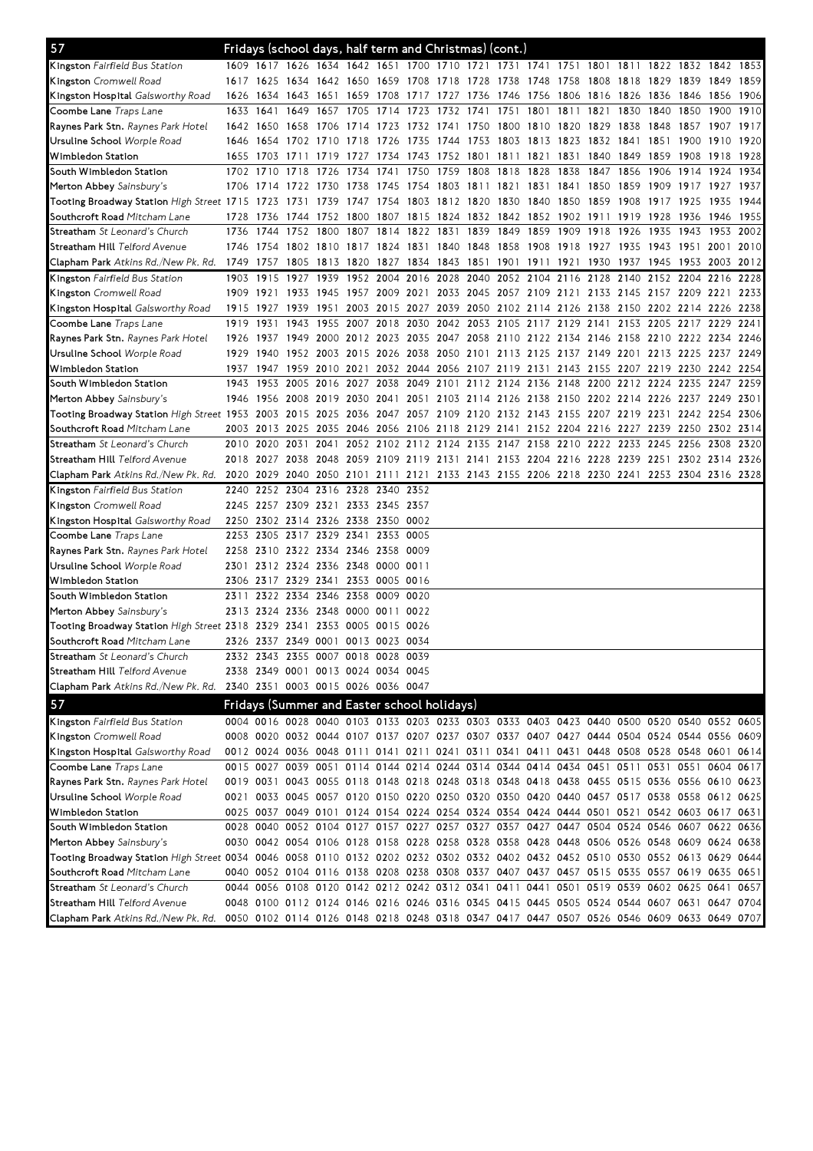| 57                                                                                                                             |           |           |           | Fridays (school days, half term and Christmas) (cont.)                                    |      |                                                                       |                     |                |      |                |      |                                                             |      |           |      |           |      |
|--------------------------------------------------------------------------------------------------------------------------------|-----------|-----------|-----------|-------------------------------------------------------------------------------------------|------|-----------------------------------------------------------------------|---------------------|----------------|------|----------------|------|-------------------------------------------------------------|------|-----------|------|-----------|------|
| <b>Kingston</b> Fairfield Bus Station                                                                                          |           |           |           | 1609 1617 1626 1634 1642 1651 1700 1710 1721 1731 1741 1751 1801 1811 1822 1832 1842 1853 |      |                                                                       |                     |                |      |                |      |                                                             |      |           |      |           |      |
| <b>Kingston</b> Cromwell Road                                                                                                  |           |           |           | 1617 1625 1634 1642 1650 1659 1708 1718 1728 1738 1748 1758 1808 1818 1829 1839           |      |                                                                       |                     |                |      |                |      |                                                             |      |           |      | 1849 1859 |      |
| <b>Kingston Hospital</b> Galsworthy Road                                                                                       |           |           |           | 1626 1634 1643 1651 1659 1708 1717 1727 1736 1746 1756 1806 1816 1826 1836 1846           |      |                                                                       |                     |                |      |                |      |                                                             |      |           |      | 1856 1906 |      |
| Coombe Lane <i>Traps Lane</i>                                                                                                  |           | 1633 1641 |           | 1649 1657 1705                                                                            |      |                                                                       | 1714 1723 1732 1741 |                | 1751 |                |      | 1801 1811 1821 1830                                         |      | 1840      | 1850 | 1900      | 1910 |
| <b>Raynes Park Stn.</b> <i>Raynes Park Hotel</i>                                                                               |           | 1642 1650 | 1658      | - 1706                                                                                    | 1714 | 1723                                                                  |                     | 1732 1741 1750 |      | 1800 1810 1820 |      | 1829                                                        | 1838 | 1848 1857 |      | 1907      | 1917 |
| Ursuline School <i>Worple Road</i>                                                                                             |           | 1646 1654 |           | 1702 1710 1718                                                                            |      | 1726                                                                  |                     | 1735 1744 1753 |      |                |      | 1803 1813 1823 1832 1841 1851 1900                          |      |           |      | 1910 1920 |      |
| Wimbledon Station                                                                                                              |           | 1655 1703 | 1711      | 1719 1727                                                                                 |      |                                                                       |                     |                |      |                |      | 1734 1743 1752 1801 1811 1821 1831 1840 1849                |      | 1859 1908 |      | 1918      | 1928 |
| South Wimbledon Station                                                                                                        |           | 1702 1710 | 1718      | 1726 1734                                                                                 |      | 1741                                                                  | 1750                | 1759 1808      | 1818 | 1828           | 1838 | 1847                                                        | 1856 | 1906      | 1914 | 1924      | 1934 |
| Merton Abbey Sainsbury's                                                                                                       |           |           |           | 1706 1714 1722 1730 1738 1745 1754 1803 1811 1821 1831 1841 1850 1859 1909 1917 1927 1937 |      |                                                                       |                     |                |      |                |      |                                                             |      |           |      |           |      |
| Tooting Broadway Station High Street 1715 1723                                                                                 |           |           |           | 1731 1739 1747 1754 1803 1812 1820                                                        |      |                                                                       |                     |                |      |                |      | 1830 1840 1850 1859 1908 1917 1925                          |      |           |      | 1935 1944 |      |
| Southcroft Road Mitcham Lane                                                                                                   | 1728 1736 |           |           | 1744 1752 1800 1807 1815 1824 1832 1842 1852 1902 1911 1919 1928 1936                     |      |                                                                       |                     |                |      |                |      |                                                             |      |           |      | 1946      | 1955 |
| <b>Streatham</b> <i>St Leonard's Church</i>                                                                                    |           | 1736 1744 |           | 1752 1800 1807 1814 1822 1831 1839 1849 1859                                              |      |                                                                       |                     |                |      |                |      | 1909 1918 1926                                              |      | 1935 1943 |      | 1953      | 2002 |
| Streatham Hill <i>Telford Avenue</i>                                                                                           |           | 1746 1754 |           | 1802 1810 1817 1824 1831 1840 1848                                                        |      |                                                                       |                     |                |      |                |      | 1858 1908 1918 1927 1935 1943 1951                          |      |           |      | 2001      | 2010 |
| <b>Clapham Park</b> Atkins Rd./New Pk. Rd.                                                                                     |           |           |           | 1749 1757 1805 1813 1820 1827 1834 1843 1851 1901 1911 1921 1930 1937 1945 1953 2003 2012 |      |                                                                       |                     |                |      |                |      |                                                             |      |           |      |           |      |
| <b>Kingston</b> Fairfield Bus Station                                                                                          | 1903      | 1915      | 1927      | 1939                                                                                      |      | 1952 2004                                                             | 2016                | 2028 2040      |      | 2052 2104 2116 |      | 2128                                                        | 2140 | 2152 2204 |      | 2216      | 2228 |
| <b>Kingston</b> Cromwell Road                                                                                                  |           | 1909 1921 |           | 1933 1945 1957 2009 2021 2033 2045 2057 2109 2121 2133 2145 2157 2209 2221                |      |                                                                       |                     |                |      |                |      |                                                             |      |           |      |           | 2233 |
| Kingston Hospital Galsworthy Road                                                                                              | 1915 1927 |           | 1939 1951 |                                                                                           |      | 2003 2015 2027 2039 2050 2102 2114 2126 2138 2150 2202 2214 2226 2238 |                     |                |      |                |      |                                                             |      |           |      |           |      |
| Coombe Lane <i>Traps Lane</i>                                                                                                  | 1919 1931 |           | 1943      |                                                                                           |      | 1955 2007 2018 2030                                                   |                     |                |      |                |      | 2042 2053 2105 2117 2129 2141 2153 2205 2217 2229 2241      |      |           |      |           |      |
| <b>Raynes Park Stn.</b> Raynes Park Hotel                                                                                      | 1926 1937 |           |           | 1949 2000 2012 2023 2035 2047 2058 2110 2122 2134 2146 2158 2210 2222 2234 2246           |      |                                                                       |                     |                |      |                |      |                                                             |      |           |      |           |      |
| Ursuline School <i>Worple Road</i>                                                                                             |           | 1929 1940 |           | 1952 2003 2015 2026 2038 2050 2101 2113 2125 2137 2149 2201 2213 2225 2237                |      |                                                                       |                     |                |      |                |      |                                                             |      |           |      |           | 2249 |
| Wimbledon Station                                                                                                              |           |           |           | 1937 1947 1959 2010 2021 2032 2044 2056 2107 2119 2131 2143 2155 2207 2219 2230 2242 2254 |      |                                                                       |                     |                |      |                |      |                                                             |      |           |      |           |      |
| South Wimbledon Station                                                                                                        | 1943      | 1953      |           | 2005 2016 2027 2038                                                                       |      |                                                                       |                     |                |      |                |      | 2049 2101 2112 2124 2136 2148 2200 2212 2224 2235 2247 2259 |      |           |      |           |      |
| Merton Abbey Sainsbury's                                                                                                       |           |           |           | 1946 1956 2008 2019 2030 2041 2051 2103 2114 2126 2138 2150 2202 2214 2226 2237 2249 2301 |      |                                                                       |                     |                |      |                |      |                                                             |      |           |      |           |      |
| Tooting Broadway Station High Street 1953 2003                                                                                 |           |           |           | 2015 2025 2036 2047 2057 2109 2120 2132 2143 2155 2207 2219 2231 2242 2254 2306           |      |                                                                       |                     |                |      |                |      |                                                             |      |           |      |           |      |
| Southcroft Road Mitcham Lane                                                                                                   |           |           |           | 2003 2013 2025 2035 2046 2056 2106 2118 2129 2141 2152 2204 2216 2227 2239 2250 2302 2314 |      |                                                                       |                     |                |      |                |      |                                                             |      |           |      |           |      |
| Streatham St Leonard's Church                                                                                                  |           | 2010 2020 | 2031      | 2041                                                                                      |      | 2052 2102 2112 2124 2135 2147 2158 2210 2222 2233                     |                     |                |      |                |      |                                                             |      | 2245 2256 |      | 2308      | 2320 |
| S <b>treatham Hill</b> Telford Avenue                                                                                          |           |           |           | 2018 2027 2038 2048 2059 2109 2119 2131 2141 2153 2204 2216 2228 2239 2251 2302 2314 2326 |      |                                                                       |                     |                |      |                |      |                                                             |      |           |      |           |      |
| Clapham Park Atkins Rd./New Pk. Rd.                                                                                            | 2020 2029 |           |           | 2040 2050 2101 2111 2121 2133 2143 2155 2206 2218 2230 2241 2253 2304 2316 2328           |      |                                                                       |                     |                |      |                |      |                                                             |      |           |      |           |      |
| <b>Kingston</b> Fairfield Bus Station                                                                                          |           |           |           | 2240 2252 2304 2316 2328 2340 2352                                                        |      |                                                                       |                     |                |      |                |      |                                                             |      |           |      |           |      |
| <b>Kingston</b> Cromwell Road                                                                                                  |           |           |           | 2245 2257 2309 2321 2333 2345 2357                                                        |      |                                                                       |                     |                |      |                |      |                                                             |      |           |      |           |      |
|                                                                                                                                |           |           |           | 2250 2302 2314 2326 2338 2350 0002                                                        |      |                                                                       |                     |                |      |                |      |                                                             |      |           |      |           |      |
| <b>Kingston Hospital</b> Galsworthy Road                                                                                       |           | 2253 2305 |           | 2317 2329 2341 2353 0005                                                                  |      |                                                                       |                     |                |      |                |      |                                                             |      |           |      |           |      |
| <b>Coombe Lane</b> Traps Lane                                                                                                  |           | 2258 2310 |           |                                                                                           |      |                                                                       | 0009                |                |      |                |      |                                                             |      |           |      |           |      |
| <b>Raynes Park Stn.</b> <i>Raynes Park Hotel</i>                                                                               |           |           |           | 2322 2334 2346 2358                                                                       |      |                                                                       |                     |                |      |                |      |                                                             |      |           |      |           |      |
| Ursuline School <i>Worple Road</i>                                                                                             |           |           |           | 2301 2312 2324 2336 2348 0000 0011                                                        |      |                                                                       |                     |                |      |                |      |                                                             |      |           |      |           |      |
| Wimbledon Station                                                                                                              |           |           |           | 2306 2317 2329 2341 2353 0005 0016<br>2311 2322 2334 2346 2358 0009 0020                  |      |                                                                       |                     |                |      |                |      |                                                             |      |           |      |           |      |
| South Wimbledon Station                                                                                                        |           |           |           |                                                                                           |      |                                                                       |                     |                |      |                |      |                                                             |      |           |      |           |      |
| Merton Abbey Sainsbury's                                                                                                       |           |           |           | 2313 2324 2336 2348 0000 0011 0022                                                        |      |                                                                       |                     |                |      |                |      |                                                             |      |           |      |           |      |
| Tooting Broadway Station High Street 2318 2329 2341                                                                            |           |           |           | 2353<br>2326 2337 2349 0001 0013 0023 0034                                                |      | 0005 0015 0026                                                        |                     |                |      |                |      |                                                             |      |           |      |           |      |
| S <b>outhcroft Road</b> Mitcham Lane                                                                                           |           |           |           |                                                                                           |      |                                                                       |                     |                |      |                |      |                                                             |      |           |      |           |      |
| Streatham St Leonard's Church                                                                                                  |           |           |           | 2332 2343 2355 0007 0018 0028 0039                                                        |      |                                                                       |                     |                |      |                |      |                                                             |      |           |      |           |      |
| S <b>treatham Hill</b> Telford Avenue                                                                                          |           |           |           | 2338 2349 0001 0013 0024 0034 0045                                                        |      |                                                                       |                     |                |      |                |      |                                                             |      |           |      |           |      |
| Clapham Park Atkins Rd./New Pk. Rd.                                                                                            |           |           |           | 2340 2351 0003 0015 0026 0036 0047                                                        |      |                                                                       |                     |                |      |                |      |                                                             |      |           |      |           |      |
| 57                                                                                                                             |           |           |           | Fridays (Summer and Easter school holidays)                                               |      |                                                                       |                     |                |      |                |      |                                                             |      |           |      |           |      |
| Kingston Fairfield Bus Station                                                                                                 |           |           |           | 0004 0016 0028 0040 0103 0133 0203 0233 0303 0333 0403 0423 0440 0500 0520 0540 0552 0605 |      |                                                                       |                     |                |      |                |      |                                                             |      |           |      |           |      |
| Kingston Cromwell Road                                                                                                         |           |           |           | 0008 0020 0032 0044 0107 0137 0207 0237 0307 0337 0407 0427 0444 0504 0524 0544 0556 0609 |      |                                                                       |                     |                |      |                |      |                                                             |      |           |      |           |      |
| <b>Kingston Hospital</b> Galsworthy Road                                                                                       |           |           |           | 0012 0024 0036 0048 0111 0141 0211 0241 0311 0341 0411 0431 0448 0508 0528 0548 0601 0614 |      |                                                                       |                     |                |      |                |      |                                                             |      |           |      |           |      |
| Coombe Lane Traps Lane                                                                                                         |           |           |           | 0015 0027 0039 0051 0114 0144 0214 0244 0314 0344 0414 0434 0451 0511 0531 0551 0604 0617 |      |                                                                       |                     |                |      |                |      |                                                             |      |           |      |           |      |
| Raynes Park Stn. Raynes Park Hotel                                                                                             |           |           |           | 0019 0031 0043 0055 0118 0148 0218 0248 0318 0348 0418 0438 0455 0515 0536 0556 0610 0623 |      |                                                                       |                     |                |      |                |      |                                                             |      |           |      |           |      |
| Ursuline School <i>Worple Road</i>                                                                                             |           |           |           | 0021 0033 0045 0057 0120 0150 0220 0250 0320 0350 0420 0440 0457 0517 0538 0558 0612 0625 |      |                                                                       |                     |                |      |                |      |                                                             |      |           |      |           |      |
| Wimbledon Station                                                                                                              |           |           |           | 0025 0037 0049 0101 0124 0154 0224 0254 0324 0354 0424 0444 0501 0521 0542 0603 0617 0631 |      |                                                                       |                     |                |      |                |      |                                                             |      |           |      |           |      |
| South Wimbledon Station                                                                                                        |           |           |           | 0028 0040 0052 0104 0127 0157 0227 0257 0327 0357 0427 0447 0504 0524 0546 0607 0622 0636 |      |                                                                       |                     |                |      |                |      |                                                             |      |           |      |           |      |
| Merton Abbey Sainsbury's                                                                                                       |           |           |           | 0030 0042 0054 0106 0128 0158 0228 0258 0328 0358 0428 0448 0506 0526 0548 0609 0624 0638 |      |                                                                       |                     |                |      |                |      |                                                             |      |           |      |           |      |
| Tooting Broadway Station High Street 0034 0046 0058 0110 0132 0202 0232 0302 0332 0402 0432 0452 0510 0530 0552 0613 0629 0644 |           |           |           |                                                                                           |      |                                                                       |                     |                |      |                |      |                                                             |      |           |      |           |      |
|                                                                                                                                |           |           |           | 0040 0052 0104 0116 0138 0208 0238 0308 0337 0407 0437 0457 0515 0535 0557 0619 0635 0651 |      |                                                                       |                     |                |      |                |      |                                                             |      |           |      |           |      |
| S <b>outhcroft Road</b> Mitcham Lane                                                                                           |           |           |           |                                                                                           |      |                                                                       |                     |                |      |                |      |                                                             |      |           |      |           |      |
| Streatham St Leonard's Church                                                                                                  |           |           |           | 0044 0056 0108 0120 0142 0212 0242 0312 0341 0411 0441 0501 0519 0539 0602 0625 0641 0657 |      |                                                                       |                     |                |      |                |      |                                                             |      |           |      |           |      |
| Streatham Hill Telford Avenue                                                                                                  |           |           |           | 0048 0100 0112 0124 0146 0216 0246 0316 0345 0415 0445 0505 0524 0544 0607 0631 0647 0704 |      |                                                                       |                     |                |      |                |      |                                                             |      |           |      |           |      |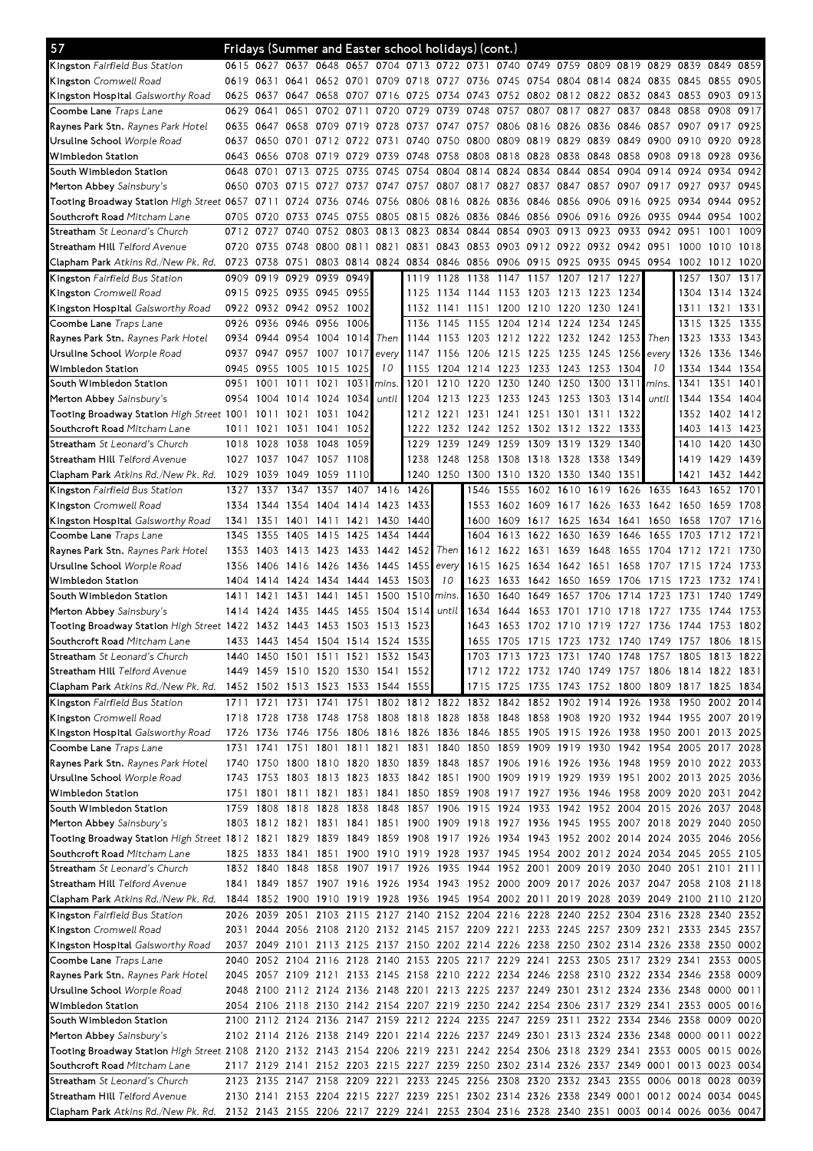| 57                                                                                                                             |           |           | Fridays (Summer and Easter school holidays) (cont.)                                       |                     |                |       |                                                                                 |                |                               |                |                |                     |                                    |                |           |                                                        |           |      |
|--------------------------------------------------------------------------------------------------------------------------------|-----------|-----------|-------------------------------------------------------------------------------------------|---------------------|----------------|-------|---------------------------------------------------------------------------------|----------------|-------------------------------|----------------|----------------|---------------------|------------------------------------|----------------|-----------|--------------------------------------------------------|-----------|------|
| <b>Kingston</b> Fairfield Bus Station                                                                                          |           |           | 0615 0627 0637 0648 0657 0704 0713 0722 0731 0740 0749 0759 0809 0819 0829 0839 0849 0859 |                     |                |       |                                                                                 |                |                               |                |                |                     |                                    |                |           |                                                        |           |      |
| Kingston Cromwell Road                                                                                                         |           | 0619 0631 | 0641                                                                                      |                     | 0652 0701      |       | 0709 0718 0727 0736                                                             |                |                               |                |                |                     | 0745 0754 0804 0814 0824 0835 0845 |                |           |                                                        | 0855      | 0905 |
| Kingston Hospital Galsworthy Road                                                                                              |           | 0625 0637 | 0647                                                                                      | 0658                | 0707           | 0716  | 0725                                                                            | 0734 0743      |                               |                |                |                     | 0752 0802 0812 0822 0832 0843 0853 |                |           |                                                        | 0903      | 0913 |
| Coombe Lane <i>Traps Lane</i>                                                                                                  |           | 0629 0641 | 0651                                                                                      | 0702                | 0711           | 0720  | 0729                                                                            | 0739           | 0748                          | 0757           | 0807           | 0817                | 0827                               | 0837           | 0848 0858 |                                                        | 0908      | 0917 |
| <b>Raynes Park Stn.</b> <i>Raynes Park Hotel</i>                                                                               |           | 0635 0647 | 0658                                                                                      | 0709                | 0719           | 0728  | 0737                                                                            |                | 0747 0757 0806 0816 0826 0836 |                |                |                     |                                    | 0846           | 0857 0907 |                                                        | 0917      | 0925 |
| Ursuline School <i>Worple Road</i>                                                                                             | 0637      | 0650      | 0701                                                                                      |                     | 0712 0722      | 0731  | 0740                                                                            | 0750 0800      |                               | 0809 0819      |                | 0829                | 0839                               | 0849           | 0900 0910 |                                                        | 0920      | 0928 |
| Wimbledon Station                                                                                                              |           | 0643 0656 | 0708 0719                                                                                 |                     | 0729 0739      |       |                                                                                 | 0748 0758 0808 |                               |                |                | 0818 0828 0838 0848 |                                    | 0858           | 0908 0918 |                                                        | 0928 0936 |      |
| South Wimbledon Station                                                                                                        | 0648 0701 |           |                                                                                           | 0713 0725           | 0735           | 0745  | 0754                                                                            |                | 0804 0814                     | 0824           | 0834           | 0844                | 0854                               | 0904           | 0914      | 0924                                                   | 0934      | 0942 |
| Merton Abbey Sainsbury's                                                                                                       |           | 0650 0703 | 0715                                                                                      | 0727                | 0737           | 0747  | 0757                                                                            |                | 0807 0817 0827                |                | 0837           | 0847                | 0857                               | 0907           | 0917      | 0927                                                   | 0937      | 0945 |
| Tooting Broadway Station High Street 0657                                                                                      |           | 0711      | 0724                                                                                      | 0736                | 0746           | 0756  |                                                                                 | 0806 0816 0826 |                               |                | 0836 0846 0856 |                     | 0906                               | 0916           | 0925 0934 |                                                        | 0944      | 0952 |
| Southcroft Road Mitcham Lane                                                                                                   |           | 0705 0720 | 0733                                                                                      | 0745                | 0755           | 0805  | 0815                                                                            | 0826 0836      |                               | 0846 0856      |                | 0906                | 0916                               | 0926           |           | 0935 0944                                              | 0954      | 1002 |
| <b>Streatham</b> <i>St Leonard's Church</i>                                                                                    |           | 0712 0727 | 0740                                                                                      | 0752                | 0803           | 0813  | 0823                                                                            | 0834           | 0844                          | 0854           | 0903           | 0913                | 0923                               | 0933           | 0942      | 0951                                                   | 1001      | 1009 |
| S <b>treatham Hill</b> Telford Avenue                                                                                          |           | 0720 0735 |                                                                                           | 0748 0800 0811 0821 |                |       | 0831                                                                            | 0843 0853      |                               |                |                |                     | 0903 0912 0922 0932 0942 0951      |                |           | 1000                                                   | 1010      | 1018 |
| Clapham Park Atkins Rd./New Pk. Rd.                                                                                            |           | 0723 0738 | 0751                                                                                      |                     | 0803 0814 0824 |       |                                                                                 | 0834 0846 0856 |                               |                |                | 0906 0915 0925 0935 |                                    | 0945 0954 1002 |           |                                                        | 1012 1020 |      |
| Kingston Fairfield Bus Station                                                                                                 | 0909      | 0919      | 0929                                                                                      | 0939                | 0949           |       | 1119                                                                            | 1128 1138      |                               | 1147           | 1157           | 1207                | 1217                               | 1227           |           | 1257                                                   | 1307      | 1317 |
| <b>Kingston</b> Cromwell Road                                                                                                  |           | 0915 0925 | 0935 0945                                                                                 |                     | 0955           |       | 1125                                                                            | 1134 1144      |                               | 1153 1203 1213 |                |                     | 1223                               | 1234           |           | 1304                                                   | 1314 1324 |      |
| Kingston Hospital Galsworthy Road                                                                                              |           |           | 0922 0932 0942 0952                                                                       |                     | 1002           |       |                                                                                 | 1132 1141 1151 |                               |                | 1200 1210 1220 |                     | 1230                               | 1241           |           | 1311                                                   | 1321      | 1331 |
| Coombe Lane <i>Traps Lane</i>                                                                                                  |           | 0926 0936 |                                                                                           | 0946 0956           | 1006           |       | 1136                                                                            | 1145 1155      |                               | 1204           | 1214           | 1224                | 1234                               | 1245           |           | 1315                                                   | 1325      | 1335 |
| <b>Raynes Park Stn.</b> <i>Raynes Park Hotel</i>                                                                               |           | 0934 0944 | 0954 1004                                                                                 |                     | 1014           | Then  | 1144                                                                            | 1153 1203      |                               | 1212 1222 1232 |                |                     | 1242                               | 1253           | Then      | 1323                                                   | 1333      | 1343 |
| Ursuline School <i>Worple Road</i>                                                                                             |           | 0937 0947 | 0957                                                                                      | 1007                | 1017           | every | 1147                                                                            | 1156           | 1206                          |                | 1215 1225 1235 |                     | 1245                               | 1256           | every     | 1326                                                   | 1336      | 1346 |
| Wimbledon Station                                                                                                              |           | 0945 0955 | 1005                                                                                      | 1015                | 1025           | 10    | 1155                                                                            |                | 1204 1214                     | 1223 1233 1243 |                |                     | -1253                              | 1304           | 10        | 1334                                                   | 1344      | 1354 |
| South Wimbledon Station                                                                                                        | 0951      | 1001      | 1011                                                                                      | 1021                | 103            | mins. | 1201                                                                            | 1210           | 1220                          | 1230           | 1240           | 1250                | 1300                               | 1311           | mins.     | 1341                                                   | 1351      | 1401 |
| Merton Abbey Sainsbury's                                                                                                       | 0954      | 1004      | 1014                                                                                      | 1024                | 1034           | until | 1204                                                                            | 1213           | 1223                          | 1233           | 1243           | 1253                | 1303                               | 1314           | until     | 1344                                                   | 1354      | 1404 |
| Tooting Broadway Station High Street 1001                                                                                      |           | 1011      | 1021                                                                                      | 1031                | 1042           |       | 1212                                                                            | 1221           | 1231                          | 1241           | 1251           | 1301                | 1311                               | 1322           |           | 1352                                                   | 1402      | 1412 |
| Southcroft Road Mitcham Lane                                                                                                   | 1011      | 1021      | 1031                                                                                      | 1041                | 1052           |       | 1222                                                                            | 1232 1242      |                               | 1252           | 1302 1312      |                     | 1322                               | 1333           |           | 1403                                                   | 1413      | 1423 |
| <b>Streatham</b> <i>St Leonard's Church</i>                                                                                    | 1018      | 1028      | 1038                                                                                      | 1048                | 1059           |       | 1229                                                                            | 1239           | 1249                          | 1259           | 1309           | 1319                | 1329                               | 1340           |           | 1410                                                   | 1420      | 1430 |
| S <b>treatham Hill</b> Telford Avenue                                                                                          | 1027      | 1037      | 1047 1057                                                                                 |                     | 1108           |       | 1238                                                                            | 1248           | 1258                          | 1308           | 1318 1328      |                     | 1338                               | 1349           |           | 1419                                                   | 1429      | 1439 |
| Clapham Park Atkins Rd./New Pk. Rd.                                                                                            |           | 1029 1039 |                                                                                           | 1049 1059 1110      |                |       |                                                                                 | 1240 1250 1300 |                               |                |                |                     | 1310 1320 1330 1340 1351           |                |           | 1421                                                   | 1432 1442 |      |
| <b>Kingston</b> Fairfield Bus Station                                                                                          | 1327      | 1337      | 1347                                                                                      | 1357                | 1407           | 1416  | 1426                                                                            |                | 1546                          | 1555           |                | 1602 1610           | 1619                               |                | 1626 1635 | 1643                                                   | 1652      | 1701 |
| <b>Kingston</b> Cromwell Road                                                                                                  | 1334      | 1344      | 1354                                                                                      | 1404 1414           |                | 1423  | 1433                                                                            |                | 1553                          | 1602           | 1609           | 1617                | 1626                               | 1633           | 1642 1650 |                                                        | 1659      | 1708 |
| <b>Kingston Hospital</b> Galsworthy Road                                                                                       | 1341      | 1351      | 1401                                                                                      | 1411                | 1421           | 1430  | 1440                                                                            |                | 1600                          | 1609           | 1617           | 1625                | 1634                               | 1641           | 1650      | 1658                                                   | 1707      | 1716 |
| Coombe Lane <i>Traps Lane</i>                                                                                                  | 1345      | 1355      | 1405                                                                                      | 1415                | 1425           | 1434  | 1444                                                                            |                | 1604                          | 1613           | 1622           | 1630                | 1639                               | 1646           | 1655      | 1703                                                   | 1712      | 1721 |
| <b>Raynes Park Stn.</b> <i>Raynes Park Hotel</i>                                                                               | 1353      | 1403      |                                                                                           | 1413 1423 1433      |                | 1442  | 1452                                                                            | Then           | 1612                          | 1622           | 1631           | 1639                | 1648                               | 1655           | 1704 1712 |                                                        | 1721      | 1730 |
| Ursuline School <i>Worple Road</i>                                                                                             | 1356      | 1406      |                                                                                           | 1416 1426           | 1436           | 1445  | 1455                                                                            | every          | 1615                          | 1625           | 1634           | 1642                | 1651                               | 1658           | 1707      | 1715                                                   | 1724      | 1733 |
| Wimbledon Station                                                                                                              |           | 1404 1414 |                                                                                           | 1424 1434 1444      |                | 1453  | 1503                                                                            | 10             | 1623                          | 1633           | 1642 1650      |                     | 1659                               | 1706           | 1715      | 1723                                                   | 1732      | 1741 |
| South Wimbledon Station                                                                                                        | 1411      | 1421      | 1431                                                                                      | 1441                | 1451           | 1500  | 1510                                                                            | mins.          | 1630                          | 1640           | 1649           | 1657                | 1706                               | 1714           | 1723      | 1731                                                   | 1740      | 1749 |
| Merton Abbey Sainsbury's                                                                                                       | 1414      | 1424      | 1435                                                                                      | 1445                | 1455           | 1504  | 1514                                                                            | until          | 1634                          | 1644           | 53<br>16       | 1701                | 10                                 | 1718           | 1727      | 1735                                                   | 1744      | 1753 |
| Tooting Broadway Station High Street 1422                                                                                      |           | 1432      | 1443                                                                                      | 1453                | 1503           | 1513  | 1523                                                                            |                | 1643                          | 1653           | 1702           | 1710                | 1719                               | 1727           | 1736      | 1744                                                   | 1753      | 1802 |
| Southcroft Road Mitcham Lane                                                                                                   |           |           | 1433 1443 1454 1504 1514 1524 1535                                                        |                     |                |       |                                                                                 |                | 1655                          |                |                |                     |                                    |                |           | 1705 1715 1723 1732 1740 1749 1757 1806 1815           |           |      |
| <b>Streatham</b> <i>St Leonard's Church</i>                                                                                    |           |           | 1440 1450 1501 1511 1521 1532 1543                                                        |                     |                |       |                                                                                 |                |                               |                |                |                     |                                    |                |           | 1703 1713 1723 1731 1740 1748 1757 1805 1813 1822      |           |      |
| S <b>treatham Hill</b> Telford Avenue                                                                                          |           |           | 1449 1459 1510 1520 1530 1541 1552                                                        |                     |                |       |                                                                                 |                |                               |                |                |                     |                                    |                |           | 1712 1722 1732 1740 1749 1757 1806 1814 1822 1831      |           |      |
| Clapham Park <i>Atkins Rd./New Pk. Rd.</i>                                                                                     |           |           | 1452 1502 1513 1523 1533 1544 1555                                                        |                     |                |       |                                                                                 |                |                               |                |                |                     |                                    |                |           | 1715 1725 1735 1743 1752 1800 1809 1817 1825 1834      |           |      |
| <b>Kingston</b> Fairfield Bus Station                                                                                          |           | 1711 1721 |                                                                                           |                     |                |       | 1731 1741 1751 1802 1812 1822 1832 1842 1852 1902 1914 1926 1938 1950 2002 2014 |                |                               |                |                |                     |                                    |                |           |                                                        |           |      |
| Kingston Cromwell Road                                                                                                         |           | 1718 1728 |                                                                                           |                     |                |       | 1738 1748 1758 1808 1818 1828 1838 1848 1858 1908 1920 1932 1944 1955 2007 2019 |                |                               |                |                |                     |                                    |                |           |                                                        |           |      |
| <b>Kingston Hospital</b> Galsworthy Road                                                                                       |           | 1726 1736 |                                                                                           |                     |                |       | 1746 1756 1806 1816 1826 1836 1846 1855 1905 1915 1926 1938 1950 2001 2013 2025 |                |                               |                |                |                     |                                    |                |           |                                                        |           |      |
| <b>Coombe Lane</b> Traps Lane                                                                                                  | 1731      | 1741      | 1751                                                                                      |                     |                |       | 1801 1811 1821 1831                                                             |                |                               |                |                |                     |                                    |                |           | 1840 1850 1859 1909 1919 1930 1942 1954 2005 2017 2028 |           |      |
| Raynes Park Stn. Raynes Park Hotel                                                                                             |           |           | 1740 1750 1800 1810 1820 1830 1839 1848 1857 1906 1916 1926 1936 1948 1959 2010 2022 2033 |                     |                |       |                                                                                 |                |                               |                |                |                     |                                    |                |           |                                                        |           |      |
| Ursuline School <i>Worple Road</i>                                                                                             |           |           | 1743 1753 1803 1813 1823 1833 1842 1851 1900 1909 1919 1929 1939 1951 2002 2013 2025 2036 |                     |                |       |                                                                                 |                |                               |                |                |                     |                                    |                |           |                                                        |           |      |
| Wimbledon Station                                                                                                              |           |           | 1751 1801 1811 1821 1831 1841 1850 1859 1908 1917 1927 1936 1946 1958 2009 2020 2031      |                     |                |       |                                                                                 |                |                               |                |                |                     |                                    |                |           |                                                        |           | 2042 |
| South Wimbledon Station                                                                                                        |           |           | 1759 1808 1818 1828 1838 1848 1857 1906 1915 1924 1933 1942 1952 2004 2015 2026 2037      |                     |                |       |                                                                                 |                |                               |                |                |                     |                                    |                |           |                                                        |           | 2048 |
| Merton Abbey Sainsbury's                                                                                                       |           |           | 1803 1812 1821 1831 1841 1851 1900 1909 1918 1927 1936 1945 1955 2007 2018 2029 2040 2050 |                     |                |       |                                                                                 |                |                               |                |                |                     |                                    |                |           |                                                        |           |      |
| Tooting Broadway Station High Street 1812 1821 1829 1839 1849 1859 1908 1917 1926 1934 1943 1952 2002 2014 2024 2035 2046 2056 |           |           |                                                                                           |                     |                |       |                                                                                 |                |                               |                |                |                     |                                    |                |           |                                                        |           |      |
| S <b>outhcroft Road</b> Mitcham Lane                                                                                           |           | 1825 1833 |                                                                                           |                     |                |       | 1841 1851 1900 1910 1919 1928 1937 1945 1954 2002 2012 2024 2034 2045 2055 2105 |                |                               |                |                |                     |                                    |                |           |                                                        |           |      |
| Streatham St Leonard's Church                                                                                                  |           | 1832 1840 |                                                                                           |                     |                |       | 1848 1858 1907 1917 1926 1935 1944 1952 2001 2009 2019 2030 2040 2051 2101 2111 |                |                               |                |                |                     |                                    |                |           |                                                        |           |      |
| S <b>treatham Hill</b> Telford Avenue                                                                                          |           | 1841 1849 |                                                                                           |                     |                |       | 1857 1907 1916 1926 1934 1943 1952 2000 2009 2017 2026 2037 2047 2058 2108 2118 |                |                               |                |                |                     |                                    |                |           |                                                        |           |      |
| <b>Clapham Park</b> Atkins Rd./New Pk. Rd.                                                                                     |           | 1844 1852 |                                                                                           |                     |                |       | 1900 1910 1919 1928 1936 1945 1954 2002 2011 2019 2028 2039 2049 2100 2110 2120 |                |                               |                |                |                     |                                    |                |           |                                                        |           |      |
| Kingston Fairfield Bus Station                                                                                                 |           |           | 2026 2039 2051 2103 2115 2127 2140 2152 2204 2216 2228 2240 2252 2304 2316 2328 2340 2352 |                     |                |       |                                                                                 |                |                               |                |                |                     |                                    |                |           |                                                        |           |      |
| <b>Kingston</b> Cromwell Road                                                                                                  | 2031      | 2044      |                                                                                           |                     |                |       | 2056 2108 2120 2132 2145 2157 2209 2221 2233 2245 2257 2309 2321 2333 2345 2357 |                |                               |                |                |                     |                                    |                |           |                                                        |           |      |
| <b>Kingston Hospital</b> Galsworthy Road                                                                                       |           |           | 2037 2049 2101 2113 2125 2137 2150 2202 2214 2226 2238 2250 2302 2314 2326 2338 2350 0002 |                     |                |       |                                                                                 |                |                               |                |                |                     |                                    |                |           |                                                        |           |      |
| Coombe Lane <i>Traps Lane</i>                                                                                                  |           |           | 2040 2052 2104 2116 2128 2140 2153 2205 2217 2229 2241 2253 2305 2317 2329 2341 2353 0005 |                     |                |       |                                                                                 |                |                               |                |                |                     |                                    |                |           |                                                        |           |      |
| <b>Raynes Park Stn.</b> <i>Raynes Park Hotel</i>                                                                               |           |           | 2045 2057 2109 2121 2133 2145 2158 2210 2222 2234 2246 2258 2310 2322 2334 2346 2358 0009 |                     |                |       |                                                                                 |                |                               |                |                |                     |                                    |                |           |                                                        |           |      |
| Ursuline School <i>Worple Road</i>                                                                                             |           |           | 2048 2100 2112 2124 2136 2148 2201 2213 2225 2237 2249 2301 2312 2324 2336 2348 0000 0011 |                     |                |       |                                                                                 |                |                               |                |                |                     |                                    |                |           |                                                        |           |      |
| Wimbledon Station                                                                                                              |           |           | 2054 2106 2118 2130 2142 2154 2207 2219 2230 2242 2254 2306 2317 2329 2341 2353 0005 0016 |                     |                |       |                                                                                 |                |                               |                |                |                     |                                    |                |           |                                                        |           |      |
| South Wimbledon Station                                                                                                        |           |           | 2100 2112 2124 2136 2147 2159 2212 2224 2235 2247 2259 2311 2322 2334 2346 2358 0009 0020 |                     |                |       |                                                                                 |                |                               |                |                |                     |                                    |                |           |                                                        |           |      |
| Merton Abbey Sainsbury's                                                                                                       |           |           | 2102 2114 2126 2138 2149 2201 2214 2226 2237 2249 2301 2313 2324 2336 2348 0000 0011 0022 |                     |                |       |                                                                                 |                |                               |                |                |                     |                                    |                |           |                                                        |           |      |
| Tooting Broadway Station High Street 2108 2120 2132 2143 2154 2206 2219 2231 2242 2254 2306 2318 2329 2341 2353 0005 0015 0026 |           |           |                                                                                           |                     |                |       |                                                                                 |                |                               |                |                |                     |                                    |                |           |                                                        |           |      |
| S <b>outhcroft Road</b> Mitcham Lane                                                                                           |           |           | 2117 2129 2141 2152 2203 2215 2227 2239 2250 2302 2314 2326 2337 2349 0001 0013 0023 0034 |                     |                |       |                                                                                 |                |                               |                |                |                     |                                    |                |           |                                                        |           |      |
| <b>Streatham</b> <i>St Leonard's Church</i>                                                                                    |           |           | 2123 2135 2147 2158 2209 2221 2233 2245 2256 2308 2320 2332 2343 2355 0006 0018 0028 0039 |                     |                |       |                                                                                 |                |                               |                |                |                     |                                    |                |           |                                                        |           |      |
| S <b>treatham Hill</b> Telford Avenue                                                                                          |           |           | 2130 2141 2153 2204 2215 2227 2239 2251 2302 2314 2326 2338 2349 0001 0012 0024 0034 0045 |                     |                |       |                                                                                 |                |                               |                |                |                     |                                    |                |           |                                                        |           |      |
|                                                                                                                                |           |           |                                                                                           |                     |                |       |                                                                                 |                |                               |                |                |                     |                                    |                |           |                                                        |           |      |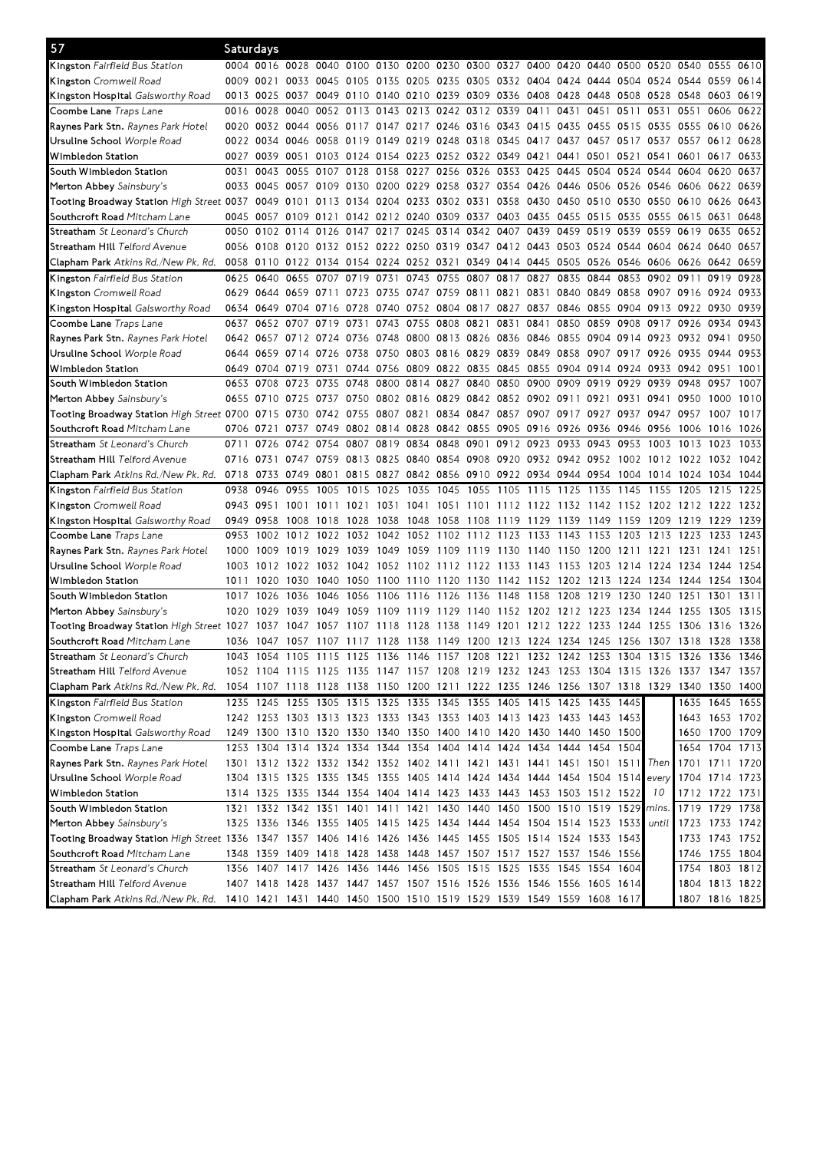| 57                                                                                                         | Saturdays |           |                                                                                                                                                     |                                                        |                |                               |                |           |                                    |           |                          |                                              |                |           |                                                                       |                                                                                                                                                                              |                                  |      |
|------------------------------------------------------------------------------------------------------------|-----------|-----------|-----------------------------------------------------------------------------------------------------------------------------------------------------|--------------------------------------------------------|----------------|-------------------------------|----------------|-----------|------------------------------------|-----------|--------------------------|----------------------------------------------|----------------|-----------|-----------------------------------------------------------------------|------------------------------------------------------------------------------------------------------------------------------------------------------------------------------|----------------------------------|------|
| <b>Kingston</b> Fairfield Bus Station                                                                      |           |           | 0004 0016 0028 0040 0100 0130 0200 0230 0300 0327 0400 0420 0440 0500                                                                               |                                                        |                |                               |                |           |                                    |           |                          |                                              |                |           | 0520 0540                                                             |                                                                                                                                                                              | 0555 0610                        |      |
| <b>Kingston</b> Cromwell Road                                                                              | 0009 0021 |           |                                                                                                                                                     |                                                        |                |                               |                |           |                                    |           |                          |                                              |                |           | 0033 0045 0105 0135 0205 0235 0305 0332 0404 0424 0444 0504 0524 0544 |                                                                                                                                                                              | 0559                             | 0614 |
| K <b>ingston Hospital</b> Galsworthy Road                                                                  |           | 0013 0025 |                                                                                                                                                     | 0037 0049 0110 0140 0210 0239 0309 0336 0408 0428 0448 |                |                               |                |           |                                    |           |                          |                                              |                | 0508      | 0528 0548                                                             |                                                                                                                                                                              | 0603                             | 0619 |
| Coombe Lane <i>Traps Lane</i>                                                                              | 0016      | 0028      | 0040                                                                                                                                                |                                                        | 0052 0113      | 0143                          | 0213           |           | 0242 0312                          | 0339      | 0411                     | 0431                                         | 0451           | 0511      | 0531                                                                  | 0551                                                                                                                                                                         | 0606                             | 0622 |
| <b>Raynes Park Stn.</b> <i>Raynes Park Hotel</i>                                                           |           |           | 0020 0032 0044 0056 0117 0147 0217 0246 0316 0343 0415 0435                                                                                         |                                                        |                |                               |                |           |                                    |           |                          |                                              | 0455           |           | 0515 0535 0555                                                        |                                                                                                                                                                              | 0610 0626                        |      |
| Ursuline School <i>Worple Road</i>                                                                         |           | 0022 0034 |                                                                                                                                                     | 0046 0058 0119 0149                                    |                |                               | 0219           | 0248 0318 |                                    |           | 0345 0417 0437           |                                              | 0457 0517      |           | 0537 0557                                                             |                                                                                                                                                                              | 0612 0628                        |      |
| Wimbledon Station                                                                                          |           | 0027 0039 | 0051                                                                                                                                                |                                                        | 0103 0124 0154 |                               | 0223           | 0252 0322 |                                    | 0349 0421 |                          | 0441                                         | 0501           | 0521      | 0541                                                                  | 0601                                                                                                                                                                         | 0617                             | 0633 |
| South Wimbledon Station                                                                                    | 0031      | 0043      | 0055                                                                                                                                                | 0107                                                   | 0128           | 0158                          | 0227           | 0256 0326 |                                    | 0353      | 0425                     |                                              |                |           | 0445 0504 0524 0544 0604                                              |                                                                                                                                                                              | 0620                             | 0637 |
| Merton Abbey Sainsbury's                                                                                   |           | 0033 0045 | 0057 0109                                                                                                                                           |                                                        |                | 0130 0200 0229                |                | 0258 0327 |                                    |           |                          | 0354 0426 0446 0506                          |                | 0526      | 0546 0606                                                             |                                                                                                                                                                              | 0622                             | 0639 |
| Tooting Broadway Station <i>High Street</i> 0037                                                           |           | 0049      | 0101                                                                                                                                                |                                                        |                | 0113 0134 0204 0233 0302 0331 |                |           |                                    |           |                          | 0358 0430 0450 0510 0530                     |                |           | 0550 0610                                                             |                                                                                                                                                                              | 0626                             | 0643 |
| S <b>outhcroft Road</b> Mitcham Lane                                                                       |           | 0045 0057 | 0109 0121                                                                                                                                           |                                                        |                | 0142 0212 0240 0309 0337      |                |           |                                    |           |                          | 0403 0435 0455 0515 0535                     |                |           | 0555 0615                                                             |                                                                                                                                                                              | 0631                             | 0648 |
| Streatham St Leonard's Church                                                                              |           |           | 0050 0102 0114                                                                                                                                      | 0126 0147 0217 0245                                    |                |                               |                | 0314      | 0342                               | 0407      | 0439                     | 0459                                         | 0519           | 0539      | 0559 0619                                                             |                                                                                                                                                                              | 0635                             | 0652 |
| S <b>treatham Hill</b> Telford Avenue                                                                      |           | 0056 0108 | 0120 0132 0152 0222 0250                                                                                                                            |                                                        |                |                               |                |           |                                    |           |                          | 0319 0347 0412 0443 0503 0524 0544           |                |           | 0604 0624                                                             |                                                                                                                                                                              | 0640                             | 0657 |
| <b>Clapham Park</b> Atkins Rd./New Pk. Rd.                                                                 |           | 0058 0110 |                                                                                                                                                     | 0122 0134 0154 0224 0252 0321                          |                |                               |                |           | 0349                               |           |                          | 0414 0445 0505 0526                          |                | 0546      | 0606 0626                                                             |                                                                                                                                                                              | 0642                             | 0659 |
| Kingston Fairfield Bus Station                                                                             |           | 0625 0640 | 0655 0707                                                                                                                                           |                                                        |                |                               |                |           | 0719 0731 0743 0755 0807 0817 0827 |           |                          |                                              | 0835 0844 0853 |           | 0902 0911                                                             |                                                                                                                                                                              | 0919                             | 0928 |
| <b>Kingston</b> Cromwell Road                                                                              |           | 0629 0644 | 0659 0711                                                                                                                                           |                                                        | 0723           | 0735                          | 0747           | 0759 0811 |                                    | 0821      | 0831                     | 0840                                         | 0849           | 0858      | 0907 0916                                                             |                                                                                                                                                                              | 0924                             | 0933 |
| Kingston Hospital Galsworthy Road                                                                          |           | 0634 0649 |                                                                                                                                                     | 0704 0716                                              | 0728           | 0740                          | 0752           |           | 0804 0817 0827 0837                |           |                          | 0846 0855                                    |                |           | 0904 0913 0922                                                        |                                                                                                                                                                              | 0930                             | 0939 |
| Coombe Lane <i>Traps Lane</i>                                                                              | 0637      | 0652      | 0707 0719                                                                                                                                           |                                                        | 0731           | 0743                          | 0755           | 0808 0821 |                                    | 0831      | 0841                     | 0850                                         | 0859           | 0908      | 0917 0926                                                             |                                                                                                                                                                              | 0934                             | 0943 |
| Raynes Park Stn. Raynes Park Hotel                                                                         |           | 0642 0657 |                                                                                                                                                     | 0712 0724 0736 0748                                    |                |                               | 0800 0813 0826 |           |                                    |           | 0836 0846 0855           |                                              |                |           |                                                                       | 0904 0914 0923 0932 0941                                                                                                                                                     |                                  | 0950 |
| Ursuline School <i>Worple Road</i>                                                                         |           | 0644 0659 | 0714 0726                                                                                                                                           |                                                        | 0738           | 0750                          | 0803 0816 0829 |           |                                    | 0839      | 0849 0858                |                                              | 0907 0917      |           | 0926 0935                                                             |                                                                                                                                                                              | 0944                             | 0953 |
| Wimbledon Station                                                                                          |           |           | 0649 0704 0719 0731                                                                                                                                 |                                                        | 0744 0756      |                               | 0809           | 0822 0835 |                                    |           | 0845 0855 0904           |                                              | 0914 0924      |           | 0933 0942                                                             |                                                                                                                                                                              | 0951                             | 1001 |
| South Wimbledon Station                                                                                    |           | 0653 0708 | 0723                                                                                                                                                | 0735                                                   | 0748           | 0800                          | 0814           | 0827 0840 |                                    | 0850      | 0900                     | 0909                                         | 0919           | 0929      | 0939                                                                  | 0948                                                                                                                                                                         | 0957                             | 1007 |
| Merton Abbey Sainsbury's                                                                                   |           | 0655 0710 | 0725                                                                                                                                                | 0737                                                   | 0750           |                               |                |           |                                    |           |                          | 0802 0816 0829 0842 0852 0902 0911           | 0921           | 0931      | 0941 0950                                                             |                                                                                                                                                                              | 1000                             | 1010 |
| Tooting Broadway Station High Street 0700 0715                                                             |           |           | 0730                                                                                                                                                | 0742 0755 0807 0821                                    |                |                               |                |           |                                    |           |                          | 0834 0847 0857 0907 0917                     | 0927           | 0937      | 0947 0957                                                             |                                                                                                                                                                              | 1007                             | 1017 |
| S <b>outhcroft Road</b> Mitcham Lane                                                                       | 0706 0721 |           |                                                                                                                                                     | 0737 0749 0802 0814 0828 0842 0855                     |                |                               |                |           |                                    |           |                          | 0905 0916 0926 0936                          |                | 0946 0956 |                                                                       | 1006                                                                                                                                                                         | 1016                             | 1026 |
| <b>Streatham</b> <i>St Leonard's Church</i>                                                                | 0711      | 0726      | 0742                                                                                                                                                | 0754                                                   |                | 0807 0819 0834                |                | 0848 0901 |                                    |           |                          | 0912 0923 0933 0943                          |                | 0953      | 1003                                                                  | 1013                                                                                                                                                                         | 1023                             | 1033 |
| S <b>treatham Hill</b> Telford Avenue                                                                      | 0716 0731 |           | 0747                                                                                                                                                | 0759                                                   | 0813 0825      |                               | 0840 0854 0908 |           |                                    |           |                          |                                              |                |           | 0920 0932 0942 0952 1002 1012 1022                                    |                                                                                                                                                                              | 1032                             | 1042 |
| <b>Clapham Park</b> Atkins Rd./New Pk. Rd.                                                                 | 0718 0733 |           | 0749 0801                                                                                                                                           |                                                        |                |                               |                |           |                                    |           |                          | 0815 0827 0842 0856 0910 0922 0934 0944 0954 |                |           | 1004 1014 1024                                                        |                                                                                                                                                                              | 1034                             | 1044 |
|                                                                                                            |           |           |                                                                                                                                                     |                                                        |                |                               |                |           |                                    |           |                          |                                              |                |           |                                                                       |                                                                                                                                                                              |                                  |      |
| Kingston Fairfield Bus Station                                                                             | 0938      | 0946      | 0955                                                                                                                                                | 1005                                                   | 1015           | 1025                          | 1035           | 1045      | 1055                               | 1105      |                          | 1115 1125                                    | 1135           | 1145      | 1155                                                                  | 1205                                                                                                                                                                         | 1215                             | 1225 |
| <b>Kingston</b> Cromwell Road                                                                              | 0943 0951 |           | 1001                                                                                                                                                |                                                        | 1011 1021      | 1031 1041                     |                |           |                                    |           | 1051 1101 1112 1122 1132 |                                              | 1142 1152      |           | 1202 1212                                                             |                                                                                                                                                                              | 1222                             | 1232 |
|                                                                                                            | 0949 0958 |           | 1008                                                                                                                                                | 1018 1028                                              |                | 1038                          | 1048           | 1058 1108 |                                    | 1119      | 1129 1139                |                                              | 1149           | 1159      | 1209 1219                                                             |                                                                                                                                                                              | 1229                             | 1239 |
| <b>Kingston Hospital</b> Galsworthy Road<br>Coombe Lane <i>Traps Lane</i>                                  | 0953      | 1002      | 1012                                                                                                                                                | 1022 1032                                              |                | 1042 1052                     |                | 1102 1112 |                                    | 1123      | 1133 1143                |                                              | 1153           | 1203      | 1213 1223                                                             |                                                                                                                                                                              | 1233                             | 1243 |
|                                                                                                            | 1000      | 1009      |                                                                                                                                                     | 1019 1029 1039                                         |                | 1049                          | 1059           | 1109 1119 |                                    |           | 1130 1140 1150           |                                              | 1200           | 1211      | 1221 1231                                                             |                                                                                                                                                                              | 1241                             | 1251 |
| <b>Raynes Park Stn.</b> <i>Raynes Park Hotel</i><br>Ursuline School <i>Worple Road</i>                     |           | 1003 1012 |                                                                                                                                                     | 1022 1032 1042                                         |                | 1052                          | 1102           | 1112 1122 |                                    | 1133      | 1143                     | 1153                                         | 1203           | 1214      | 1224                                                                  | 1234                                                                                                                                                                         | 1244                             | 1254 |
| Wimbledon Station                                                                                          | 1011      | 1020      | 1030                                                                                                                                                |                                                        | 1040 1050      | 1100 1110                     |                | 1120      | 1130                               |           | 1142 1152                | 1202                                         | 1213           | 1224      | 1234                                                                  | 1244                                                                                                                                                                         | 1254                             | 1304 |
| South Wimbledon Station                                                                                    | 1017      | 1026      | 1036                                                                                                                                                | 1046                                                   | 1056           | 1106                          | 1116           | 1126      | 1136                               | 1148      | 1158                     | 1208                                         | 1219           | 1230      | 1240                                                                  | 1251                                                                                                                                                                         | 1301                             | 1311 |
| Merton Abbey Sainsbury's                                                                                   | 1020      | 1029      | 1039                                                                                                                                                | 1049                                                   | 1059           | 1109                          | 1119           | 1129      | 1140                               | 1152      | 1202                     | 1212                                         | 1223           | 1234      | 1244                                                                  | 1255                                                                                                                                                                         | 1305                             | 1315 |
| Tooting Broadway Station High Street 1027                                                                  |           | 1037      | 1047                                                                                                                                                | 1057                                                   | 1107           | 1118                          | 1128           | 1138      | 1149                               | 1201      |                          | 1212 1222                                    | -1233          | 1244      | 1255 1306                                                             |                                                                                                                                                                              | 1316                             | 1326 |
| S <b>outhcroft Road</b> Mitcham Lane                                                                       |           |           |                                                                                                                                                     |                                                        |                |                               |                |           |                                    |           |                          |                                              |                |           |                                                                       | 1036 1047 1057 1107 1117 1128 1138 1149 1200 1213 1224 1234 1245 1256 1307 1318 1328 1338                                                                                    |                                  |      |
| Streatham St Leonard's Church                                                                              | 1043      |           |                                                                                                                                                     |                                                        |                |                               |                |           |                                    |           |                          |                                              |                |           |                                                                       |                                                                                                                                                                              |                                  | 1346 |
| S <b>treatham Hill</b> Telford Avenue                                                                      |           |           |                                                                                                                                                     |                                                        |                |                               |                |           |                                    |           |                          |                                              |                |           |                                                                       | 1054 1105 1115 1125 1136 1146 1157 1208 1221 1232 1242 1253 1304 1315 1326 1336<br>1052 1104 1115 1125 1135 1147 1157 1208 1219 1232 1243 1253 1304 1315 1326 1337 1347 1357 |                                  |      |
| Clapham Park Atkins Rd./New Pk. Rd.                                                                        |           |           |                                                                                                                                                     |                                                        |                |                               |                |           |                                    |           |                          |                                              |                |           |                                                                       | 1054 1107 1118 1128 1138 1150 1200 1211 1222 1235 1246 1256 1307 1318 1329 1340 1350 1400                                                                                    |                                  |      |
|                                                                                                            |           |           | 1235 1245 1255 1305 1315 1325 1335 1345 1355 1405 1415 1425 1435 1445                                                                               |                                                        |                |                               |                |           |                                    |           |                          |                                              |                |           |                                                                       |                                                                                                                                                                              |                                  |      |
| Kingston Fairfield Bus Station                                                                             |           |           |                                                                                                                                                     |                                                        |                |                               |                |           |                                    |           |                          |                                              |                |           |                                                                       |                                                                                                                                                                              | 1635 1645 1655                   |      |
| Kingston Cromwell Road                                                                                     |           |           | 1242 1253 1303 1313 1323 1333 1343 1353 1403 1413 1423 1433 1443 1453                                                                               |                                                        |                |                               |                |           |                                    |           |                          |                                              |                |           |                                                                       |                                                                                                                                                                              | 1643 1653 1702                   |      |
| Kingston Hospital Galsworthy Road                                                                          |           |           | 1249 1300 1310 1320 1330 1340 1350 1400 1410 1420 1430 1440 1450 1500                                                                               |                                                        |                |                               |                |           |                                    |           |                          |                                              |                |           |                                                                       |                                                                                                                                                                              | 1650 1700 1709                   |      |
| <b>Coombe Lane</b> Traps Lane                                                                              |           |           | 1253 1304 1314 1324 1334 1344 1354 1404 1414 1424 1434 1444 1454 1504<br>1301 1312 1322 1332 1342 1352 1402 1411 1421 1431 1441 1451 1501 1511 Then |                                                        |                |                               |                |           |                                    |           |                          |                                              |                |           |                                                                       |                                                                                                                                                                              | 1654 1704 1713<br>1701 1711 1720 |      |
| <b>Raynes Park Stn.</b> Raynes Park Hotel<br>Ursuline School Worple Road                                   |           |           | 1304 1315 1325 1335 1345 1355 1405 1414 1424 1434 1444 1454 1504 1514                                                                               |                                                        |                |                               |                |           |                                    |           |                          |                                              |                |           | every                                                                 |                                                                                                                                                                              | 1704 1714 1723                   |      |
| Wimbledon Station                                                                                          |           |           |                                                                                                                                                     |                                                        |                |                               |                |           |                                    |           |                          |                                              |                |           | 10                                                                    |                                                                                                                                                                              | 1712 1722 1731                   |      |
| South Wimbledon Station                                                                                    |           |           | 1314 1325 1335 1344 1354 1404 1414 1423 1433 1443 1453 1503 1512 1522                                                                               |                                                        |                |                               |                |           |                                    |           |                          |                                              |                |           |                                                                       |                                                                                                                                                                              | 1719 1729 1738                   |      |
|                                                                                                            |           |           | 1321 1332 1342 1351 1401 1411 1421 1430 1440 1450 1500 1510 1519 1529 mins.                                                                         |                                                        |                |                               |                |           |                                    |           |                          |                                              |                |           | until                                                                 |                                                                                                                                                                              |                                  |      |
| Merton Abbey Sainsbury's                                                                                   |           |           | 1325 1336 1346 1355 1405 1415 1425 1434 1444 1454 1504 1514 1523 1533                                                                               |                                                        |                |                               |                |           |                                    |           |                          |                                              |                |           |                                                                       |                                                                                                                                                                              | 1723 1733 1742                   |      |
| Tooting Broadway Station High Street 1336 1347 1357 1406 1416 1426 1436 1445 1455 1505 1514 1524 1533 1543 |           |           |                                                                                                                                                     |                                                        |                |                               |                |           |                                    |           |                          |                                              |                |           |                                                                       |                                                                                                                                                                              | 1733 1743 1752                   |      |
| S <b>outhcroft Road</b> Mitcham Lane                                                                       |           |           | 1348 1359 1409 1418 1428 1438 1448 1457 1507 1517 1527 1537 1546 1556                                                                               |                                                        |                |                               |                |           |                                    |           |                          |                                              |                |           |                                                                       |                                                                                                                                                                              | 1746 1755 1804                   |      |
| Streatham St Leonard's Church                                                                              |           |           | 1356 1407 1417 1426 1436 1446 1456 1505 1515 1525 1535 1545 1554 1604                                                                               |                                                        |                |                               |                |           |                                    |           |                          |                                              |                |           |                                                                       |                                                                                                                                                                              | 1754 1803 1812                   |      |
| S <b>treatham Hill</b> Telford Avenue<br>Clapham Park Atkins Rd./New Pk. Rd.                               |           |           | 1407 1418 1428 1437 1447 1457 1507 1516 1526 1536 1546 1556 1605 1614<br>1410 1421 1431 1440 1450 1500 1510 1519 1529 1539 1549 1559 1608 1617      |                                                        |                |                               |                |           |                                    |           |                          |                                              |                |           |                                                                       |                                                                                                                                                                              | 1804 1813 1822<br>1807 1816 1825 |      |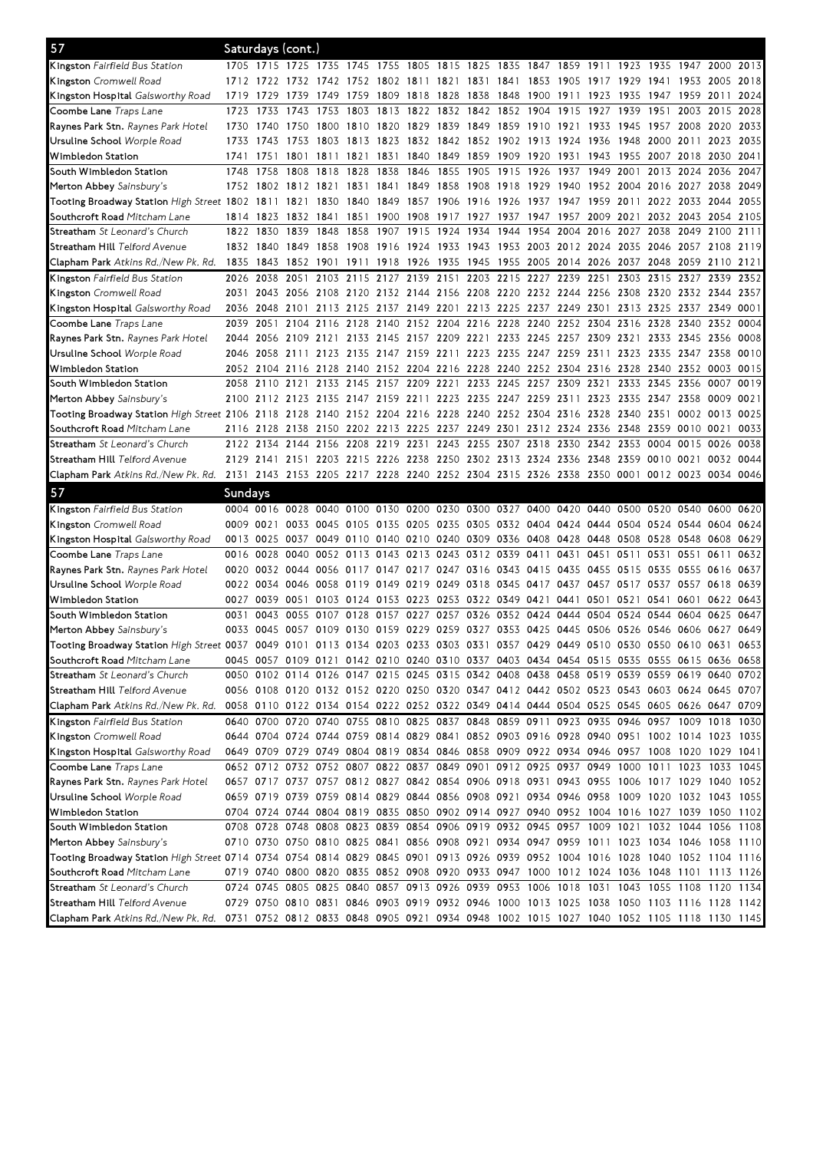| 57                                                                                                                             |           |           | Saturdays (cont.)                                                               |                                    |                |           |                     |                |                                                                       |                     |           |           |                     |      |                |                                                                                                                                                                                        |           |      |
|--------------------------------------------------------------------------------------------------------------------------------|-----------|-----------|---------------------------------------------------------------------------------|------------------------------------|----------------|-----------|---------------------|----------------|-----------------------------------------------------------------------|---------------------|-----------|-----------|---------------------|------|----------------|----------------------------------------------------------------------------------------------------------------------------------------------------------------------------------------|-----------|------|
| <b>Kingston</b> Fairfield Bus Station                                                                                          |           |           |                                                                                 |                                    |                |           |                     |                |                                                                       |                     |           |           |                     |      |                | 1705 1715 1725 1735 1745 1755 1805 1815 1825 1835 1847 1859 1911 1923 1935 1947 2000 2013                                                                                              |           |      |
| <b>Kingston</b> Cromwell Road                                                                                                  | 1712 1722 |           | 1732                                                                            | 1742 1752                          |                |           |                     |                | 1802 1811 1821 1831 1841                                              |                     |           | 1853 1905 | 1917                | 1929 | 1941 1953      |                                                                                                                                                                                        | 2005      | 2018 |
| <b>Kingston Hospital</b> Galsworthy Road                                                                                       | 1719      | 1729      | 1739                                                                            | 1749                               | 1759           | 1809      | 1818                | 1828           | 1838                                                                  | 1848                | 1900 1911 |           | 1923                | 1935 | 1947           | 1959                                                                                                                                                                                   | 2011      | 2024 |
| C <b>oombe Lane</b> Traps Lane                                                                                                 | 1723      | 1733      | 1743                                                                            | 1753                               | 1803           |           |                     |                | 1813 1822 1832 1842 1852 1904 1915                                    |                     |           |           | 1927                | 1939 | 1951           | 2003                                                                                                                                                                                   | 2015      | 2028 |
| <b>Raynes Park Stn.</b> <i>Raynes Park Hotel</i>                                                                               | 1730      | 1740      | 1750                                                                            | 1800                               | 1810           | 1820      | 1829                | 1839 1849      |                                                                       | 1859 1910 1921      |           |           | 1933                | 1945 | 1957 2008      |                                                                                                                                                                                        | 2020      | 2033 |
| Ursuline School <i>Worple Road</i>                                                                                             | 1733      | 1743      |                                                                                 | 1753 1803 1813 1823                |                |           | 1832 1842 1852      |                |                                                                       | 1902 1913 1924      |           |           | 1936                | 1948 | 2000 2011      |                                                                                                                                                                                        | 2023      | 2035 |
| Wimbledon Station                                                                                                              | 1741      | 1751      | 1801                                                                            |                                    | 1811 1821 1831 |           |                     | 1840 1849 1859 |                                                                       | 1909 1920 1931 1943 |           |           |                     | 1955 | 2007 2018      |                                                                                                                                                                                        | 2030      | 2041 |
| South Wimbledon Station                                                                                                        | 1748      | 1758      | 1808                                                                            | 1818                               | 1828           | 1838      | 1846                | 1855           | 1905                                                                  | 1915                | 1926      | 1937      | 1949                | 2001 | 2013 2024      |                                                                                                                                                                                        | 2036      | 2047 |
| Merton Abbey Sainsbury's                                                                                                       | 1752 1802 |           | 1812 1821                                                                       |                                    | 1831           | 1841      | 1849                | 1858 1908      |                                                                       | 1918                | 1929      | 1940      | 1952 2004 2016 2027 |      |                |                                                                                                                                                                                        | 2038      | 2049 |
| Tooting Broadway Station High Street 1802 1811                                                                                 |           |           | 1821                                                                            | 1830                               | 1840           | 1849      | 1857                | 1906 1916      |                                                                       | 1926                | 1937      | 1947      | 1959                | 2011 | 2022 2033      |                                                                                                                                                                                        | 2044      | 2055 |
| S <b>outhcroft Road</b> Mitcham Lane                                                                                           | 1814 1823 |           | 1832                                                                            | 1841                               | 1851 1900      |           | 1908                | 1917 1927      |                                                                       | 1937 1947 1957 2009 |           |           |                     | 2021 | 2032 2043      |                                                                                                                                                                                        | 2054      | 2105 |
| <b>Streatham</b> <i>St Leonard's Church</i>                                                                                    | 1822      | 1830      | 1839                                                                            | 1848                               | 1858           | 1907      | 1915                | 1924           | 1934                                                                  | 1944                | 1954      | 2004      | 2016                | 2027 |                | 2038 2049                                                                                                                                                                              | 2100      | 2111 |
| S <b>treatham Hill</b> Telford Avenue                                                                                          |           | 1832 1840 | 1849 1858                                                                       |                                    | 1908 1916      |           | 1924 1933 1943      |                |                                                                       |                     |           |           |                     |      |                | 1953 2003 2012 2024 2035 2046 2057 2108 2119                                                                                                                                           |           |      |
| Clapham Park Atkins Rd./New Pk. Rd.                                                                                            | 1835      | 1843      | 1852 1901 1911 1918 1926 1935 1945                                              |                                    |                |           |                     |                |                                                                       |                     |           |           |                     |      |                | 1955 2005 2014 2026 2037 2048 2059 2110                                                                                                                                                |           | 2121 |
| <b>Kingston</b> Fairfield Bus Station                                                                                          | 2026      | 2038      | 2051                                                                            | 2103                               | 2115           | 2127      | 2139                | 2151           | 2203                                                                  | 2215                | 2227      | 2239 2251 |                     | 2303 |                | 2315 2327 2339                                                                                                                                                                         |           | 2352 |
| <b>Kingston</b> Cromwell Road                                                                                                  | 2031      | 2043      | 2056                                                                            | 2108 2120                          |                |           | 2132 2144 2156 2208 |                |                                                                       | 2220 2232 2244      |           |           | 2256                | 2308 |                | 2320 2332 2344                                                                                                                                                                         |           | 2357 |
| <b>Kingston Hospital</b> Galsworthy Road                                                                                       | 2036      | 2048      | 2101                                                                            |                                    | 2113 2125      | 2137 2149 |                     | 2201           | 2213                                                                  | 2225 2237           |           | 2249      | 2301                | 2313 | 2325 2337      |                                                                                                                                                                                        | 2349      | 0001 |
| Coombe Lane Traps Lane                                                                                                         | 2039      | 2051      | 2104                                                                            | 2116                               | 2128           | 2140      | 2152 2204 2216      |                |                                                                       | 2228                | 2240      | 2252      | 2304                | 2316 | 2328           | 2340                                                                                                                                                                                   | 2352      | 0004 |
| <b>Raynes Park Stn.</b> <i>Raynes Park Hotel</i>                                                                               | 2044      |           |                                                                                 |                                    |                |           |                     |                |                                                                       |                     |           |           |                     |      |                | 2056 2109 2121 2133 2145 2157 2209 2221 2233 2245 2257 2309 2321 2333 2345 2356                                                                                                        |           | 0008 |
| Ursuline School <i>Worple Road</i>                                                                                             |           |           |                                                                                 |                                    |                |           |                     |                |                                                                       |                     |           |           |                     |      |                | 2046 2058 2111 2123 2135 2147 2159 2211 2223 2235 2247 2259 2311 2323 2335 2347 2358                                                                                                   |           | 0010 |
| Wimbledon Station                                                                                                              |           |           | 2052 2104 2116 2128 2140 2152 2204 2216 2228 2240 2252 2304 2316 2328 2340 2352 |                                    |                |           |                     |                |                                                                       |                     |           |           |                     |      |                |                                                                                                                                                                                        | 0003      | 0015 |
| South Wimbledon Station                                                                                                        | 2058 2110 |           | 2121                                                                            |                                    | 2133 2145 2157 |           |                     |                | 2209 2221 2233 2245 2257                                              |                     |           | 2309      | 2321                | 2333 | 2345 2356      |                                                                                                                                                                                        | 0007      | 0019 |
| Merton Abbey Sainsbury's                                                                                                       | 2100 2112 |           | 2123                                                                            | 2135 2147 2159                     |                |           | 2211 2223 2235      |                |                                                                       | 2247 2259           |           | 2311      | 2323                | 2335 | 2347 2358      |                                                                                                                                                                                        | 0009      | 0021 |
| Tooting Broadway Station <i>High Street</i> 2106 2118                                                                          |           |           | 2128 2140 2152 2204 2216 2228 2240                                              |                                    |                |           |                     |                |                                                                       | 2252 2304 2316      |           |           | 2328                | 2340 | 2351 0002      |                                                                                                                                                                                        | 0013      | 0025 |
| Southcroft Road Mitcham Lane                                                                                                   | 2116 2128 |           | 2138 2150 2202 2213 2225 2237 2249                                              |                                    |                |           |                     |                |                                                                       | 2301                | 2312 2324 |           | 2336                | 2348 | 2359 0010      |                                                                                                                                                                                        | 0021      | 0033 |
| <b>Streatham</b> <i>St Leonard's Church</i>                                                                                    |           | 2122 2134 | 2144 2156 2208 2219 2231                                                        |                                    |                |           |                     |                | 2243 2255 2307 2318 2330 2342 2353                                    |                     |           |           |                     |      | 0004 0015      |                                                                                                                                                                                        | 0026      | 0038 |
| S <b>treatham Hill</b> Telford Avenue                                                                                          |           |           | 2129 2141 2151 2203 2215 2226 2238 2250 2302 2313 2324 2336 2348 2359 0010 0021 |                                    |                |           |                     |                |                                                                       |                     |           |           |                     |      |                |                                                                                                                                                                                        | 0032      | 0044 |
| Clapham Park Atkins Rd./New Pk. Rd.                                                                                            |           |           |                                                                                 |                                    |                |           |                     |                |                                                                       |                     |           |           |                     |      |                | 2131 2143 2153 2205 2217 2228 2240 2252 2304 2315 2326 2338 2350 0001 0012 0023 0034 0046                                                                                              |           |      |
|                                                                                                                                |           |           |                                                                                 |                                    |                |           |                     |                |                                                                       |                     |           |           |                     |      |                |                                                                                                                                                                                        |           |      |
| 57                                                                                                                             | Sundays   |           |                                                                                 |                                    |                |           |                     |                |                                                                       |                     |           |           |                     |      |                |                                                                                                                                                                                        |           |      |
| <b>Kingston</b> Fairfield Bus Station                                                                                          |           |           |                                                                                 |                                    |                |           |                     |                |                                                                       |                     |           |           |                     |      |                | 0004 0016 0028 0040 0100 0130 0200 0230 0300 0327 0400 0420 0440 0500 0520 0540 0600 0620                                                                                              |           |      |
| <b>Kingston</b> Cromwell Road                                                                                                  | 0009 0021 |           |                                                                                 |                                    |                |           |                     |                | 0033 0045 0105 0135 0205 0235 0305 0332 0404 0424 0444 0504 0524 0544 |                     |           |           |                     |      |                |                                                                                                                                                                                        | 0604      | 0624 |
| <b>Kingston Hospital</b> Galsworthy Road                                                                                       | 0013 0025 |           | 0037                                                                            | 0049 0110 0140 0210 0240 0309      |                |           |                     |                |                                                                       | 0336 0408 0428 0448 |           |           |                     |      | 0508 0528 0548 |                                                                                                                                                                                        | 0608      | 0629 |
| C <b>oombe Lane</b> Traps Lane                                                                                                 | 0016 0028 |           | 0040                                                                            | 0052 0113                          |                | 0143      | 0213                | 0243 0312      |                                                                       | 0339                | 0411      | 0431      | 0451                | 0511 | 0531           | 0551                                                                                                                                                                                   | 0611      | 0632 |
| <b>Raynes Park Stn.</b> <i>Raynes Park Hotel</i>                                                                               |           | 0020 0032 |                                                                                 | 0044 0056 0117 0147 0217 0247 0316 |                |           |                     |                |                                                                       | 0343 0415 0435      |           |           | 0455                | 0515 |                | 0535 0555 0616                                                                                                                                                                         |           | 0637 |
| Ursuline School <i>Worple Road</i>                                                                                             | 0022 0034 |           |                                                                                 | 0046 0058 0119 0149                |                |           | 0219                | 0249 0318      |                                                                       | 0345 0417           |           | 0437      | 0457                | 0517 |                | 0537 0557 0618 0639                                                                                                                                                                    |           |      |
| Wimbledon Station                                                                                                              | 0027 0039 |           | 0051 0103 0124 0153 0223 0253 0322 0349 0421 0441 0501 0521                     |                                    |                |           |                     |                |                                                                       |                     |           |           |                     |      | 0541 0601      |                                                                                                                                                                                        | 0622 0643 |      |
| South Wimbledon Station                                                                                                        | 0031      | 0043      | 0055                                                                            | 0107                               | 0128           | 0157      | 0227                | 0257 0326      |                                                                       | 0352 0424           |           | 0444      | 0504                | 0524 | 0544           | 0604                                                                                                                                                                                   | 0625      | 0647 |
| Merton Abbey Sainsbury's                                                                                                       | 0033 0045 |           | 0057                                                                            | 0109                               | 0130           | 0159      | 0229                | 0259 0327      |                                                                       | 0353 0425           |           | 0445      | 0506                | 0526 | 0546 0606      |                                                                                                                                                                                        | 0627      | 0649 |
| Tooting Broadway Station High Street 0037 0049 0101 0113 0134 0203 0233 0303 0331 0357 0429 0449 0510 0530 0550 0610 0631      |           |           |                                                                                 |                                    |                |           |                     |                |                                                                       |                     |           |           |                     |      |                |                                                                                                                                                                                        |           | 0653 |
| S <b>outhcroft Road</b> Mitcham Lane                                                                                           |           |           |                                                                                 |                                    |                |           |                     |                |                                                                       |                     |           |           |                     |      |                | 0045 0057 0109 0121 0142 0210 0240 0310 0337 0403 0434 0454 0515 0535 0555 0615 0636 0658                                                                                              |           |      |
| <b>Streatham</b> <i>St Leonard's Church</i>                                                                                    |           |           |                                                                                 |                                    |                |           |                     |                |                                                                       |                     |           |           |                     |      |                | 0050 0102 0114 0126 0147 0215 0245 0315 0342 0408 0438 0458 0519 0539 0559 0619 0640 0702                                                                                              |           |      |
| Streatham Hill <i>Telford Avenue</i>                                                                                           |           |           |                                                                                 |                                    |                |           |                     |                |                                                                       |                     |           |           |                     |      |                | 0056 0108 0120 0132 0152 0220 0250 0320 0347 0412 0442 0502 0523 0543 0603 0624 0645 0707                                                                                              |           |      |
| Clapham Park Atkins Rd./New Pk. Rd.                                                                                            |           |           |                                                                                 |                                    |                |           |                     |                |                                                                       |                     |           |           |                     |      |                | 0058 0110 0122 0134 0154 0222 0252 0322 0349 0414 0444 0504 0525 0545 0605 0626 0647 0709                                                                                              |           |      |
| Kingston Fairfield Bus Station                                                                                                 |           |           |                                                                                 |                                    |                |           |                     |                |                                                                       |                     |           |           |                     |      |                | 0640 0700 0720 0740 0755 0810 0825 0837 0848 0859 0911 0923 0935 0946 0957 1009 1018 1030                                                                                              |           |      |
| <b>Kingston</b> Cromwell Road                                                                                                  |           |           |                                                                                 |                                    |                |           |                     |                |                                                                       |                     |           |           |                     |      |                | 0644 0704 0724 0744 0759 0814 0829 0841 0852 0903 0916 0928 0940 0951 1002 1014 1023 1035                                                                                              |           |      |
| Kingston Hospital Galsworthy Road                                                                                              |           |           |                                                                                 |                                    |                |           |                     |                |                                                                       |                     |           |           |                     |      |                | 0649 0709 0729 0749 0804 0819 0834 0846 0858 0909 0922 0934 0946 0957 1008 1020 1029 1041                                                                                              |           |      |
| Coombe Lane Traps Lane                                                                                                         |           |           |                                                                                 |                                    |                |           |                     |                |                                                                       |                     |           |           |                     |      |                | 0652 0712 0732 0752 0807 0822 0837 0849 0901 0912 0925 0937 0949 1000 1011 1023 1033 1045                                                                                              |           |      |
| Raynes Park Stn. Raynes Park Hotel                                                                                             |           |           |                                                                                 |                                    |                |           |                     |                |                                                                       |                     |           |           |                     |      |                | 0657 0717 0737 0757 0812 0827 0842 0854 0906 0918 0931 0943 0955 1006 1017 1029 1040 1052                                                                                              |           |      |
| Ursuline School <i>Worple Road</i>                                                                                             |           |           |                                                                                 |                                    |                |           |                     |                |                                                                       |                     |           |           |                     |      |                | 0659 0719 0739 0759 0814 0829 0844 0856 0908 0921 0934 0946 0958 1009 1020 1032 1043 1055                                                                                              |           |      |
| Wimbledon Station                                                                                                              |           |           |                                                                                 |                                    |                |           |                     |                |                                                                       |                     |           |           |                     |      |                | 0704 0724 0744 0804 0819 0835 0850 0902 0914 0927 0940 0952 1004 1016 1027 1039 1050 1102                                                                                              |           |      |
| South Wimbledon Station                                                                                                        |           |           |                                                                                 |                                    |                |           |                     |                |                                                                       |                     |           |           |                     |      |                | 0708 0728 0748 0808 0823 0839 0854 0906 0919 0932 0945 0957 1009 1021 1032 1044 1056 1108                                                                                              |           |      |
| Merton Abbey Sainsbury's                                                                                                       |           |           |                                                                                 |                                    |                |           |                     |                |                                                                       |                     |           |           |                     |      |                | 0710 0730 0750 0810 0825 0841 0856 0908 0921 0934 0947 0959 1011 1023 1034 1046 1058 1110                                                                                              |           |      |
| Tooting Broadway Station High Street 0714 0734 0754 0814 0829 0845 0901 0913 0926 0939 0952 1004 1016 1028 1040 1052 1104 1116 |           |           |                                                                                 |                                    |                |           |                     |                |                                                                       |                     |           |           |                     |      |                |                                                                                                                                                                                        |           |      |
| S <b>outhcroft Road</b> Mitcham Lane                                                                                           |           |           |                                                                                 |                                    |                |           |                     |                |                                                                       |                     |           |           |                     |      |                | 0719 0740 0800 0820 0835 0852 0908 0920 0933 0947 1000 1012 1024 1036 1048 1101 1113 1126                                                                                              |           |      |
| <b>Streatham</b> <i>St Leonard's Church</i>                                                                                    |           |           |                                                                                 |                                    |                |           |                     |                |                                                                       |                     |           |           |                     |      |                | 0724 0745 0805 0825 0840 0857 0913 0926 0939 0953 1006 1018 1031 1043 1055 1108 1120 1134                                                                                              |           |      |
| S <b>treatham Hill</b> Telford Avenue                                                                                          |           |           |                                                                                 |                                    |                |           |                     |                |                                                                       |                     |           |           |                     |      |                | 0729 0750 0810 0831 0846 0903 0919 0932 0946 1000 1013 1025 1038 1050 1103 1116 1128 1142<br>0731 0752 0812 0833 0848 0905 0921 0934 0948 1002 1015 1027 1040 1052 1105 1118 1130 1145 |           |      |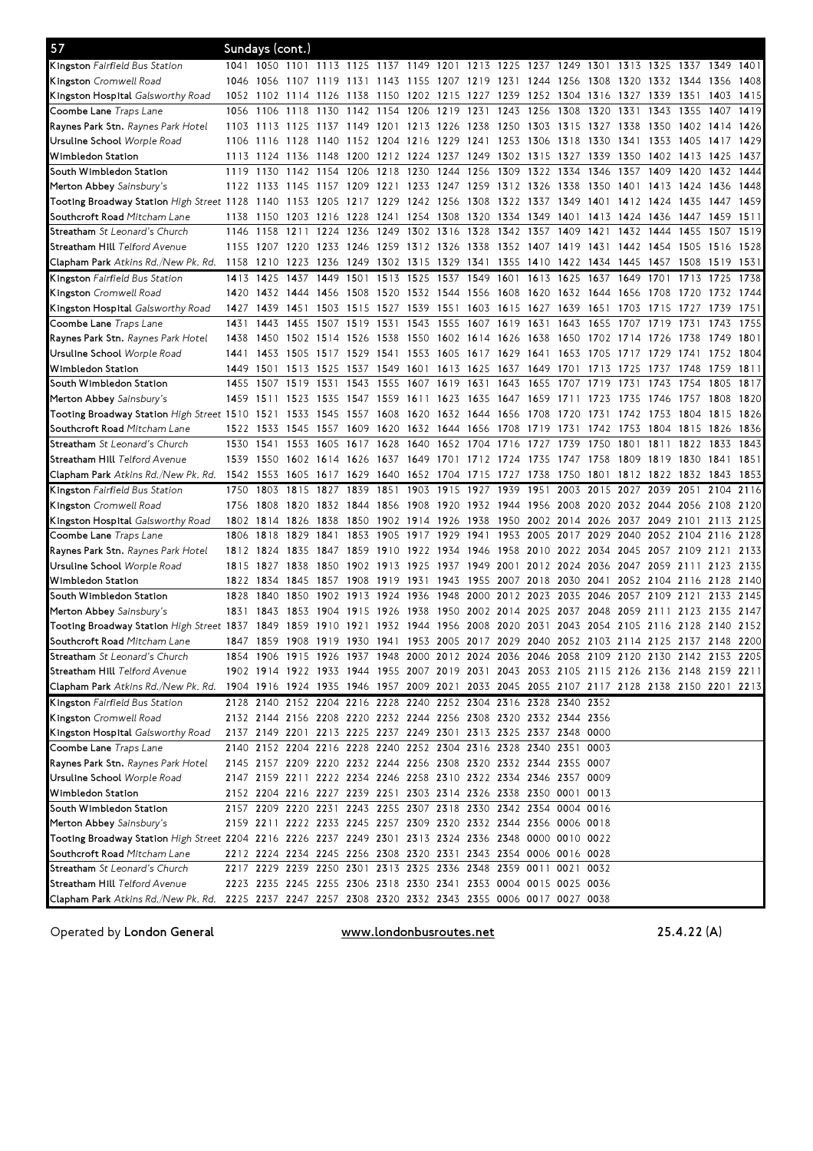| 57                                                                                                    |           | Sundays (cont.) |                               |                     |           |      |                               |                |      |                                                                                           |           |                |                     |      |                |                     |           |      |
|-------------------------------------------------------------------------------------------------------|-----------|-----------------|-------------------------------|---------------------|-----------|------|-------------------------------|----------------|------|-------------------------------------------------------------------------------------------|-----------|----------------|---------------------|------|----------------|---------------------|-----------|------|
| Kingston Fairfield Bus Station                                                                        |           |                 |                               |                     |           |      |                               |                |      | 1041 1050 1101 1113 1125 1137 1149 1201 1213 1225 1237 1249 1301 1313 1325 1337 1349 1401 |           |                |                     |      |                |                     |           |      |
| <b>Kingston</b> Cromwell Road                                                                         | 1046      | 1056            | 1107                          | 1119                | 1131      | 1143 | 1155                          | 1207 1219      |      | 1231                                                                                      | 1244 1256 |                | 1308                | 1320 | 1332 1344      |                     | 1356      | 1408 |
| K <b>ingston Hospital</b> Galsworthy Road                                                             | 1052      | 1102            | 1114                          | 1126                | 1138      | 1150 | 1202                          | 1215           | 1227 | 1239                                                                                      | 1252 1304 |                | 1316                | 1327 | 1339           | 1351                | 1403      | 1415 |
| C <b>oombe Lane</b> Traps Lane                                                                        | 1056      | 1106            | 1118                          | 1130                | 1142 1154 |      | 1206                          | 1219 1231      |      | 1243                                                                                      | 1256      | 1308           | 1320                | 1331 | 1343           | 1355                | 1407      | 1419 |
| <b>Raynes Park Stn.</b> <i>Raynes Park Hotel</i>                                                      | 1103      | 1113            | 1125                          | 1137                | 1149      | 1201 | 1213 1226 1238                |                |      | 1250                                                                                      | 1303 1315 |                | 1327                | 1338 | 1350           | 1402                | 1414      | 1426 |
| Ursuline School <i>Worple Road</i>                                                                    | 1106      | 1116            | 1128                          |                     |           |      | 1140 1152 1204 1216 1229 1241 |                |      | 1253 1306 1318                                                                            |           |                | 1330                | 1341 | 1353 1405      |                     | 1417      | 1429 |
| Wimbledon Station                                                                                     | 1113      | 1124            | 1136 1148                     |                     |           |      | 1200 1212 1224 1237 1249      |                |      | 1302 1315 1327                                                                            |           |                | 1339                | 1350 | 1402 1413      |                     | 1425      | 1437 |
| South Wimbledon Station                                                                               | 1119      | 1130            | 1142 1154                     |                     | 1206      | 1218 | 1230                          | 1244           | 1256 | 1309                                                                                      | 1322 1334 |                | 1346                | 1357 | 1409           | 1420                | 1432      | 1444 |
| Merton Abbey Sainsbury's                                                                              | 1122      | 1133            | 1145                          | 1157                | 1209      | 1221 | 1233                          | 1247 1259      |      | 1312 1326                                                                                 |           | 1338           | 1350                | 1401 | 1413           | 1424                | 1436      | 1448 |
| Tooting Broadway Station High Street 1128                                                             |           | 1140            | 1153                          | 1205                | 1217      | 1229 | 1242 1256                     |                | 1308 | 1322 1337                                                                                 |           | 1349           | 1401                | 1412 | 1424           | 1435                | 1447      | 1459 |
| S <b>outhcroft Road</b> Mitcham Lane                                                                  | 1138      | 1150            | 1203                          | 1216                | 1228      | 1241 | 1254 1308 1320                |                |      | 1334                                                                                      | 1349 1401 |                | 1413                | 1424 | 1436           | 1447                | 1459      | 1511 |
| <b>Streatham</b> <i>St Leonard's Church</i>                                                           | 1146      | 1158            | 1211                          | 1224                | 1236      | 1249 | 1302                          | 1316           | 1328 | 1342                                                                                      | 1357      | 1409           | 1421                | 1432 | 1444           | 1455                | 1507      | 1519 |
| S <b>treatham Hill</b> Telford Avenue                                                                 |           |                 | 1155 1207 1220 1233 1246 1259 |                     |           |      | 1312 1326 1338                |                |      | 1352 1407 1419                                                                            |           |                | 1431                |      | 1442 1454 1505 |                     | 1516 1528 |      |
| Clapham Park Atkins Rd./New Pk. Rd.                                                                   | 1158 1210 |                 | 1223 1236 1249 1302 1315      |                     |           |      |                               | 1329 1341      |      | 1355 1410 1422 1434 1445                                                                  |           |                |                     |      | 1457 1508      |                     | 1519      | 1531 |
| <b>Kingston</b> Fairfield Bus Station                                                                 | 1413      | 1425            | 1437                          | 1449 1501           |           | 1513 | 1525                          | 1537           | 1549 | 1601                                                                                      | 1613 1625 |                | 1637                | 1649 | 1701           | 1713                | 1725      | 1738 |
| <b>Kingston</b> Cromwell Road                                                                         | 1420      | 1432            | 1444                          | 1456                | 1508      | 1520 | 1532 1544 1556                |                |      | 1608                                                                                      | 1620      | 1632           | 1644                | 1656 | 1708           | 1720                | 1732      | 1744 |
| <b>Kingston Hospital</b> Galsworthy Road                                                              | 1427      | 1439            | 1451                          | 1503                | 1515      | 1527 | 1539                          | 1551           | 1603 | 1615                                                                                      | 1627      | 1639           | 1651                | 1703 | 1715           | 1727                | 1739      | 1751 |
| Coombe Lane <i>Traps Lane</i>                                                                         | 1431      | 1443            | 1455                          | 1507                | 1519      | 1531 | 1543                          | 1555           | 1607 | 1619                                                                                      | 1631      | 1643           | 1655                | 1707 | 1719           | 1731                | 1743      | 1755 |
| <b>Raynes Park Stn.</b> <i>Raynes Park Hotel</i>                                                      | 1438      | 1450            |                               | 1502 1514 1526 1538 |           |      |                               |                |      | 1550 1602 1614 1626 1638 1650                                                             |           |                | 1702 1714 1726 1738 |      |                |                     | 1749      | 1801 |
| Ursuline School <i>Worple Road</i>                                                                    | 1441      | 1453            | 1505                          | 1517                | 1529 1541 |      |                               |                |      | 1553 1605 1617 1629 1641                                                                  |           | 1653           | 1705                | 1717 | 1729 1741      |                     | 1752 1804 |      |
| Wimbledon Station                                                                                     | 1449      | 1501            |                               | 1513 1525 1537 1549 |           |      | 1601                          | 1613 1625      |      | 1637 1649 1701                                                                            |           |                | 1713                | 1725 | 1737           | 1748                | 1759      | 1811 |
| South Wimbledon Station                                                                               | 1455      | 1507            | 1519                          | 1531                | 1543      | 1555 | 1607                          | 1619 1631      |      | 1643                                                                                      | 1655      | 1707           | 1719                | 1731 | 1743           | 1754                | 1805      | 1817 |
| Merton Abbey Sainsbury's                                                                              | 1459      | 1511            | 1523                          | 1535                | 1547      | 1559 | 1611                          | 1623           | 1635 | 1647                                                                                      | 1659      | 1711           | 1723                | 1735 | 1746           | 1757                | 1808      | 1820 |
| Tooting Broadway Station <i>High Street</i> 1510                                                      |           | 1521            | 1533                          | 1545                | 1557      | 1608 | 1620                          | 1632 1644      |      | 1656                                                                                      | 1708      | 1720           | 1731                | 1742 | 1753           | 1804                | 1815      | 1826 |
| Southcroft Road Mitcham Lane                                                                          | 1522 1533 |                 | 1545                          | 1557                | 1609      | 1620 | 1632 1644 1656                |                |      | 1708                                                                                      | 1719      | 1731           | 1742                | 1753 | 1804           | 1815                | 1826      | 1836 |
|                                                                                                       | 1530      | 1541            | 1553                          | 1605                | 1617      | 1628 | 1640                          | 1652           | 1704 | 1716                                                                                      | 1727      | 1739           | 1750                | 1801 | 1811           | 1822                | 1833      | 1843 |
| <b>Streatham</b> <i>St Leonard's Church</i>                                                           | 1539 1550 |                 |                               |                     |           |      |                               |                |      | 1602 1614 1626 1637 1649 1701 1712 1724 1735 1747 1758                                    |           |                |                     | 1809 | 1819 1830      |                     |           | 1851 |
| S <b>treatham Hill</b> Telford Avenue                                                                 |           |                 |                               |                     |           |      |                               |                |      |                                                                                           |           |                | 1801                | 1812 |                |                     | 1841      | 1853 |
|                                                                                                       |           |                 |                               |                     |           |      |                               |                |      |                                                                                           |           |                |                     |      |                |                     |           |      |
| Clapham Park Atkins Rd./New Pk. Rd.                                                                   |           | 1542 1553       | 1605                          | 1617 1629 1640      |           |      |                               | 1652 1704 1715 |      | 1727 1738                                                                                 |           | 1750           |                     |      | 1822 1832      |                     | 1843      |      |
| <b>Kingston</b> Fairfield Bus Station                                                                 | 1750      | 1803            | 1815                          | 1827                | 1839      | 1851 | 1903                          | 1915           | 1927 | 1939                                                                                      | 1951      | 2003           | 2015                | 2027 | 2039           | 2051                | 2104      | 2116 |
| <b>Kingston</b> Cromwell Road                                                                         | 1756      | 1808            | 1820                          | 1832 1844           |           | 1856 | 1908                          | 1920           | 1932 | 1944                                                                                      | 1956 2008 |                | 2020                |      | 2032 2044 2056 |                     | 2108      | 2120 |
| K <b>ingston Hospital</b> Galsworthy Road                                                             | 1802      | 1814            | 1826                          | 1838                | 1850      | 1902 | 1914 1926                     |                | 1938 | 1950                                                                                      | 2002 2014 |                | 2026                | 2037 | 2049 2101      |                     | 2113      | 2125 |
| Coombe Lane <i>Traps Lane</i>                                                                         | 1806      | 1818            | 1829                          | 1841                | 1853      | 1905 | 1917                          | 1929           | 1941 | 1953                                                                                      | 2005      | 2017           | 2029                | 2040 | 2052 2104      |                     | 2116      | 2128 |
| <b>Raynes Park Stn.</b> <i>Raynes Park Hotel</i>                                                      | 1812 1824 |                 | 1835 1847 1859                |                     |           |      | 1910 1922 1934 1946           |                |      | 1958 2010 2022 2034                                                                       |           |                |                     |      |                | 2045 2057 2109 2121 |           | 2133 |
| Ursuline School <i>Worple Road</i>                                                                    | 1815      | 1827            | 1838                          | 1850                | 1902      | 1913 | 1925                          | 1937           | 1949 | 2001                                                                                      |           | 2012 2024 2036 |                     | 2047 | 2059 2111      |                     | 2123      | 2135 |
| Wimbledon Station                                                                                     | 1822      | 1834            | 1845                          | 1857                | 1908      | 1919 | 1931                          | 1943           | 1955 | 2007 2018                                                                                 |           | 2030           | 2041                | 2052 | 2104 2116      |                     | 2128      | 2140 |
| South Wimbledon Station                                                                               | 1828      | 1840            | 1850                          | 1902                | 1913      | 1924 | 1936                          | 1948 2000      |      | 2012 2023                                                                                 |           | 2035           | 2046                | 2057 | 2109 2121      |                     | 2133      | 2145 |
| Merton Abbey Sainsbury's                                                                              | 1831      | 1843            | 1853                          | 1904                | 1915      | 1926 | 1938                          | 1950           | 2002 | 2014                                                                                      | 2025      | 2037           | 2048                | 2059 | 2111           | 2123                | 2135      | 2147 |
| Tooting Broadway Station High Street 1837                                                             |           | 1849            | 1859                          | 1910                | 1921      | 1932 | 1944                          | 1956           | 2008 | 2020                                                                                      | 2031      | 2043           | 2054                | 2105 | 2116 2128      |                     | 2140      | 2152 |
| Southcroft Road Mitcham Lane                                                                          |           | 1847 1859       |                               |                     |           |      |                               |                |      | 1908 1919 1930 1941 1953 2005 2017 2029 2040 2052 2103 2114 2125 2137 2148 2200           |           |                |                     |      |                |                     |           |      |
| Streatham St Leonard's Church                                                                         |           |                 |                               |                     |           |      |                               |                |      | 1854 1906 1915 1926 1937 1948 2000 2012 2024 2036 2046 2058 2109 2120 2130 2142 2153 2205 |           |                |                     |      |                |                     |           |      |
| S <b>treatham Hill</b> Telford Avenue                                                                 |           |                 |                               |                     |           |      |                               |                |      | 1902 1914 1922 1933 1944 1955 2007 2019 2031 2043 2053 2105 2115 2126 2136 2148 2159 2211 |           |                |                     |      |                |                     |           |      |
| Clapham Park Atkins Rd./New Pk. Rd.                                                                   |           |                 |                               |                     |           |      |                               |                |      | 1904 1916 1924 1935 1946 1957 2009 2021 2033 2045 2055 2107 2117 2128 2138 2150 2201 2213 |           |                |                     |      |                |                     |           |      |
| Kingston Fairfield Bus Station                                                                        |           |                 |                               |                     |           |      |                               |                |      | 2128 2140 2152 2204 2216 2228 2240 2252 2304 2316 2328 2340 2352                          |           |                |                     |      |                |                     |           |      |
| Kingston Cromwell Road                                                                                |           |                 |                               |                     |           |      |                               |                |      | 2132 2144 2156 2208 2220 2232 2244 2256 2308 2320 2332 2344 2356                          |           |                |                     |      |                |                     |           |      |
| <b>Kingston Hospital</b> Galsworthy Road                                                              |           |                 |                               |                     |           |      |                               |                |      | 2137 2149 2201 2213 2225 2237 2249 2301 2313 2325 2337 2348 0000                          |           |                |                     |      |                |                     |           |      |
| Coombe Lane <i>Traps Lane</i>                                                                         |           |                 |                               |                     |           |      |                               |                |      | 2140 2152 2204 2216 2228 2240 2252 2304 2316 2328 2340 2351 0003                          |           |                |                     |      |                |                     |           |      |
| <b>Raynes Park Stn.</b> <i>Raynes Park Hotel</i>                                                      |           |                 |                               |                     |           |      |                               |                |      | 2145 2157 2209 2220 2232 2244 2256 2308 2320 2332 2344 2355 0007                          |           |                |                     |      |                |                     |           |      |
| Ursuline School <i>Worple Road</i>                                                                    |           |                 |                               |                     |           |      |                               |                |      | 2147 2159 2211 2222 2234 2246 2258 2310 2322 2334 2346 2357 0009                          |           |                |                     |      |                |                     |           |      |
| Wimbledon Station                                                                                     |           |                 |                               |                     |           |      |                               |                |      | 2152 2204 2216 2227 2239 2251 2303 2314 2326 2338 2350 0001 0013                          |           |                |                     |      |                |                     |           |      |
| South Wimbledon Station                                                                               |           |                 |                               |                     |           |      |                               |                |      | 2157 2209 2220 2231 2243 2255 2307 2318 2330 2342 2354 0004 0016                          |           |                |                     |      |                |                     |           |      |
| Merton Abbey Sainsbury's                                                                              |           |                 |                               |                     |           |      |                               |                |      | 2159 2211 2222 2233 2245 2257 2309 2320 2332 2344 2356 0006 0018                          |           |                |                     |      |                |                     |           |      |
| Tooting Broadway Station High Street 2204 2216 2226 2237 2249 2301 2313 2324 2336 2348 0000 0010 0022 |           |                 |                               |                     |           |      |                               |                |      |                                                                                           |           |                |                     |      |                |                     |           |      |
| S <b>outhcroft Road</b> Mitcham Lane                                                                  |           |                 |                               |                     |           |      |                               |                |      | 2212 2224 2234 2245 2256 2308 2320 2331 2343 2354 0006 0016 0028                          |           |                |                     |      |                |                     |           |      |
| <b>Streatham</b> <i>St Leonard's Church</i>                                                           |           |                 |                               |                     |           |      |                               |                |      | 2217 2229 2239 2250 2301 2313 2325 2336 2348 2359 0011 0021 0032                          |           |                |                     |      |                |                     |           |      |
| S <b>treatham Hill</b> Telford Avenue                                                                 |           |                 |                               |                     |           |      |                               |                |      | 2223 2235 2245 2255 2306 2318 2330 2341 2353 0004 0015 0025 0036                          |           |                |                     |      |                |                     |           |      |

Operated by London General

www.londonbusroutes.net

 $25.4.22(A)$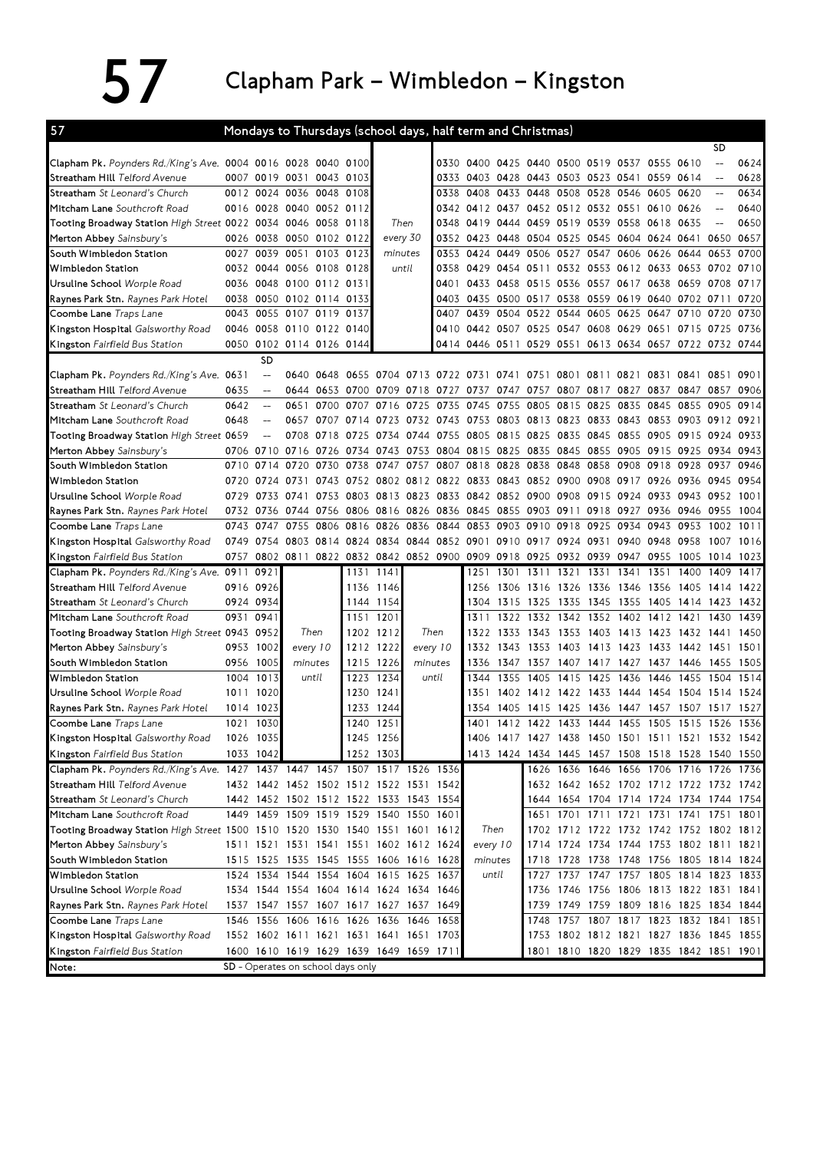## $57$  Clapham Park – Wimbledon – Kingston

| 57                                                                           |           |                          |                                         |                |           |                |          |           | Mondays to Thursdays (school days, half term and Christmas)                |      |                                    |      |           |                     |      |                                                                            |                          |      |
|------------------------------------------------------------------------------|-----------|--------------------------|-----------------------------------------|----------------|-----------|----------------|----------|-----------|----------------------------------------------------------------------------|------|------------------------------------|------|-----------|---------------------|------|----------------------------------------------------------------------------|--------------------------|------|
|                                                                              |           |                          |                                         |                |           |                |          |           |                                                                            |      |                                    |      |           |                     |      |                                                                            | SD                       |      |
| Clapham Pk. Poynders Rd./King's Ave. 0004 0016 0028 0040 0100                |           |                          |                                         |                |           |                |          |           | 0330 0400 0425 0440 0500 0519 0537 0555 0610                               |      |                                    |      |           |                     |      |                                                                            | $- -$                    | 0624 |
| Streatham Hill <i>Telford Avenue</i>                                         |           |                          | 0007 0019 0031 0043 0103                |                |           |                |          |           | 0333 0403                                                                  |      | 0428 0443 0503 0523 0541 0559      |      |           |                     |      | 0614                                                                       |                          | 0628 |
| <b>Streatham</b> St Leonard's Church                                         |           |                          | 0012 0024 0036 0048                     |                | 0108      |                |          |           | 0338 0408                                                                  |      | 0433 0448 0508                     |      |           | 0528 0546 0605      |      | 0620                                                                       | $\qquad \qquad -$        | 0634 |
| Mitcham Lane Southcroft Road                                                 |           |                          | 0016 0028 0040 0052 0112                |                |           |                |          |           | 0342 0412 0437 0452 0512 0532 0551 0610 0626                               |      |                                    |      |           |                     |      |                                                                            | $\qquad \qquad -$        | 0640 |
| Tooting Broadway Station $High$ Street 0022 0034 0046 0058 0118              |           |                          |                                         |                |           | Then           |          |           | 0348 0419                                                                  |      | 0444 0459 0519                     |      |           | 0539 0558 0618      |      | 0635                                                                       | $\overline{\phantom{a}}$ | 0650 |
| Merton Abbey Sainsbury's                                                     |           | 0026 0038                | 0050 0102 0122                          |                |           | every 30       |          |           | 0352 0423                                                                  |      | 0448 0504 0525                     |      |           | 0545 0604 0624 0641 |      |                                                                            | 0650 0657                |      |
| South Wimbledon Station                                                      |           | 0027 0039                | 0051                                    | 0103 0123      |           | minutes        |          | 0353      | 0424                                                                       | 0449 | 0506 0527                          |      |           | 0547 0606 0626      |      | 0644                                                                       | 0653                     | 0700 |
| Wimbledon Station                                                            |           |                          | 0032 0044 0056 0108 0128                |                |           |                | until    |           | 0358 0429                                                                  |      | 0454 0511                          | 0532 |           | 0553 0612 0633      |      | 0653 0702                                                                  |                          | 0710 |
| Ursuline School Worple Road                                                  |           |                          | 0036 0048 0100 0112 0131                |                |           |                |          | 0401      | 0433                                                                       |      | 0458 0515 0536                     |      |           | 0557 0617 0638      |      | 0659                                                                       | 0708                     | 0717 |
| Raynes Park Stn. Raynes Park Hotel                                           |           |                          | 0038 0050 0102 0114 0133                |                |           |                |          |           | 0403 0435                                                                  |      | 0500 0517 0538                     |      |           |                     |      | 0559 0619 0640 0702 0711                                                   |                          | 0720 |
| <b>Coombe Lane</b> Traps Lane                                                |           |                          | 0043 0055 0107 0119 0137                |                |           |                |          | 0407      | 0439                                                                       | 0504 | 0522                               | 0544 |           | 0605 0625 0647      |      | 0710                                                                       | 0720                     | 0730 |
| Kingston Hospital Galsworthy Road                                            |           |                          | 0046 0058 0110 0122 0140                |                |           |                |          |           | 0410 0442 0507 0525 0547 0608 0629 0651                                    |      |                                    |      |           |                     |      |                                                                            | 0715 0725 0736           |      |
| Kingston Fairfield Bus Station                                               |           |                          | 0050 0102 0114 0126 0144                |                |           |                |          |           |                                                                            |      |                                    |      |           |                     |      | 0414   0446   0511   0529   0551   0613   0634   0657   0722   0732   0744 |                          |      |
|                                                                              |           | <b>SD</b>                |                                         |                |           |                |          |           |                                                                            |      |                                    |      |           |                     |      |                                                                            |                          |      |
| Clapham Pk. Poynders Rd./King's Ave. 0631                                    |           | $\qquad \qquad -$        |                                         |                |           |                |          |           | 0640 0648 0655 0704 0713 0722 0731 0741 0751 0801 0811 0821 0831           |      |                                    |      |           |                     |      | 0841 0851                                                                  |                          | 0901 |
| Streatham Hill Telford Avenue                                                | 0635      | $\overline{a}$           |                                         | 0644 0653 0700 |           |                |          |           | 0709 0718 0727 0737 0747 0757                                              |      |                                    | 0807 | 0817      | 0827                | 0837 | 0847 0857                                                                  |                          | 0906 |
| Streatham St Leonard's Church                                                | 0642      | $\overline{\phantom{a}}$ | 0651                                    | 0700           | 0707      | 0716           | 0725     | 0735      | 0745                                                                       | 0755 | 0805 0815                          |      | 0825      | 0835 0845           |      | 0855 0905                                                                  |                          | 0914 |
| Mitcham Lane Southcroft Road                                                 | 0648      |                          | 0657                                    | 0707           | 0714      | 0723           |          |           | 0732 0743 0753 0803 0813 0823                                              |      |                                    |      |           | 0833 0843 0853      |      | 0903 0912                                                                  |                          | 0921 |
| Tooting Broadway Station High Street 0659                                    |           | $\overline{a}$           | 0708                                    | 0718           | 0725      | 0734           | 0744     | 0755 0805 |                                                                            |      | 0815 0825 0835                     |      |           | 0845 0855 0905      |      | 0915 0924                                                                  |                          | 0933 |
| Merton Abbey Sainsbury's                                                     |           | 0706 0710                |                                         |                |           |                |          |           | 0716 0726 0734 0743 0753 0804 0815 0825 0835 0845                          |      |                                    |      |           |                     |      | 0855 0905 0915 0925 0934                                                   |                          | 0943 |
| South Wimbledon Station                                                      | 0710      | 0714                     | 0720                                    | 0730           | 0738      | 0747           | 0757     | 0807 0818 |                                                                            |      | 0828 0838 0848                     |      | 0858      | 0908 0918           |      | 0928 0937                                                                  |                          | 0946 |
| Wimbledon Station                                                            | 0720      | 0724                     | 0731                                    | 0743           | 0752      | 0802 0812      |          | 0822 0833 |                                                                            |      | 0843 0852 0900                     |      |           | 0908 0917 0926      |      | 0936                                                                       | 0945                     | 0954 |
| Ursuline School Worple Road                                                  |           | 0729 0733                | 0741                                    | 0753           | 0803      | 0813 0823      |          |           | 0833 0842 0852 0900 0908                                                   |      |                                    |      |           | 0915 0924 0933      |      | 0943 0952                                                                  |                          | 1001 |
| Raynes Park Stn. Raynes Park Hotel                                           | 0732 0736 |                          | 0744 0756                               |                |           | 0806 0816 0826 |          | 0836 0845 |                                                                            | 0855 | 0903 0911                          |      | 0918 0927 |                     | 0936 | 0946                                                                       | 0955                     | 1004 |
| Coombe Lane Traps Lane                                                       | 0743      | 0747                     | 0755                                    | 0806           | 0816      | 0826           | 0836     | 0844      | 0853                                                                       | 0903 | 0910                               | 0918 | 0925      | 0934                | 0943 | 0953                                                                       | 1002                     | 1011 |
| <b>Kingston Hospital</b> Galsworthy Road                                     | 0749 0754 |                          |                                         |                |           |                |          |           | 0803 0814 0824 0834 0844 0852 0901 0910 0917 0924                          |      |                                    |      |           | 0931 0940 0948      |      | 0958                                                                       | 1007                     | 1016 |
| Kingston Fairfield Bus Station                                               |           |                          |                                         |                |           |                |          |           | 0757 0802 0811 0822 0832 0842 0852 0900 0909 0918 0925 0932 0939 0947 0955 |      |                                    |      |           |                     |      | 1005                                                                       | 1014                     | 1023 |
| Clapham Pk. Poynders Rd./King's Ave. 0911 0921                               |           |                          |                                         |                | 1131 1141 |                |          |           | 1251                                                                       | 1301 | 1311 1321                          |      | 1331 1341 |                     | 1351 | 1400                                                                       | 1409                     | 1417 |
| Streatham Hill <i>Telford Avenue</i>                                         | 0916 0926 |                          |                                         |                | 1136      | 1146           |          |           | 1256                                                                       | 1306 | 1316 1326                          |      | 1336 1346 |                     | 1356 | 1405                                                                       | 1414                     | 1422 |
| <b>Streatham</b> <i>St Leonard's Church</i>                                  | 0924 0934 |                          |                                         |                |           | 1144 1154      |          |           |                                                                            |      | 1304 1315 1325 1335                |      |           | 1345 1355 1405      |      | 1414 1423                                                                  |                          | 1432 |
| <b>Mitcham Lane</b> Southcroft Road                                          | 0931      | 0941                     |                                         |                | 1151 1201 |                |          |           | 1311                                                                       | 1322 | 1332 1342                          |      |           | 1352 1402 1412      |      | 1421                                                                       | 1430                     | 1439 |
| Tooting Broadway Station High Street 0943 0952                               |           |                          | Then                                    |                |           | 1202 1212      | Then     |           | 1322                                                                       | 1333 | 1343                               | 1353 |           | 1403 1413 1423      |      | 1432 1441                                                                  |                          | 1450 |
| Merton Abbey Sainsbury's                                                     | 0953 1002 |                          | every 10                                |                | 1212      | 1222           | every 10 |           | 1332                                                                       |      | 1343 1353                          | 1403 |           | 1413 1423 1433      |      | 1442 1451                                                                  |                          | 1501 |
| South Wimbledon Station                                                      | 0956 1005 |                          | minutes                                 |                |           | 1215 1226      | minutes  |           | 1336                                                                       |      | 1347 1357                          | 1407 | 1417 1427 |                     |      | 1437 1446                                                                  | 1455                     | 1505 |
| Wimbledon Station                                                            | 1004      | 1013                     | until                                   |                |           | 1223 1234      | until    |           | 1344                                                                       | 1355 | 1405                               | 1415 | 1425      | 1436                | 1446 | 1455                                                                       | 1504                     | 1514 |
| Ursuline School Worple Road                                                  | 1011      | 1020                     |                                         |                |           | 1230 1241      |          |           | 1351                                                                       |      | 1402 1412 1422                     |      | 1433 1444 |                     | 1454 | 1504                                                                       | 1514                     | 1524 |
| <b>Raynes Park Stn.</b> Raynes Park Hotel                                    | 1014      | 1023                     |                                         |                | 1233      | 1244           |          |           | 1354                                                                       | 1405 | 1415                               | 1425 | 1436      | 1447                | 1457 | 1507                                                                       | 1517                     | 1527 |
| Coombe Lane Traps Lane                                                       |           | 1021 1030                |                                         |                | 1240 1251 |                |          |           |                                                                            |      | 1401 1412 1422 1433 1444 1455 1505 |      |           |                     |      | 1515 1526                                                                  |                          | 1536 |
| <b>Kingston Hospital</b> Galsworthy Road                                     |           | 1026 1035                |                                         |                |           | 1245 1256      |          |           |                                                                            |      |                                    |      |           |                     |      | 1406 1417 1427 1438 1450 1501 1511 1521 1532 1542                          |                          |      |
| <b>Kingston</b> Fairfield Bus Station                                        |           | 1033 1042                |                                         |                |           | 1252 1303      |          |           |                                                                            |      |                                    |      |           |                     |      | 1413 1424 1434 1445 1457 1508 1518 1528 1540 1550                          |                          |      |
| Clapham Pk. Poynders Rd./King's Ave. 1427 1437 1447 1457 1507 1517 1526 1536 |           |                          |                                         |                |           |                |          |           |                                                                            |      |                                    |      |           |                     |      | 1626 1636 1646 1656 1706 1716 1726 1736                                    |                          |      |
| Streatham Hill Telford Avenue                                                |           |                          | 1432 1442 1452 1502 1512 1522 1531 1542 |                |           |                |          |           |                                                                            |      |                                    |      |           |                     |      | 1632 1642 1652 1702 1712 1722 1732 1742                                    |                          |      |
| Streatham St Leonard's Church                                                |           |                          | 1442 1452 1502 1512 1522 1533 1543 1554 |                |           |                |          |           |                                                                            |      |                                    |      |           |                     |      | 1644 1654 1704 1714 1724 1734 1744 1754                                    |                          |      |
| Mitcham Lane Southcroft Road                                                 |           |                          | 1449 1459 1509 1519 1529 1540 1550 1601 |                |           |                |          |           |                                                                            |      |                                    |      |           |                     |      | 1651 1701 1711 1721 1731 1741 1751 1801                                    |                          |      |
| Tooting Broadway Station High Street 1500 1510 1520 1530 1540 1551 1601 1612 |           |                          |                                         |                |           |                |          |           | Then                                                                       |      |                                    |      |           |                     |      | 1702 1712 1722 1732 1742 1752 1802 1812                                    |                          |      |
| Merton Abbey Sainsbury's                                                     |           |                          | 1511 1521 1531 1541 1551 1602 1612 1624 |                |           |                |          |           | every 10                                                                   |      |                                    |      |           |                     |      | 1714 1724 1734 1744 1753 1802 1811 1821                                    |                          |      |
| South Wimbledon Station                                                      |           |                          | 1515 1525 1535 1545 1555 1606 1616 1628 |                |           |                |          |           | minutes                                                                    |      |                                    |      |           |                     |      | 1718 1728 1738 1748 1756 1805 1814 1824                                    |                          |      |
| Wimbledon Station                                                            |           |                          | 1524 1534 1544 1554 1604 1615 1625 1637 |                |           |                |          |           | until                                                                      |      |                                    |      |           |                     |      | 1727 1737 1747 1757 1805 1814 1823 1833                                    |                          |      |
| Ursuline School Worple Road                                                  |           |                          | 1534 1544 1554 1604 1614 1624 1634 1646 |                |           |                |          |           |                                                                            |      |                                    |      |           |                     |      | 1736 1746 1756 1806 1813 1822 1831 1841                                    |                          |      |
| Raynes Park Stn. Raynes Park Hotel                                           |           |                          | 1537 1547 1557 1607 1617 1627 1637 1649 |                |           |                |          |           |                                                                            |      |                                    |      |           |                     |      | 1739 1749 1759 1809 1816 1825 1834 1844                                    |                          |      |
| Coombe Lane Traps Lane                                                       |           |                          | 1546 1556 1606 1616 1626 1636 1646 1658 |                |           |                |          |           |                                                                            |      |                                    |      |           |                     |      | 1748 1757 1807 1817 1823 1832 1841                                         |                          | 1851 |
| <b>Kingston Hospital</b> Galsworthy Road                                     |           |                          | 1552 1602 1611 1621 1631 1641 1651 1703 |                |           |                |          |           |                                                                            |      |                                    |      |           |                     |      | 1753 1802 1812 1821 1827 1836 1845 1855                                    |                          |      |
| <b>Kingston</b> Fairfield Bus Station                                        |           |                          | 1600 1610 1619 1629 1639 1649 1659 1711 |                |           |                |          |           |                                                                            |      |                                    |      |           |                     |      | 1801 1810 1820 1829 1835 1842 1851 1901                                    |                          |      |
| Note:                                                                        |           |                          | SD - Operates on school days only       |                |           |                |          |           |                                                                            |      |                                    |      |           |                     |      |                                                                            |                          |      |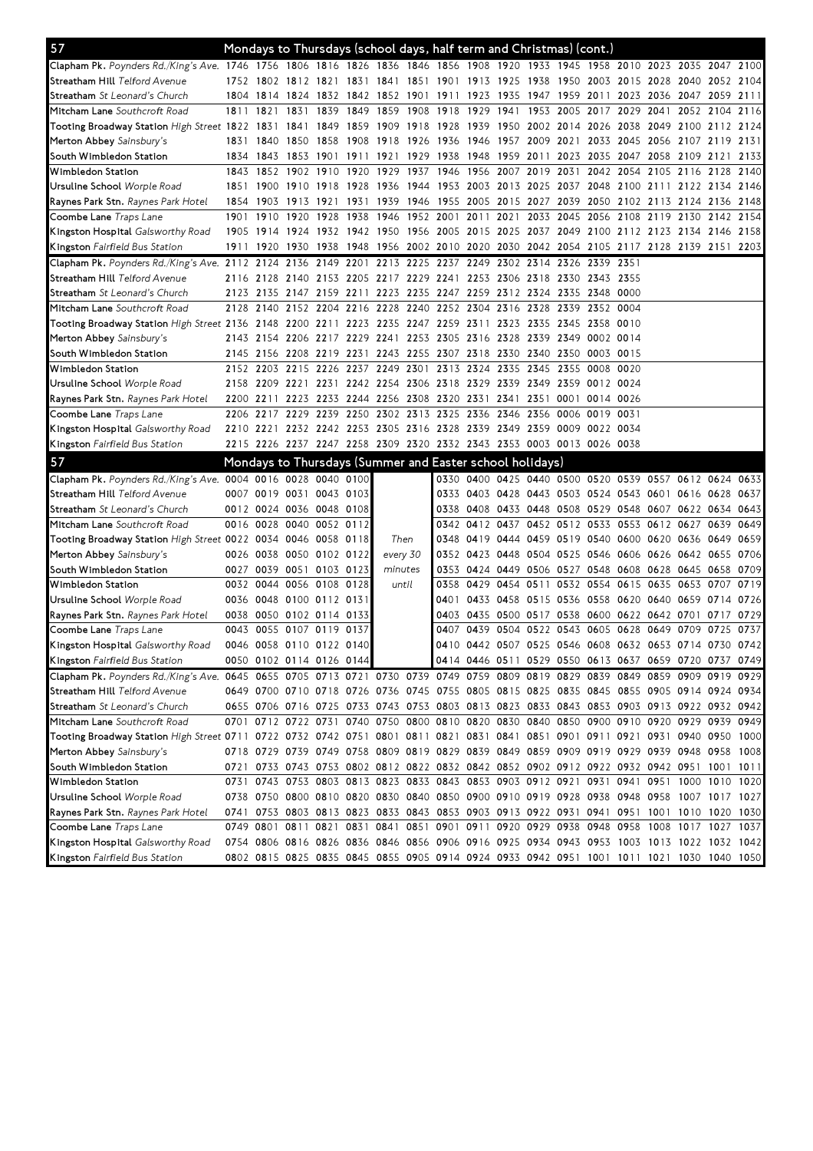| 57                                                                                                                             |      |           | Mondays to Thursdays (school days, half term and Christmas) (cont.)                       |                          |           |          |      |                          |                                         |                                                                                 |      |           |                                              |      |                          |           |      |      |
|--------------------------------------------------------------------------------------------------------------------------------|------|-----------|-------------------------------------------------------------------------------------------|--------------------------|-----------|----------|------|--------------------------|-----------------------------------------|---------------------------------------------------------------------------------|------|-----------|----------------------------------------------|------|--------------------------|-----------|------|------|
| Clapham Pk. Poynders Rd./King's Ave. 1746 1756 1806 1816 1826 1836 1846 1856 1908 1920 1933 1945 1958 2010 2023 2035 2047 2100 |      |           |                                                                                           |                          |           |          |      |                          |                                         |                                                                                 |      |           |                                              |      |                          |           |      |      |
| S <b>treatham Hill</b> Telford Avenue                                                                                          |      |           | 1752 1802 1812 1821 1831 1841 1851 1901 1913 1925 1938 1950 2003 2015 2028 2040 2052 2104 |                          |           |          |      |                          |                                         |                                                                                 |      |           |                                              |      |                          |           |      |      |
| <b>Streatham</b> <i>St Leonard's Church</i>                                                                                    |      | 1804 1814 | 1824 1832 1842 1852 1901 1911 1923 1935 1947 1959 2011 2023 2036 2047 2059 2111           |                          |           |          |      |                          |                                         |                                                                                 |      |           |                                              |      |                          |           |      |      |
| <b>Mitcham Lane</b> Southcroft Road                                                                                            | 1811 | 1821      | 1831                                                                                      | 1839                     |           |          |      | 1849 1859 1908 1918 1929 |                                         | 1941                                                                            |      |           | 1953 2005 2017                               | 2029 | 2041                     | 2052 2104 |      | 2116 |
| Tooting Broadway Station High Street 1822 1831                                                                                 |      |           | 1841                                                                                      | 1849                     | 1859      |          |      | 1909 1918 1928 1939      |                                         | 1950 2002 2014                                                                  |      |           | 2026                                         | 2038 | 2049 2100 2112 2124      |           |      |      |
| Merton Abbey Sainsbury's                                                                                                       |      | 1831 1840 |                                                                                           |                          |           |          |      |                          |                                         | 1850 1858 1908 1918 1926 1936 1946 1957 2009 2021 2033 2045 2056 2107 2119 2131 |      |           |                                              |      |                          |           |      |      |
| South Wimbledon Station                                                                                                        | 1834 | 1843      | 1853                                                                                      | 1901                     | 1911 1921 |          | 1929 | 1938 1948                |                                         | 1959 2011 2023 2035 2047 2058 2109 2121                                         |      |           |                                              |      |                          |           |      | 2133 |
| Wimbledon Station                                                                                                              | 1843 | 1852      |                                                                                           | 1902 1910 1920 1929 1937 |           |          |      | 1946 1956                |                                         | 2007 2019 2031 2042 2054                                                        |      |           |                                              |      | 2105 2116 2128 2140      |           |      |      |
| Ursuline School Worple Road                                                                                                    |      | 1851 1900 | 1910 1918 1928 1936 1944 1953 2003 2013 2025 2037 2048 2100 2111 2122 2134 2146           |                          |           |          |      |                          |                                         |                                                                                 |      |           |                                              |      |                          |           |      |      |
| <b>Raynes Park Stn.</b> <i>Raynes Park Hotel</i>                                                                               |      | 1854 1903 | 1913 1921                                                                                 |                          |           |          |      |                          |                                         | 1931 1939 1946 1955 2005 2015 2027 2039 2050 2102 2113 2124 2136 2148           |      |           |                                              |      |                          |           |      |      |
| Coombe Lane Traps Lane                                                                                                         | 1901 | 1910      | 1920 1928                                                                                 |                          | 1938      |          |      |                          | 1946 1952 2001 2011 2021                |                                                                                 |      | 2033 2045 | 2056                                         |      | 2108 2119 2130 2142 2154 |           |      |      |
| <b>Kingston Hospital</b> Galsworthy Road                                                                                       |      | 1905 1914 | 1924 1932 1942 1950 1956 2005 2015 2025 2037 2049 2100 2112 2123 2134 2146 2158           |                          |           |          |      |                          |                                         |                                                                                 |      |           |                                              |      |                          |           |      |      |
| Kingston Fairfield Bus Station                                                                                                 | 1911 | 1920      | 1930 1938 1948 1956 2002 2010 2020 2030 2042 2054 2105 2117 2128 2139 2151 2203           |                          |           |          |      |                          |                                         |                                                                                 |      |           |                                              |      |                          |           |      |      |
| Clapham Pk. Poynders Rd./King's Ave. 2112 2124                                                                                 |      |           | 2136 2149 2201                                                                            |                          |           |          |      |                          |                                         | 2213 2225 2237 2249 2302 2314 2326 2339 2351                                    |      |           |                                              |      |                          |           |      |      |
| Streatham Hill Telford Avenue                                                                                                  |      |           | 2116 2128 2140 2153 2205 2217 2229 2241 2253 2306 2318 2330 2343 2355                     |                          |           |          |      |                          |                                         |                                                                                 |      |           |                                              |      |                          |           |      |      |
| <b>Streatham</b> <i>St Leonard's Church</i>                                                                                    |      |           | 2123 2135 2147 2159 2211 2223 2235 2247 2259 2312 2324 2335 2348 0000                     |                          |           |          |      |                          |                                         |                                                                                 |      |           |                                              |      |                          |           |      |      |
| M <b>itcham Lane</b> Southcroft Road                                                                                           |      | 2128 2140 | 2152 2204 2216 2228 2240 2252 2304 2316 2328 2339 2352 0004                               |                          |           |          |      |                          |                                         |                                                                                 |      |           |                                              |      |                          |           |      |      |
| Tooting Broadway Station High Street 2136 2148                                                                                 |      |           | 2200 2211 2223 2235 2247 2259 2311 2323 2335 2345 2358                                    |                          |           |          |      |                          |                                         |                                                                                 |      |           |                                              | 0010 |                          |           |      |      |
| Merton Abbey Sainsbury's                                                                                                       |      | 2143 2154 | 2206 2217 2229 2241 2253 2305 2316 2328 2339 2349 0002 0014                               |                          |           |          |      |                          |                                         |                                                                                 |      |           |                                              |      |                          |           |      |      |
| South Wimbledon Station                                                                                                        |      |           | 2145 2156 2208 2219 2231 2243 2255 2307 2318 2330 2340 2350 0003 0015                     |                          |           |          |      |                          |                                         |                                                                                 |      |           |                                              |      |                          |           |      |      |
| Wimbledon Station                                                                                                              |      |           | 2152 2203 2215 2226 2237 2249 2301 2313 2324 2335 2345 2355 0008 0020                     |                          |           |          |      |                          |                                         |                                                                                 |      |           |                                              |      |                          |           |      |      |
| Ursuline School <i>Worple Road</i>                                                                                             |      |           | 2158 2209 2221 2231 2242 2254 2306 2318 2329 2339 2349 2359 0012 0024                     |                          |           |          |      |                          |                                         |                                                                                 |      |           |                                              |      |                          |           |      |      |
| <b>Raynes Park Stn.</b> <i>Raynes Park Hotel</i>                                                                               |      | 2200 2211 |                                                                                           |                          |           |          |      |                          | 2223 2233 2244 2256 2308 2320 2331 2341 |                                                                                 | 2351 |           | 0001 0014 0026                               |      |                          |           |      |      |
| Coombe Lane <i>Traps Lane</i>                                                                                                  |      |           | 2206 2217 2229 2239 2250 2302 2313 2325 2336 2346 2356 0006 0019 0031                     |                          |           |          |      |                          |                                         |                                                                                 |      |           |                                              |      |                          |           |      |      |
| <b>Kingston Hospital</b> Galsworthy Road                                                                                       |      |           | 2210 2221 2232 2242 2253 2305 2316 2328 2339 2349 2359 0009 0022 0034                     |                          |           |          |      |                          |                                         |                                                                                 |      |           |                                              |      |                          |           |      |      |
| <b>Kingston</b> Fairfield Bus Station                                                                                          |      |           |                                                                                           |                          |           |          |      |                          |                                         | 2215 2226 2237 2247 2258 2309 2320 2332 2343 2353 0003 0013 0026 0038           |      |           |                                              |      |                          |           |      |      |
|                                                                                                                                |      |           |                                                                                           |                          |           |          |      |                          |                                         |                                                                                 |      |           |                                              |      |                          |           |      |      |
| 57                                                                                                                             |      |           | Mondays to Thursdays (Summer and Easter school holidays)                                  |                          |           |          |      |                          |                                         |                                                                                 |      |           |                                              |      |                          |           |      |      |
| Clapham Pk. Poynders Rd./King's Ave. 0004 0016 0028 0040 0100                                                                  |      |           |                                                                                           |                          |           |          |      |                          |                                         | 0330 0400 0425 0440 0500 0520 0539 0557 0612 0624 0633                          |      |           |                                              |      |                          |           |      |      |
| S <b>treatham Hill</b> Telford Avenue                                                                                          |      |           | 0007 0019 0031 0043 0103                                                                  |                          |           |          |      |                          |                                         | 0333 0403 0428 0443 0503 0524 0543 0601 0616 0628                               |      |           |                                              |      |                          |           |      | 0637 |
| <b>Streatham</b> <i>St Leonard's Church</i>                                                                                    |      |           | 0012 0024 0036 0048 0108                                                                  |                          |           |          |      |                          | 0338 0408                               | 0433 0448 0508 0529 0548 0607 0622 0634 0643                                    |      |           |                                              |      |                          |           |      |      |
| M <b>itcham Lane</b> Southcroft Road                                                                                           |      |           | 0016 0028 0040 0052 0112                                                                  |                          |           |          |      |                          | 0342 0412                               |                                                                                 |      |           | 0437 0452 0512 0533 0553 0612 0627           |      |                          |           | 0639 | 0649 |
| Tooting Broadway Station <i>High Street</i> 0022 0034 0046 0058 0118                                                           |      |           |                                                                                           |                          |           | Then     |      | 0348 0419                |                                         | 0444 0459 0519 0540 0600 0620 0636                                              |      |           |                                              |      |                          |           | 0649 | 0659 |
| Merton Abbey Sainsbury's                                                                                                       |      |           | 0026 0038 0050 0102 0122                                                                  |                          |           | every 30 |      |                          |                                         | 0352 0423 0448 0504 0525 0546 0606 0626 0642 0655 0706                          |      |           |                                              |      |                          |           |      |      |
| South Wimbledon Station                                                                                                        |      |           | 0027 0039 0051 0103 0123                                                                  |                          |           | minutes  |      |                          |                                         | 0353 0424 0449 0506 0527 0548 0608 0628 0645 0658 0709                          |      |           |                                              |      |                          |           |      |      |
| Wimbledon Station                                                                                                              |      | 0032 0044 |                                                                                           | 0056 0108 0128           |           | until    |      |                          | 0358 0429                               |                                                                                 |      |           | 0454 0511 0532 0554 0615 0635 0653           |      |                          |           | 0707 | 0719 |
| Ursuline School Worple Road                                                                                                    |      |           | 0036 0048 0100 0112 0131                                                                  |                          |           |          |      |                          |                                         | 0401 0433 0458 0515 0536 0558 0620 0640 0659 0714 0726                          |      |           |                                              |      |                          |           |      |      |
| <b>Raynes Park Stn.</b> <i>Raynes Park Hotel</i>                                                                               |      |           | 0038 0050 0102 0114 0133                                                                  |                          |           |          |      |                          |                                         | 0403 0435 0500 0517 0538 0600 0622 0642 0701 0717 0729                          |      |           |                                              |      |                          |           |      |      |
| Coombe Lane <i>Traps Lane</i>                                                                                                  |      |           | 0043 0055 0107 0119 0137                                                                  |                          |           |          |      |                          | 0407 0439                               |                                                                                 |      |           | 0504 0522 0543 0605 0628 0649 0709 0725 0737 |      |                          |           |      |      |
| <b>Kingston Hospital</b> Galsworthy Road                                                                                       |      |           | 0046 0058 0110 0122 0140                                                                  |                          |           |          |      |                          |                                         | 0410 0442 0507 0525 0546 0608 0632 0653 0714 0730 0742                          |      |           |                                              |      |                          |           |      |      |
| <b>Kingston</b> Fairfield Bus Station                                                                                          |      |           | 0050 0102 0114 0126 0144                                                                  |                          |           |          |      |                          |                                         | 0414 0446 0511 0529 0550 0613 0637 0659 0720 0737 0749                          |      |           |                                              |      |                          |           |      |      |
| Clapham Pk. Poynders Rd./King's Ave. 0645 0655 0705 0713 0721 0730 0739 0749 0759 0809 0819 0829 0839 0849 0859 0909 0919 0929 |      |           |                                                                                           |                          |           |          |      |                          |                                         |                                                                                 |      |           |                                              |      |                          |           |      |      |
| Streatham Hill Telford Avenue                                                                                                  |      |           | 0649 0700 0710 0718 0726 0736 0745 0755 0805 0815 0825 0835 0845 0855 0905 0914 0924 0934 |                          |           |          |      |                          |                                         |                                                                                 |      |           |                                              |      |                          |           |      |      |
| <b>Streatham</b> <i>St Leonard's Church</i>                                                                                    |      |           | 0655 0706 0716 0725 0733 0743 0753 0803 0813 0823 0833 0843 0853 0903 0913 0922 0932 0942 |                          |           |          |      |                          |                                         |                                                                                 |      |           |                                              |      |                          |           |      |      |
| Mitcham Lane Southcroft Road                                                                                                   |      |           | 0701 0712 0722 0731 0740 0750 0800 0810 0820 0830 0840 0850 0900 0910 0920 0929 0939 0949 |                          |           |          |      |                          |                                         |                                                                                 |      |           |                                              |      |                          |           |      |      |
| Tooting Broadway Station High Street 0711 0722 0732 0742 0751 0801 0811 0821 0831 0841 0851 0901 0911 0921 0931 0940 0950 1000 |      |           |                                                                                           |                          |           |          |      |                          |                                         |                                                                                 |      |           |                                              |      |                          |           |      |      |
| Merton Abbey Sainsbury's                                                                                                       |      |           | 0718 0729 0739 0749 0758 0809 0819 0829 0839 0849 0859 0909 0919 0929 0939 0948 0958 1008 |                          |           |          |      |                          |                                         |                                                                                 |      |           |                                              |      |                          |           |      |      |
| South Wimbledon Station                                                                                                        |      |           | 0721 0733 0743 0753 0802 0812 0822 0832 0842 0852 0902 0912 0922 0932 0942 0951 1001      |                          |           |          |      |                          |                                         |                                                                                 |      |           |                                              |      |                          |           |      | 1011 |
| Wimbledon Station                                                                                                              |      |           | 0731 0743 0753 0803 0813 0823 0833 0843 0853 0903 0912 0921 0931 0941 0951 1000 1010 1020 |                          |           |          |      |                          |                                         |                                                                                 |      |           |                                              |      |                          |           |      |      |
| Ursuline School <i>Worple Road</i>                                                                                             |      |           | 0738 0750 0800 0810 0820 0830 0840 0850 0900 0910 0919 0928 0938 0948 0958 1007 1017 1027 |                          |           |          |      |                          |                                         |                                                                                 |      |           |                                              |      |                          |           |      |      |
| <b>Raynes Park Stn.</b> <i>Raynes Park Hotel</i>                                                                               |      |           | 0741 0753 0803 0813 0823 0833 0843 0853 0903 0913 0922 0931 0941 0951 1001 1010 1020 1030 |                          |           |          |      |                          |                                         |                                                                                 |      |           |                                              |      |                          |           |      |      |
| <b>Coombe Lane</b> Traps Lane                                                                                                  |      |           | 0749 0801 0811 0821 0831 0841 0851 0901 0911 0920 0929 0938 0948 0958 1008 1017 1027 1037 |                          |           |          |      |                          |                                         |                                                                                 |      |           |                                              |      |                          |           |      |      |
| <b>Kingston Hospital</b> Galsworthy Road                                                                                       |      |           | 0754 0806 0816 0826 0836 0846 0856 0906 0916 0925 0934 0943 0953 1003 1013 1022 1032 1042 |                          |           |          |      |                          |                                         |                                                                                 |      |           |                                              |      |                          |           |      |      |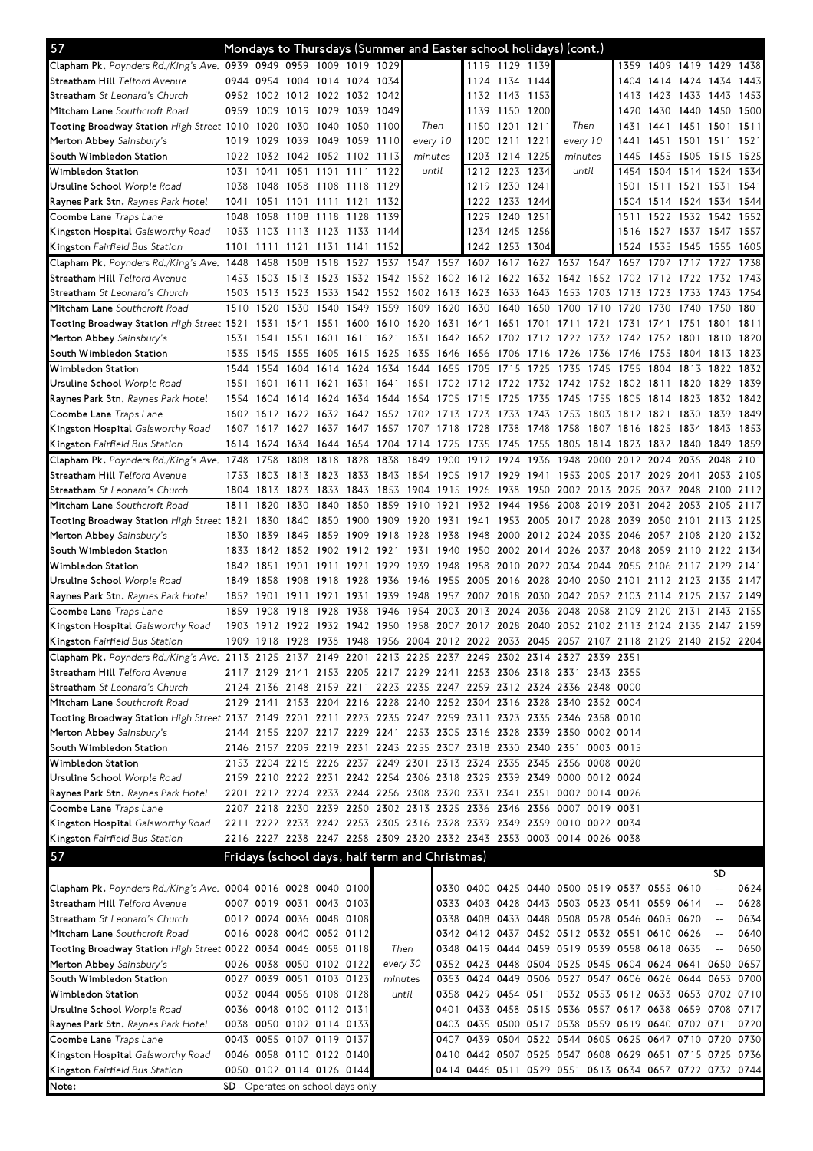| 57                                                                                                         |              |              |      |                          |                                   |                     | Mondays to Thursdays (Summer and Easter school holidays) (cont.)                          |                                                        |              |                                                        |                          |          |           |                     |                |                             |                                    |              |
|------------------------------------------------------------------------------------------------------------|--------------|--------------|------|--------------------------|-----------------------------------|---------------------|-------------------------------------------------------------------------------------------|--------------------------------------------------------|--------------|--------------------------------------------------------|--------------------------|----------|-----------|---------------------|----------------|-----------------------------|------------------------------------|--------------|
| Clapham Pk. Poynders Rd./King's Ave. 0939 0949 0959 1009 1019 1029                                         |              |              |      |                          |                                   |                     |                                                                                           |                                                        |              | 1119 1129 1139                                         |                          |          |           | 1359                |                | 1409 1419 1429 1438         |                                    |              |
| Streatham Hill Telford Avenue                                                                              | 0944 0954    |              |      | 1004 1014 1024           |                                   | 1034                |                                                                                           |                                                        |              | 1124 1134 1144                                         |                          |          |           | 1404                | 1414 1424      |                             | 1434                               | 1443         |
| <b>Streatham</b> St Leonard's Church                                                                       | 0952 1002    |              |      |                          | 1012 1022 1032 1042               |                     |                                                                                           |                                                        |              | 1132 1143 1153                                         |                          |          |           | 1413                |                | 1423 1433 1443              |                                    | 1453         |
| M <b>itcham Lane</b> Southcroft Road                                                                       | 0959         | 1009         | 1019 | 1029                     | 1039                              | 1049                |                                                                                           |                                                        | 1139         | 1150                                                   | 1200                     |          |           | 1420                | 1430           | 1440                        | 1450                               | 1500         |
| Tooting Broadway Station <i>High Street</i> 1010 1020                                                      |              |              |      | 1030 1040 1050           |                                   | 1100                | Then                                                                                      |                                                        | 1150         | 1201 1211                                              |                          | Then     |           | 1431                |                | 1441 1451 1501 1511         |                                    |              |
| Merton Abbey Sainsbury's                                                                                   | 1019 1029    |              | 1039 |                          | 1049 1059 1110                    |                     | every 10                                                                                  |                                                        | 1200         | 1211 1221                                              |                          | every 10 |           | 1441                |                | 1451 1501 1511 1521         |                                    |              |
| South Wimbledon Station                                                                                    |              | 1022 1032    |      | 1042 1052 1102           |                                   | 1113                | minutes                                                                                   |                                                        | 1203         | 1214                                                   | 1225                     | minutes  |           | 1445                |                | 1455 1505                   | 1515                               | 1525         |
| Wimbledon Station                                                                                          | 1031         | 1041         | 1051 | 1101                     | 1111                              | 1122                | until                                                                                     |                                                        | 1212         | 1223                                                   | 1234                     | until    |           | 1454                |                | 1504 1514 1524              |                                    | 1534         |
| Ursuline School <i>Worple Road</i>                                                                         | 1038         | 1048         | 1058 | 1108                     | 1118                              | 1129                |                                                                                           |                                                        | 1219         | 1230 1241                                              |                          |          |           | 1501                |                | 1511 1521 1531              |                                    | 1541         |
| Raynes Park Stn. Raynes Park Hotel<br>Coombe Lane Traps Lane                                               | 1041<br>1048 | 1051<br>1058 |      | 1101 1111 1121           | 1128                              | 1132<br>1139        |                                                                                           |                                                        | 1222<br>1229 | 1233 1244<br>1240                                      | 1251                     |          |           | 1504<br>1511        |                | 1514 1524 1534<br>1522 1532 | 1542                               | 1544<br>1552 |
|                                                                                                            |              |              | 1108 | 1118                     | 1053 1103 1113 1123 1133 1144     |                     |                                                                                           |                                                        |              | 1234 1245 1256                                         |                          |          |           | 1516                |                | 1527 1537 1547 1557         |                                    |              |
| K <b>ingston Hospital</b> Galsworthy Road                                                                  | 1101         |              |      |                          | 1111 1121 1131 1141 1152          |                     |                                                                                           |                                                        |              | 1242 1253 1304                                         |                          |          |           |                     | 1524 1535 1545 |                             | 1555                               | -1605        |
| <b>Kingston</b> Fairfield Bus Station                                                                      |              | 1458         | 1508 | 1518                     | 1527                              | 1537                | 1547                                                                                      | 1557                                                   | 1607         | 1617                                                   | 1627                     | 1637     | 1647      | 1657                | 1707           | 1717                        | 1727                               | 1738         |
| Clapham Pk. Poynders Rd./King's Ave. 1448<br>Streatham Hill Telford Avenue                                 |              | 1453 1503    | 1513 | 1523                     | 1532                              | 1542                | 1552 1602 1612                                                                            |                                                        |              | 1622 1632 1642 1652 1702                               |                          |          |           |                     | 1712           | 1722                        | 1732                               | 1743         |
| Streatham St Leonard's Church                                                                              | 1503         | 1513         | 1523 | 1533                     | 1542                              | 1552                | 1602                                                                                      | 1613                                                   | 1623         | 1633                                                   | 1643                     | 1653     | 1703      | 1713                | 1723           | 1733                        | 1743                               | 1754         |
| M <b>itcham Lane</b> Southcroft Road                                                                       | 1510         | 1520         | 1530 | 1540                     | 1549                              | 1559                | 1609                                                                                      | 1620                                                   | 1630         | 1640                                                   | 1650                     | 1700     | 1710      | 1720                | 1730           | 1740                        | 1750                               | 1801         |
| Tooting Broadway Station High Street 1521                                                                  |              | 1531         | 1541 | 1551                     | 1600                              | 1610                | 1620                                                                                      | 1631 1641                                              |              | 1651                                                   | 1701 1711                |          | 1721      | 1731                | 1741           | 1751                        | 1801                               | 1811         |
| Merton Abbey Sainsbury's                                                                                   | 1531         | -1541        | 1551 | 1601                     | 1611 1621                         |                     | 1631 1642 1652                                                                            |                                                        |              | 1702 1712 1722                                         |                          |          |           | 1732 1742 1752      |                | 1801                        | 1810                               | 1820         |
| South Wimbledon Station                                                                                    | 1535         | 1545         | 1555 | 1605                     | 1615                              | 1625                | 1635                                                                                      | 1646 1656                                              |              | 1706 1716                                              |                          | 1726     | 1736      | 1746                | 1755           | 1804                        | 1813                               | 1823         |
| Wimbledon Station                                                                                          | 1544         | 1554         | 1604 | 1614                     | 1624                              | 1634                | 1644                                                                                      | 1655 1705                                              |              | 1715                                                   | 1725                     | 1735     | 1745      | 1755                | 1804           | 1813                        | 1822                               | 1832         |
| Ursuline School <i>Worple Road</i>                                                                         | 1551         | 1601         | 1611 | 1621                     | 1631                              | 1641                | 1651                                                                                      | 1702 1712                                              |              | 1722 1732                                              |                          | 1742     | 1752      | 1802                | 1811           | 1820                        | 1829                               | 1839         |
| <b>Raynes Park Stn.</b> <i>Raynes Park Hotel</i>                                                           | 1554 1604    |              | 1614 |                          |                                   | 1624 1634 1644 1654 |                                                                                           | 1705 1715                                              |              | 1725                                                   | 1735                     | 1745     | 1755      | 1805                | 1814 1823      |                             | 1832                               | 1842         |
| C <b>oombe Lane</b> Traps Lane                                                                             | 1602 1612    |              | 1622 | 1632                     | 1642                              | 1652                | 1702                                                                                      | 1713                                                   | 1723         | 1733                                                   | 1743                     | 1753     | 1803      | 1812                | 1821           | 1830                        | 1839                               | 1849         |
| K <b>ingston Hospital</b> Galsworthy Road                                                                  |              | 1607 1617    |      |                          |                                   |                     | 1627 1637 1647 1657 1707 1718 1728                                                        |                                                        |              | 1738                                                   | 1748                     | 1758     |           | 1807 1816 1825 1834 |                |                             | 1843                               | 1853         |
| <b>Kingston</b> Fairfield Bus Station                                                                      |              | 1614 1624    |      |                          |                                   |                     | 1634 1644 1654 1704 1714 1725                                                             |                                                        | 1735         | 1745 1755 1805                                         |                          |          | 1814 1823 |                     |                | 1832 1840 1849              |                                    | 1859         |
| Clapham Pk. Poynders Rd./King's Ave. 1748                                                                  |              | 1758         | 1808 | 1818                     | 1828                              | 1838                | 1849                                                                                      | 1900                                                   | 1912         | 1924                                                   | 1936                     | 1948     | 2000      | 2012                | 2024           | 2036                        | 2048                               | 2101         |
| Streatham Hill Telford Avenue                                                                              | 1753         | 1803         | 1813 | 1823                     | 1833                              | 1843                | 1854                                                                                      | 1905                                                   | 1917         | 1929                                                   | 1941                     | 1953     | 2005      | 2017                | 2029 2041      |                             | 2053                               | 2105         |
| <b>Streatham</b> <i>St Leonard's Church</i>                                                                | 1804         | 1813         | 1823 | 1833                     | 1843                              | 1853                | 1904                                                                                      | 1915                                                   | 1926         | 1938                                                   | 1950                     | 2002     | 2013      | 2025                | 2037           | 2048                        | 2100                               | 2112         |
| M <b>itcham Lane</b> Southcroft Road                                                                       | 1811         | 1820         | 1830 | 1840                     | 1850                              | 1859                | 1910                                                                                      | 1921                                                   | 1932         | 1944                                                   | 1956                     | 2008     | 2019      | 2031                |                | 2042 2053                   | 2105                               | 2117         |
| Tooting Broadway Station <i>High Street</i> 1821                                                           |              | 1830         | 1840 | 1850                     | 1900                              | 1909                | 1920                                                                                      | 1931                                                   | 1941         |                                                        | 1953 2005 2017 2028 2039 |          |           |                     |                | 2050 2101 2113 2125         |                                    |              |
| Merton Abbey Sainsbury's                                                                                   | 1830         | 1839         | 1849 | 1859                     | 1909                              | 1918                | 1928                                                                                      | 1938                                                   | 1948         |                                                        | 2000 2012 2024           |          | 2035      | 2046                | 2057 2108      |                             | 2120                               | 2132         |
| South Wimbledon Station                                                                                    | 1833         | 1842         |      |                          | 1852 1902 1912 1921               |                     | 1931                                                                                      | 1940                                                   | 1950         |                                                        | 2002 2014 2026           |          | 2037 2048 |                     | 2059 2110      |                             | 2122 2134                          |              |
| Wimbledon Station                                                                                          | 1842 1851    |              | 1901 | 1911                     | 1921                              | 1929                | 1939                                                                                      | 1948                                                   | 1958         | 2010                                                   | 2022 2034                |          | 2044      | 2055                | 2106 2117      |                             | 2129                               | 2141         |
| Ursuline School <i>Worple Road</i>                                                                         | 1849         | 1858         | 1908 | 1918                     | 1928                              | 1936                | 1946                                                                                      | 1955 2005                                              |              | 2016 2028 2040                                         |                          |          | 2050      | 2101                | 2112 2123      |                             | 2135                               | 2147         |
| <b>Raynes Park Stn.</b> <i>Raynes Park Hotel</i>                                                           | 1852 1901    |              | 1911 | 1921                     | 1931                              | 1939                | 1948                                                                                      | 1957                                                   | 2007         | 2018                                                   | 2030 2042                |          | 2052 2103 |                     | 2114 2125      |                             | 2137                               | 2149         |
| Coombe Lane Traps Lane                                                                                     | 1859         | 1908         | 1918 | 1928                     | 1938                              | 1946                | 1954                                                                                      | 2003                                                   | 2013         | 2024                                                   | 2036                     | 2048     | 2058      | 2109                | 2120           | 2131                        | 2143                               | 2155         |
| K <b>ingston Hospital</b> Galsworthy Road                                                                  |              | 1903 1912    |      |                          | 1922 1932 1942 1950               |                     | 1958                                                                                      | 2007 2017 2028 2040 2052 2102 2113 2124 2135 2147 2159 |              |                                                        |                          |          |           |                     |                |                             |                                    |              |
| Kingston Fairfield Bus Station                                                                             |              |              |      |                          |                                   |                     | 1909 1918 1928 1938 1948 1956 2004 2012 2022 2033 2045 2057 2107 2118 2129 2140 2152 2204 |                                                        |              |                                                        |                          |          |           |                     |                |                             |                                    |              |
| Clapham Pk. Poynders Rd./King's Ave. 2113 2125 2137 2149 2201 2213 2225 2237 2249 2302 2314 2327 2339 2351 |              |              |      |                          |                                   |                     |                                                                                           |                                                        |              |                                                        |                          |          |           |                     |                |                             |                                    |              |
| S <b>treatham Hill</b> Telford Avenue                                                                      |              |              |      |                          |                                   |                     | 2117 2129 2141 2153 2205 2217 2229 2241 2253 2306 2318 2331 2343 2355                     |                                                        |              |                                                        |                          |          |           |                     |                |                             |                                    |              |
| <b>Streatham</b> <i>St Leonard's Church</i>                                                                |              |              |      |                          |                                   |                     | 2124 2136 2148 2159 2211 2223 2235 2247 2259 2312 2324 2336 2348 0000                     |                                                        |              |                                                        |                          |          |           |                     |                |                             |                                    |              |
| M <b>itcham Lane</b> Southcroft Road                                                                       |              |              |      |                          |                                   |                     | 2129 2141 2153 2204 2216 2228 2240 2252 2304 2316 2328 2340 2352 0004                     |                                                        |              |                                                        |                          |          |           |                     |                |                             |                                    |              |
| Tooting Broadway Station High Street 2137 2149 2201 2211 2223 2235 2247 2259 2311 2323 2335 2346 2358 0010 |              |              |      |                          |                                   |                     |                                                                                           |                                                        |              |                                                        |                          |          |           |                     |                |                             |                                    |              |
| Merton Abbey Sainsbury's                                                                                   |              |              |      |                          |                                   |                     | 2144 2155 2207 2217 2229 2241 2253 2305 2316 2328 2339 2350 0002 0014                     |                                                        |              |                                                        |                          |          |           |                     |                |                             |                                    |              |
| South Wimbledon Station                                                                                    |              |              |      |                          |                                   |                     | 2146 2157 2209 2219 2231 2243 2255 2307 2318 2330 2340 2351 0003 0015                     |                                                        |              |                                                        |                          |          |           |                     |                |                             |                                    |              |
| Wimbledon Station                                                                                          |              |              |      |                          |                                   |                     | 2153 2204 2216 2226 2237 2249 2301 2313 2324 2335 2345 2356 0008 0020                     |                                                        |              |                                                        |                          |          |           |                     |                |                             |                                    |              |
| Ursuline School <i>Worple Road</i>                                                                         |              |              |      |                          |                                   |                     | 2159 2210 2222 2231 2242 2254 2306 2318 2329 2339 2349 0000 0012 0024                     |                                                        |              |                                                        |                          |          |           |                     |                |                             |                                    |              |
| <b>Raynes Park Stn.</b> <i>Raynes Park Hotel</i>                                                           |              |              |      |                          |                                   |                     | 2201 2212 2224 2233 2244 2256 2308 2320 2331 2341 2351 0002 0014 0026                     |                                                        |              |                                                        |                          |          |           |                     |                |                             |                                    |              |
| C <b>oombe Lane</b> Traps Lane                                                                             |              |              |      |                          |                                   |                     | 2207 2218 2230 2239 2250 2302 2313 2325 2336 2346 2356 0007 0019 0031                     |                                                        |              |                                                        |                          |          |           |                     |                |                             |                                    |              |
| K <b>ingston Hospital</b> Galsworthy Road                                                                  |              |              |      |                          |                                   |                     | 2211 2222 2233 2242 2253 2305 2316 2328 2339 2349 2359 0010 0022 0034                     |                                                        |              |                                                        |                          |          |           |                     |                |                             |                                    |              |
| Kingston Fairfield Bus Station                                                                             |              |              |      |                          |                                   |                     | 2216 2227 2238 2247 2258 2309 2320 2332 2343 2353 0003 0014 0026 0038                     |                                                        |              |                                                        |                          |          |           |                     |                |                             |                                    |              |
| 57                                                                                                         |              |              |      |                          |                                   |                     | Fridays (school days, half term and Christmas)                                            |                                                        |              |                                                        |                          |          |           |                     |                |                             |                                    |              |
|                                                                                                            |              |              |      |                          |                                   |                     |                                                                                           |                                                        |              |                                                        |                          |          |           |                     |                |                             | SD                                 |              |
| Clapham Pk. Poynders Rd./King's Ave. 0004 0016 0028 0040 0100                                              |              |              |      |                          |                                   |                     |                                                                                           |                                                        |              | 0330 0400 0425 0440 0500 0519 0537 0555 0610           |                          |          |           |                     |                |                             | $\overline{\phantom{a}}$           | 0624         |
| S <b>treatham Hill</b> Telford Avenue                                                                      |              |              |      | 0007 0019 0031 0043 0103 |                                   |                     |                                                                                           |                                                        |              | 0333 0403 0428 0443 0503 0523 0541 0559 0614           |                          |          |           |                     |                |                             | $\overline{\phantom{a}}$           | 0628         |
| <b>Streatham</b> <i>St Leonard's Church</i>                                                                |              |              |      | 0012 0024 0036 0048 0108 |                                   |                     |                                                                                           | 0338 0408                                              |              | 0433 0448 0508 0528 0546 0605 0620                     |                          |          |           |                     |                |                             | $\hspace{0.05cm}--\hspace{0.05cm}$ | 0634         |
| M <b>itcham Lane</b> Southcroft Road                                                                       |              |              |      | 0016 0028 0040 0052 0112 |                                   |                     |                                                                                           |                                                        |              | 0342 0412 0437 0452 0512 0532 0551 0610 0626           |                          |          |           |                     |                |                             | $\overline{\phantom{a}}$           | 0640         |
| Tooting Broadway Station High Street 0022 0034 0046 0058 0118                                              |              |              |      |                          |                                   | Then                |                                                                                           |                                                        |              | 0348 0419 0444 0459 0519 0539 0558 0618 0635           |                          |          |           |                     |                |                             | $\overline{\phantom{a}}$           | 0650         |
| Merton Abbey Sainsbury's                                                                                   |              |              |      | 0026 0038 0050 0102 0122 |                                   | every 30            |                                                                                           |                                                        |              | 0352 0423 0448 0504 0525 0545 0604 0624 0641 0650      |                          |          |           |                     |                |                             |                                    | 0657         |
| South Wimbledon Station                                                                                    |              |              |      | 0027 0039 0051 0103 0123 |                                   | minutes             |                                                                                           |                                                        |              | 0353 0424 0449 0506 0527 0547 0606 0626 0644 0653 0700 |                          |          |           |                     |                |                             |                                    |              |
| Wimbledon Station                                                                                          |              |              |      | 0032 0044 0056 0108 0128 |                                   |                     | until                                                                                     |                                                        |              | 0358 0429 0454 0511 0532 0553 0612 0633 0653 0702 0710 |                          |          |           |                     |                |                             |                                    |              |
| Ursuline School <i>Worple Road</i>                                                                         |              |              |      | 0036 0048 0100 0112 0131 |                                   |                     |                                                                                           |                                                        |              | 0401 0433 0458 0515 0536 0557 0617 0638 0659 0708 0717 |                          |          |           |                     |                |                             |                                    |              |
| <b>Raynes Park Stn.</b> <i>Raynes Park Hotel</i>                                                           |              |              |      | 0038 0050 0102 0114 0133 |                                   |                     |                                                                                           |                                                        |              | 0403 0435 0500 0517 0538 0559 0619 0640 0702 0711 0720 |                          |          |           |                     |                |                             |                                    |              |
| C <b>oombe Lane</b> Traps Lane                                                                             |              |              |      | 0043 0055 0107 0119 0137 |                                   |                     |                                                                                           |                                                        |              | 0407 0439 0504 0522 0544 0605 0625 0647 0710 0720 0730 |                          |          |           |                     |                |                             |                                    |              |
| K <b>ingston Hospital</b> Galsworthy Road                                                                  |              |              |      | 0046 0058 0110 0122 0140 |                                   |                     |                                                                                           |                                                        |              | 0410 0442 0507 0525 0547 0608 0629 0651 0715 0725 0736 |                          |          |           |                     |                |                             |                                    |              |
| Kingston Fairfield Bus Station                                                                             |              |              |      | 0050 0102 0114 0126 0144 |                                   |                     |                                                                                           |                                                        |              | 0414 0446 0511 0529 0551 0613 0634 0657 0722 0732 0744 |                          |          |           |                     |                |                             |                                    |              |
|                                                                                                            |              |              |      |                          | SD - Operates on school days only |                     |                                                                                           |                                                        |              |                                                        |                          |          |           |                     |                |                             |                                    |              |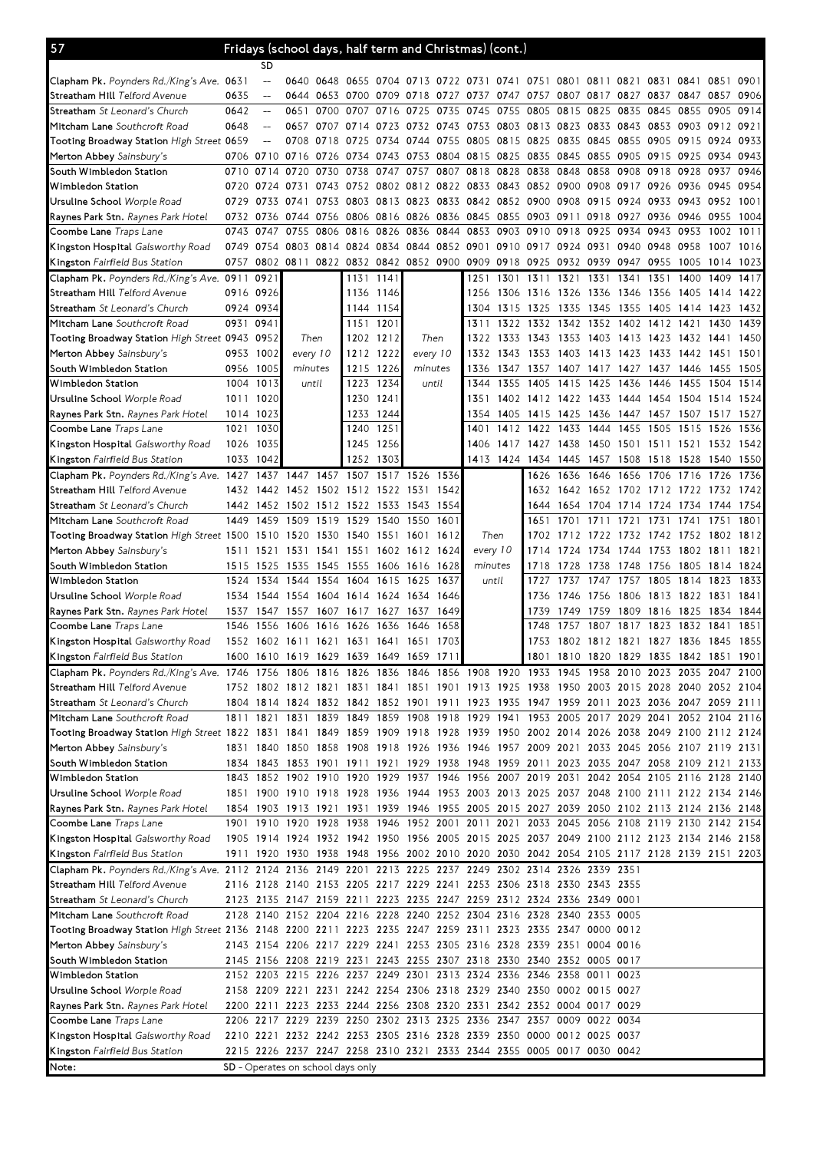| 57                                                                                                                             |      | Fridays (school days, half term and Christmas) (cont.) |                                    |                |                                   |           |                                         |       |                                                                                           |                     |           |                |           |                                         |           |                |      |      |
|--------------------------------------------------------------------------------------------------------------------------------|------|--------------------------------------------------------|------------------------------------|----------------|-----------------------------------|-----------|-----------------------------------------|-------|-------------------------------------------------------------------------------------------|---------------------|-----------|----------------|-----------|-----------------------------------------|-----------|----------------|------|------|
|                                                                                                                                |      | SD                                                     |                                    |                |                                   |           |                                         |       |                                                                                           |                     |           |                |           |                                         |           |                |      |      |
| <b>Clapham Pk.</b> Poynders Rd./King's Ave. 0631                                                                               |      | $\qquad \qquad -$                                      |                                    |                |                                   |           |                                         |       | 0640 0648 0655 0704 0713 0722 0731 0741 0751 0801 0811 0821 0831 0841                     |                     |           |                |           |                                         |           |                | 0851 | 0901 |
| S <b>treatham Hill</b> Telford Avenue                                                                                          | 0635 | $\overline{\phantom{a}}$                               | 0644                               | 0653 0700      |                                   |           |                                         |       | 0709 0718 0727 0737 0747 0757 0807 0817 0827                                              |                     |           |                |           |                                         | 0837      | 0847 0857      |      | 0906 |
| <b>Streatham</b> <i>St Leonard's Church</i>                                                                                    | 0642 | $-\!$                                                  | 0651                               | 0700           | 0707                              | 0716      | 0725 0735                               |       | 0745                                                                                      | 0755 0805           |           | 0815           | 0825 0835 |                                         | 0845      | 0855           | 0905 | 0914 |
| Mitcham Lane Southcroft Road                                                                                                   | 0648 | $\qquad \qquad -$                                      | 0657                               | 0707           | 0714                              |           |                                         |       | 0723 0732 0743 0753 0803 0813 0823                                                        |                     |           |                | 0833 0843 |                                         |           | 0853 0903 0912 |      | 0921 |
| Tooting Broadway Station <i>High Street</i> 0659                                                                               |      | $\overline{a}$                                         |                                    | 0708 0718      | 0725                              |           | 0734 0744 0755                          |       | 0805 0815 0825                                                                            |                     |           | 0835           |           | 0845 0855 0905                          |           | 0915 0924      |      | 0933 |
| Merton Abbey Sainsbury's                                                                                                       |      | 0706 0710                                              | 0716                               |                | 0726 0734                         |           |                                         |       | 0743 0753 0804 0815 0825 0835 0845                                                        |                     |           |                |           | 0855 0905 0915 0925                     |           |                | 0934 | 0943 |
| South Wimbledon Station                                                                                                        | 0710 | 0714                                                   | 0720                               | 0730           | 0738                              | 0747      | 0757                                    | 0807  | 0818                                                                                      | 0828 0838           |           | 0848           | 0858      | 0908                                    | 0918      | 0928           | 0937 | 0946 |
| Wimbledon Station                                                                                                              |      |                                                        |                                    |                |                                   |           |                                         |       | 0720 0724 0731 0743 0752 0802 0812 0822 0833 0843 0852 0900 0908 0917 0926 0936 0945      |                     |           |                |           |                                         |           |                |      | 0954 |
| Ursuline School <i>Worple Road</i>                                                                                             |      | 0729 0733                                              | 0741 0753 0803                     |                |                                   |           |                                         |       | 0813 0823 0833 0842 0852 0900 0908 0915 0924 0933 0943 0952                               |                     |           |                |           |                                         |           |                |      | 1001 |
| <b>Raynes Park Stn.</b> <i>Raynes Park Hotel</i>                                                                               |      | 0732 0736                                              | 0744 0756 0806                     |                |                                   |           |                                         |       | 0816 0826 0836 0845 0855 0903 0911                                                        |                     |           |                |           | 0918 0927                               | 0936      | 0946 0955      |      | 1004 |
| <b>Coombe Lane</b> Traps Lane                                                                                                  | 0743 | 0747                                                   | 0755                               | 0806           | 0816                              |           | 0826 0836 0844                          |       | 0853 0903 0910                                                                            |                     |           | 0918           | 0925      | 0934                                    | 0943      | 0953           | 1002 | 1011 |
| <b>Kingston Hospital</b> Galsworthy Road                                                                                       |      | 0749 0754                                              |                                    | 0803 0814 0824 |                                   |           |                                         |       | 0834 0844 0852 0901 0910 0917 0924 0931 0940 0948                                         |                     |           |                |           |                                         |           | 0958 1007      |      | 1016 |
| <b>Kingston</b> Fairfield Bus Station                                                                                          | 0757 |                                                        | 0802 0811                          |                |                                   |           | 0822 0832 0842 0852 0900                |       |                                                                                           |                     |           |                |           | 0909 0918 0925 0932 0939 0947           | 0955      | 1005 1014      |      | 1023 |
| Clapham Pk. Poynders Rd./King's Ave.                                                                                           | 0911 | 0921                                                   |                                    |                | 1131                              | 1141      |                                         |       | 1251                                                                                      |                     | 1301 1311 | 1321           | 1331      | 1341                                    | 1351      | 1400           | 1409 | 1417 |
| Streatham Hill Telford Avenue                                                                                                  |      | 0916 0926                                              |                                    |                | 1136                              | 1146      |                                         |       | 1256                                                                                      |                     |           |                |           | 1306 1316 1326 1336 1346 1356           |           | 1405 1414      |      | 1422 |
| Streatham St Leonard's Church                                                                                                  |      | 0924 0934                                              |                                    |                |                                   | 1144 1154 |                                         |       | 1304                                                                                      |                     |           |                |           | 1315 1325 1335 1345 1355 1405           |           | 1414 1423      |      | 1432 |
| <b>Mitcham Lane</b> Southcroft Road                                                                                            |      | 0931 0941                                              |                                    |                |                                   | 1151 1201 |                                         |       | 1311                                                                                      |                     |           |                |           | 1322 1332 1342 1352 1402 1412           |           | 1421           | 1430 | 1439 |
| Tooting Broadway Station <i>High Street</i> 0943 0952                                                                          |      |                                                        |                                    | Then           |                                   | 1202 1212 | Then                                    |       | 1322                                                                                      |                     | 1333 1343 | 1353           |           | 1403 1413 1423                          |           | 1432 1441      |      | 1450 |
| Merton Abbey Sainsbury's                                                                                                       |      | 0953 1002                                              |                                    | every 10       |                                   | 1212 1222 | every 10                                |       | 1332                                                                                      | 1343                | 1353      | 1403           | 1413 1423 |                                         | 1433      | 1442 1451      |      | 1501 |
| South Wimbledon Station                                                                                                        | 0956 | 1005                                                   | minutes                            |                | 1215                              | 1226      | minutes                                 |       | 1336                                                                                      |                     | 1347 1357 | 1407           |           | 1417 1427 1437 1446 1455                |           |                |      | 1505 |
| Wimbledon Station                                                                                                              |      | 1004 1013                                              | until                              |                | 1223                              | 1234      |                                         | until | 1344                                                                                      | 1355                | 1405      | 1415           | 1425      | 1436                                    | 1446      | 1455           | 1504 | 1514 |
| Ursuline School <i>Worple Road</i>                                                                                             |      | 1011 1020                                              |                                    |                |                                   | 1230 1241 |                                         |       | 1351                                                                                      |                     |           |                |           | 1402 1412 1422 1433 1444 1454 1504 1514 |           |                |      | 1524 |
| <b>Raynes Park Stn.</b> <i>Raynes Park Hotel</i>                                                                               |      | 1014 1023                                              |                                    |                | 1233                              | 1244      |                                         |       | 1354                                                                                      |                     | 1405 1415 | 1425           |           | 1436 1447 1457 1507 1517                |           |                |      | 1527 |
| <b>Coombe Lane</b> Traps Lane                                                                                                  |      | 1021 1030                                              |                                    |                |                                   | 1240 1251 |                                         |       | 1401                                                                                      |                     | 1412 1422 | 1433           |           | 1444 1455                               | 1505      | 1515 1526      |      | 1536 |
| <b>Kingston Hospital</b> Galsworthy Road                                                                                       | 1026 | 1035                                                   |                                    |                | 1245                              | 1256      |                                         |       | 1406                                                                                      | 1417                | 1427 1438 |                |           | 1450 1501 1511 1521 1532                |           |                |      | 1542 |
| <b>Kingston</b> Fairfield Bus Station                                                                                          |      | 1033 1042                                              |                                    |                |                                   | 1252 1303 |                                         |       |                                                                                           | 1413 1424 1434 1445 |           |                |           | 1457 1508 1518                          |           | 1528 1540      |      | 1550 |
| Clapham Pk. Poynders Rd./King's Ave.                                                                                           | 1427 | 1437                                                   | 1447                               | 1457           | 1507                              | 1517      | 1526                                    | 1536  |                                                                                           |                     | 1626      | 1636           |           | 1646 1656                               | 1706      | 1716           | 1726 | 1736 |
| Streatham Hill Telford Avenue                                                                                                  |      |                                                        |                                    |                |                                   |           | 1432 1442 1452 1502 1512 1522 1531      | 1542  |                                                                                           |                     | 1632      |                |           | 1642 1652 1702 1712 1722 1732 1742      |           |                |      |      |
| <b>Streatham</b> <i>St Leonard's Church</i>                                                                                    |      |                                                        | 1442 1452 1502 1512 1522 1533 1543 |                |                                   |           |                                         | 1554  |                                                                                           |                     |           |                |           | 1644 1654 1704 1714 1724 1734 1744      |           |                |      | 1754 |
| <b>Mitcham Lane</b> Southcroft Road                                                                                            | 1449 | 1459                                                   | 1509                               | 1519           | 1529                              | 1540      | 1550                                    | 1601  |                                                                                           |                     | 1651      | 1701           | 1711 1721 |                                         | 1731 1741 |                | 1751 | 1801 |
| Tooting Broadway Station <i>High Street</i> 1500 1510                                                                          |      |                                                        |                                    | 1520 1530      | 1540                              | 1551 1601 |                                         | 1612  | Then                                                                                      |                     | 1702      |                |           | 1712 1722 1732 1742 1752 1802           |           |                |      | 1812 |
| Merton Abbey Sainsbury's                                                                                                       | 1511 | 1521                                                   | 1531 1541                          |                | 1551                              |           | 1602 1612                               | 1624  | every 10                                                                                  |                     | 1714      | 1724           | 1734 1744 |                                         | 1753      | 1802 1811      |      | 1821 |
| South Wimbledon Station                                                                                                        | 1515 | 1525                                                   |                                    | 1535 1545      | 1555                              |           | 1606 1616                               | 1628  | minutes                                                                                   |                     | 1718      | 1728           | 1738      | 1748                                    | 1756      | 1805 1814      |      | 1824 |
| Wimbledon Station                                                                                                              | 1524 | 1534                                                   | 1544                               | 1554           | 1604                              | 1615      | 1625                                    | 1637  | until                                                                                     |                     | 1727      | 1737           | 1747      | 1757                                    | 1805      | 1814           | 1823 | 1833 |
| Ursuline School <i>Worple Road</i>                                                                                             | 1534 |                                                        | 1544 1554 1604 1614                |                |                                   |           | 1624 1634                               | 1646  |                                                                                           |                     | 1736      | 1746 1756 1806 |           |                                         |           | 1813 1822 1831 |      | 1841 |
| <b>Raynes Park Stn.</b> <i>Raynes Park Hotel</i>                                                                               |      |                                                        | 1537 1547 1557 1607 1617 1627 1637 |                |                                   |           |                                         | 1649  |                                                                                           |                     | 1739      | 1749           |           | 1759 1809 1816 1825 1834                |           |                |      | 1844 |
| <b>Coombe Lane</b> Traps Lane                                                                                                  | 1546 | 1556                                                   | 1606                               | 1616           | 1626                              | 1636      | 1646                                    | 1658  |                                                                                           |                     | 1748      | 1757           | 1807      | 1817                                    | 1823      | 1832           | 1841 | 1851 |
| Kingston Hospital Galsworthy Road                                                                                              |      |                                                        | 1552 1602 1611 1621 1631           |                |                                   |           | 1641 1651                               | 1703  |                                                                                           |                     | 1753      | 1802 1812 1821 |           |                                         |           | 1827 1836 1845 |      | 1855 |
| Kingston Fairfield Bus Station                                                                                                 |      |                                                        |                                    |                |                                   |           | 1600 1610 1619 1629 1639 1649 1659 1711 |       |                                                                                           |                     |           |                |           | 1801 1810 1820 1829 1835 1842 1851 1901 |           |                |      |      |
| Clapham Pk. Poynders Rd./King's Ave. 1746 1756 1806 1816 1826 1836 1846 1856 1908 1920 1933 1945 1958 2010 2023 2035 2047 2100 |      |                                                        |                                    |                |                                   |           |                                         |       |                                                                                           |                     |           |                |           |                                         |           |                |      |      |
| Streatham Hill Telford Avenue                                                                                                  |      |                                                        |                                    |                |                                   |           |                                         |       | 1752 1802 1812 1821 1831 1841 1851 1901 1913 1925 1938 1950 2003 2015 2028 2040 2052 2104 |                     |           |                |           |                                         |           |                |      |      |
| <b>Streatham</b> <i>St Leonard's Church</i>                                                                                    |      |                                                        |                                    |                |                                   |           |                                         |       | 1804 1814 1824 1832 1842 1852 1901 1911 1923 1935 1947 1959 2011 2023 2036 2047 2059 2111 |                     |           |                |           |                                         |           |                |      |      |
| Mitcham Lane Southcroft Road                                                                                                   |      |                                                        |                                    |                |                                   |           |                                         |       | 1811 1821 1831 1839 1849 1859 1908 1918 1929 1941 1953 2005 2017 2029 2041 2052 2104 2116 |                     |           |                |           |                                         |           |                |      |      |
| Tooting Broadway Station High Street 1822 1831 1841 1849 1859 1909 1918 1928 1939 1950 2002 2014 2026 2038 2049 2100 2112 2124 |      |                                                        |                                    |                |                                   |           |                                         |       |                                                                                           |                     |           |                |           |                                         |           |                |      |      |
| Merton Abbey Sainsbury's                                                                                                       |      |                                                        |                                    |                |                                   |           |                                         |       | 1831 1840 1850 1858 1908 1918 1926 1936 1946 1957 2009 2021 2033 2045 2056 2107 2119 2131 |                     |           |                |           |                                         |           |                |      |      |
| South Wimbledon Station                                                                                                        |      |                                                        |                                    |                |                                   |           |                                         |       | 1834 1843 1853 1901 1911 1921 1929 1938 1948 1959 2011 2023 2035 2047 2058 2109 2121      |                     |           |                |           |                                         |           |                |      | 2133 |
| Wimbledon Station                                                                                                              |      |                                                        |                                    |                |                                   |           |                                         |       | 1843 1852 1902 1910 1920 1929 1937 1946 1956 2007 2019 2031 2042 2054 2105 2116 2128 2140 |                     |           |                |           |                                         |           |                |      |      |
| Ursuline School <i>Worple Road</i>                                                                                             |      |                                                        |                                    |                |                                   |           |                                         |       | 1851 1900 1910 1918 1928 1936 1944 1953 2003 2013 2025 2037 2048 2100 2111 2122 2134 2146 |                     |           |                |           |                                         |           |                |      |      |
|                                                                                                                                |      |                                                        |                                    |                |                                   |           |                                         |       | 1854 1903 1913 1921 1931 1939 1946 1955 2005 2015 2027 2039 2050 2102 2113 2124 2136 2148 |                     |           |                |           |                                         |           |                |      |      |
| <b>Raynes Park Stn.</b> <i>Raynes Park Hotel</i>                                                                               |      |                                                        |                                    |                |                                   |           |                                         |       |                                                                                           |                     |           |                |           |                                         |           |                |      |      |
| Coombe Lane <i>Traps Lane</i>                                                                                                  |      |                                                        |                                    |                |                                   |           |                                         |       | 1901 1910 1920 1928 1938 1946 1952 2001 2011 2021 2033 2045 2056 2108 2119 2130 2142 2154 |                     |           |                |           |                                         |           |                |      |      |
| <b>Kingston Hospital</b> Galsworthy Road                                                                                       |      |                                                        |                                    |                |                                   |           |                                         |       | 1905 1914 1924 1932 1942 1950 1956 2005 2015 2025 2037 2049 2100 2112 2123 2134 2146 2158 |                     |           |                |           |                                         |           |                |      |      |
| <b>Kingston</b> Fairfield Bus Station                                                                                          |      |                                                        |                                    |                |                                   |           |                                         |       | 1911 1920 1930 1938 1948 1956 2002 2010 2020 2030 2042 2054 2105 2117 2128 2139 2151 2203 |                     |           |                |           |                                         |           |                |      |      |
| Clapham Pk. Poynders Rd./King's Ave. 2112 2124 2136 2149 2201 2213 2225 2237 2249 2302 2314 2326 2339 2351                     |      |                                                        |                                    |                |                                   |           |                                         |       |                                                                                           |                     |           |                |           |                                         |           |                |      |      |
| S <b>treatham Hill</b> Telford Avenue                                                                                          |      |                                                        |                                    |                |                                   |           |                                         |       | 2116 2128 2140 2153 2205 2217 2229 2241 2253 2306 2318 2330 2343 2355                     |                     |           |                |           |                                         |           |                |      |      |
| <b>Streatham</b> <i>St Leonard's Church</i>                                                                                    |      |                                                        |                                    |                |                                   |           |                                         |       | 2123 2135 2147 2159 2211 2223 2235 2247 2259 2312 2324 2336 2349 0001                     |                     |           |                |           |                                         |           |                |      |      |
| M <b>itcham Lane</b> Southcroft Road                                                                                           |      |                                                        |                                    |                |                                   |           |                                         |       | 2128 2140 2152 2204 2216 2228 2240 2252 2304 2316 2328 2340 2353 0005                     |                     |           |                |           |                                         |           |                |      |      |
| Tooting Broadway Station <i>High Street</i> 2136 2148 2200 2211 2223 2235 2247 2259 2311 2323 2335 2347 0000 0012              |      |                                                        |                                    |                |                                   |           |                                         |       |                                                                                           |                     |           |                |           |                                         |           |                |      |      |
| Merton Abbey Sainsbury's                                                                                                       |      |                                                        |                                    |                |                                   |           |                                         |       | 2143 2154 2206 2217 2229 2241 2253 2305 2316 2328 2339 2351 0004 0016                     |                     |           |                |           |                                         |           |                |      |      |
| South Wimbledon Station                                                                                                        |      |                                                        |                                    |                |                                   |           |                                         |       | 2145 2156 2208 2219 2231 2243 2255 2307 2318 2330 2340 2352 0005 0017                     |                     |           |                |           |                                         |           |                |      |      |
| Wimbledon Station                                                                                                              |      |                                                        |                                    |                |                                   |           |                                         |       | 2152 2203 2215 2226 2237 2249 2301 2313 2324 2336 2346 2358 0011 0023                     |                     |           |                |           |                                         |           |                |      |      |
| Ursuline School <i>Worple Road</i>                                                                                             |      |                                                        |                                    |                |                                   |           |                                         |       | 2158 2209 2221 2231 2242 2254 2306 2318 2329 2340 2350 0002 0015 0027                     |                     |           |                |           |                                         |           |                |      |      |
| <b>Raynes Park Stn.</b> <i>Raynes Park Hotel</i>                                                                               |      |                                                        |                                    |                |                                   |           |                                         |       | 2200 2211 2223 2233 2244 2256 2308 2320 2331 2342 2352 0004 0017 0029                     |                     |           |                |           |                                         |           |                |      |      |
| Coombe Lane <i>Traps Lane</i>                                                                                                  |      |                                                        |                                    |                |                                   |           |                                         |       | 2206 2217 2229 2239 2250 2302 2313 2325 2336 2347 2357 0009 0022 0034                     |                     |           |                |           |                                         |           |                |      |      |
| <b>Kingston Hospital</b> Galsworthy Road                                                                                       |      |                                                        |                                    |                |                                   |           |                                         |       | 2210 2221 2232 2242 2253 2305 2316 2328 2339 2350 0000 0012 0025 0037                     |                     |           |                |           |                                         |           |                |      |      |
| <b>Kingston</b> Fairfield Bus Station                                                                                          |      |                                                        |                                    |                |                                   |           |                                         |       | 2215 2226 2237 2247 2258 2310 2321 2333 2344 2355 0005 0017 0030 0042                     |                     |           |                |           |                                         |           |                |      |      |
| Note:                                                                                                                          |      |                                                        |                                    |                | SD - Operates on school days only |           |                                         |       |                                                                                           |                     |           |                |           |                                         |           |                |      |      |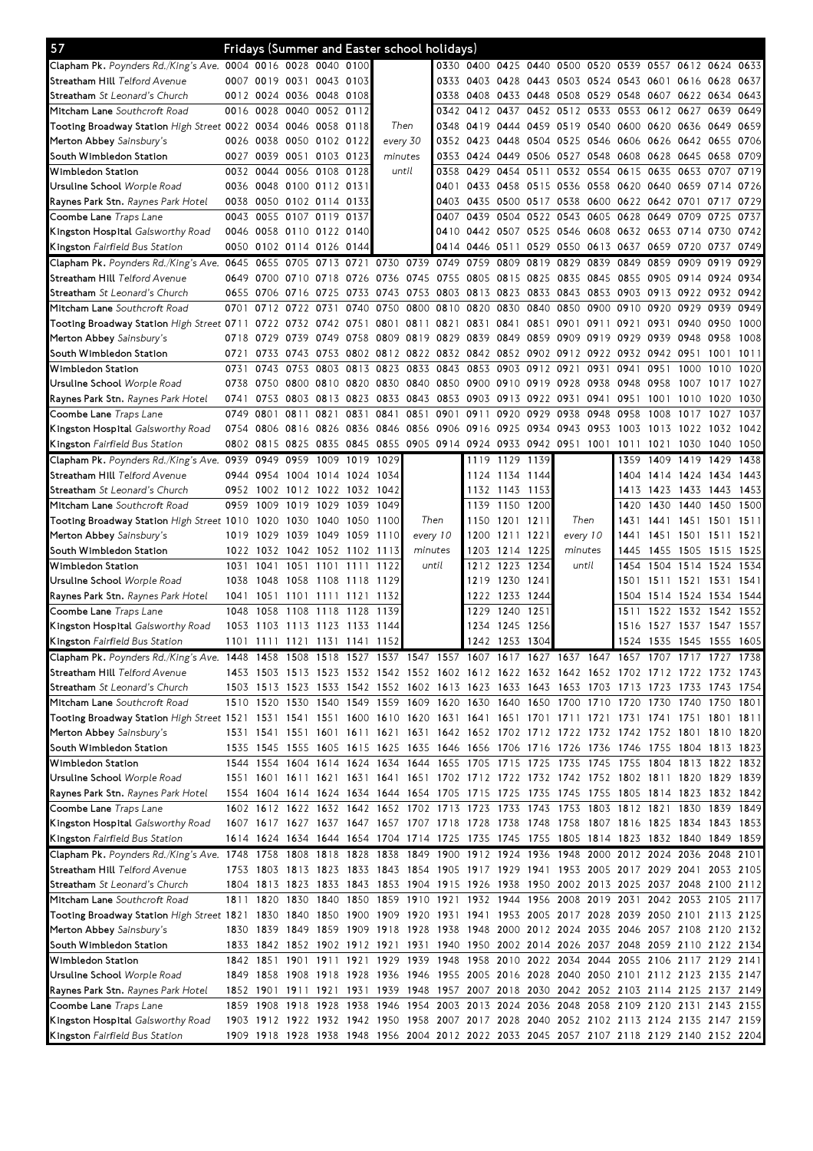| 57                                                                                                                             |           |                          |                     |                     |           | Fridays (Summer and Easter school holidays) |         |                |           |                |      |                                                                                           |           |                               |                |                     |           |      |
|--------------------------------------------------------------------------------------------------------------------------------|-----------|--------------------------|---------------------|---------------------|-----------|---------------------------------------------|---------|----------------|-----------|----------------|------|-------------------------------------------------------------------------------------------|-----------|-------------------------------|----------------|---------------------|-----------|------|
| Clapham Pk. Poynders Rd./King's Ave. 0004 0016 0028 0040 0100                                                                  |           |                          |                     |                     |           |                                             |         |                | 0330 0400 |                |      | 0425 0440 0500 0520 0539 0557 0612 0624 0633                                              |           |                               |                |                     |           |      |
| Streatham Hill Telford Avenue                                                                                                  |           | 0007 0019                | 0031 0043 0103      |                     |           |                                             |         |                | 0333 0403 |                |      | 0428 0443 0503 0524 0543 0601 0616 0628                                                   |           |                               |                |                     |           | 0637 |
| <b>Streatham</b> <i>St Leonard's Church</i>                                                                                    |           | 0012 0024 0036 0048 0108 |                     |                     |           |                                             |         |                | 0338 0408 |                |      | 0433 0448 0508 0529 0548 0607 0622 0634 0643                                              |           |                               |                |                     |           |      |
| Mitcham Lane Southcroft Road                                                                                                   |           | 0016 0028                |                     | 0040 0052 0112      |           |                                             |         |                | 0342 0412 | 0437           |      | 0452 0512                                                                                 | 0533      | 0553 0612 0627                |                |                     | 0639      | 0649 |
| Tooting Broadway Station <i>High Street</i> 0022 0034 0046 0058 0118                                                           |           |                          |                     |                     |           | Then                                        |         |                | 0348 0419 | 0444 0459      |      | 0519 0540 0600                                                                            |           |                               | 0620 0636      |                     | 0649      | 0659 |
| Merton Abbey Sainsbury's                                                                                                       |           | 0026 0038                |                     | 0050 0102 0122      |           | every 30                                    |         |                | 0352 0423 | 0448 0504      |      | 0525 0546 0606 0626 0642                                                                  |           |                               |                |                     | 0655      | 0706 |
| South Wimbledon Station                                                                                                        |           | 0027 0039                |                     | 0051 0103 0123      |           | minutes                                     |         |                | 0353 0424 |                |      | 0449 0506 0527                                                                            | 0548      | 0608                          | 0628 0645      |                     | 0658      | 0709 |
| Wimbledon Station                                                                                                              |           | 0032 0044                | 0056 0108           |                     | 0128      |                                             | until   | 0358           | 0429      | 0454           | 0511 | 0532 0554                                                                                 |           | 0615                          | 0635 0653      |                     | 0707      | 0719 |
| Ursuline School <i>Worple Road</i>                                                                                             |           | 0036 0048 0100 0112 0131 |                     |                     |           |                                             |         | 0401           |           |                |      | 0433 0458 0515 0536 0558 0620 0640 0659 0714                                              |           |                               |                |                     |           | 0726 |
| <b>Raynes Park Stn.</b> <i>Raynes Park Hotel</i>                                                                               |           | 0038 0050 0102 0114 0133 |                     |                     |           |                                             |         |                | 0403 0435 |                |      | 0500 0517 0538 0600 0622 0642 0701 0717                                                   |           |                               |                |                     |           | 0729 |
| <b>Coombe Lane</b> Traps Lane                                                                                                  |           | 0043 0055 0107 0119 0137 |                     |                     |           |                                             |         | 0407           | 0439      | 0504           |      | 0522 0543 0605 0628                                                                       |           |                               | 0649 0709      |                     | 0725      | 0737 |
| Kingston Hospital Galsworthy Road                                                                                              |           | 0046 0058 0110 0122 0140 |                     |                     |           |                                             |         |                |           |                |      | 0410 0442 0507 0525 0546 0608 0632 0653 0714                                              |           |                               |                |                     | 0730      | 0742 |
|                                                                                                                                |           | 0050 0102 0114 0126 0144 |                     |                     |           |                                             |         |                |           |                |      | 0414 0446 0511 0529 0550 0613 0637 0659 0720                                              |           |                               |                |                     | 0737      | 0749 |
| <b>Kingston</b> Fairfield Bus Station                                                                                          |           |                          |                     |                     |           | 0705 0713 0721 0730 0739 0749 0759          |         |                |           | 0809           | 0819 | 0829                                                                                      | 0839      | 0849                          | 0859           | 0909                | 0919      | 0929 |
| Clapham Pk. Poynders Rd./King's Ave. 0645 0655                                                                                 |           |                          |                     |                     |           |                                             |         |                |           |                |      |                                                                                           |           |                               |                |                     |           |      |
| S <b>treatham Hill</b> Telford Avenue                                                                                          |           | 0649 0700                |                     |                     |           |                                             |         |                |           |                |      | 0710 0718 0726 0736 0745 0755 0805 0815 0825 0835 0845                                    |           | 0855                          | 0905 0914      |                     | 0924      | 0934 |
| <b>Streatham</b> <i>St Leonard's Church</i>                                                                                    |           | 0655 0706                | 0716 0725           |                     | 0733 0743 |                                             |         | 0753 0803 0813 |           | 0823 0833 0843 |      |                                                                                           |           | 0853 0903 0913 0922 0932 0942 |                |                     |           |      |
| Mitcham Lane Southcroft Road                                                                                                   | 0701      | 0712                     | 0722 0731           |                     | 0740      | 0750                                        | 0800    | 0810 0820      |           | 0830           | 0840 | 0850                                                                                      | 0900 0910 |                               | 0920           | 0929                | 0939      | 0949 |
| Tooting Broadway Station High Street 0711                                                                                      |           | 0722                     | 0732                | 0742 0751           |           | 0801                                        | 0811    | 0821 0831      |           | 0841           | 0851 | 0901                                                                                      | 0911      | 0921                          | 0931 0940      |                     | 0950      | 1000 |
| Merton Abbey Sainsbury's                                                                                                       | 0718 0729 |                          | 0739                | 0749                | 0758      | 0809                                        | 0819    | 0829 0839      |           | 0849 0859      |      | 0909                                                                                      | 0919      | 0929                          | 0939 0948      |                     | 0958      | 1008 |
| South Wimbledon Station                                                                                                        | 0721      | 0733                     | 0743                | 0753                |           |                                             |         |                |           |                |      | 0802 0812 0822 0832 0842 0852 0902 0912 0922 0932 0942 0951                               |           |                               |                |                     | 1001      | 1011 |
| Wimbledon Station                                                                                                              | 0731      | 0743                     | 0753                | 0803                | 0813      | 0823                                        | 0833    | 0843 0853      |           | 0903           | 0912 | 0921                                                                                      | 0931      | 0941                          | 0951           | 1000                | 1010      | 1020 |
| Ursuline School <i>Worple Road</i>                                                                                             | 0738      | 0750                     |                     | 0800 0810 0820 0830 |           |                                             | 0840    | 0850 0900      |           | 0910 0919 0928 |      |                                                                                           | 0938      | 0948                          | 0958           | 1007                | 1017      | 1027 |
| <b>Raynes Park Stn.</b> <i>Raynes Park Hotel</i>                                                                               |           | 0741 0753                |                     |                     |           | 0803 0813 0823 0833 0843 0853 0903          |         |                |           |                |      | 0913 0922 0931 0941 0951                                                                  |           |                               | 1001           | 1010                | 1020      | 1030 |
| C <b>oombe Lane</b> Traps Lane                                                                                                 | 0749 0801 |                          | 0811                | 0821                | 0831      | 0841                                        | 0851    | 0901 0911      |           | 0920           | 0929 | 0938                                                                                      | 0948      | 0958                          | 1008           | 1017                | 1027      | 1037 |
| <b>Kingston Hospital</b> Galsworthy Road                                                                                       |           | 0754 0806                |                     | 0816 0826 0836 0846 |           |                                             | 0856    | 0906 0916      |           | 0925 0934 0943 |      |                                                                                           | 0953      | 1003                          | 1013           | 1022                | 1032      | 1042 |
| <b>Kingston</b> Fairfield Bus Station                                                                                          |           | 0802 0815                |                     |                     |           |                                             |         |                |           |                |      | 0825 0835 0845 0855 0905 0914 0924 0933 0942 0951 1001                                    |           | 1011                          | 1021           | 1030                | 1040      | 1050 |
| Clapham Pk. Poynders Rd./King's Ave. 0939 0949                                                                                 |           |                          | 0959                | 1009 1019 1029      |           |                                             |         |                | 1119      | 1129 1139      |      |                                                                                           |           | 1359                          | 1409 1419      |                     | 1429      | 1438 |
| S <b>treatham Hill</b> Telford Avenue                                                                                          |           | 0944 0954                | 1004 1014 1024      |                     |           | 1034                                        |         |                |           | 1124 1134 1144 |      |                                                                                           |           | 1404                          |                | 1414 1424 1434      |           | 1443 |
| <b>Streatham</b> <i>St Leonard's Church</i>                                                                                    | 0952      | 1002                     | 1012 1022 1032 1042 |                     |           |                                             |         |                | 1132      | 1143 1153      |      |                                                                                           |           | 1413                          | 1423 1433      |                     | 1443      | 1453 |
| Mitcham Lane Southcroft Road                                                                                                   | 0959      | 1009                     | 1019                | 1029                | 1039      | 1049                                        |         |                | 1139      | 1150           | 1200 |                                                                                           |           | 1420                          | 1430           | 1440                | 1450      | 1500 |
| Tooting Broadway Station <i>High Street</i> 1010                                                                               |           | 1020                     |                     | 1030 1040 1050      |           | 1100                                        |         | Then           | 1150      | 1201           | 1211 | Then                                                                                      |           | 1431                          |                | 1441 1451 1501      |           | 1511 |
| Merton Abbey Sainsbury's                                                                                                       |           | 1019 1029                |                     | 1039 1049 1059      |           | 1110                                        |         | every 10       | 1200      | 1211 1221      |      | every 10                                                                                  |           | 1441                          |                | 1451 1501           | 1511      | 1521 |
| South Wimbledon Station                                                                                                        |           | 1022 1032                | 1042 1052 1102 1113 |                     |           |                                             | minutes |                | 1203      | 1214 1225      |      | minutes                                                                                   |           | 1445                          | 1455 1505      |                     | 1515      | 1525 |
| Wimbledon Station                                                                                                              | 1031      | 1041                     | 1051                | 1101                | 1111      | 1122                                        |         | until          | 1212      | 1223 1234      |      | until                                                                                     |           | 1454                          |                | 1504 1514           | 1524      | 1534 |
| Ursuline School <i>Worple Road</i>                                                                                             | 1038      | 1048                     | 1058                | 1108 1118           |           | 1129                                        |         |                | 1219      | 1230           | 1241 |                                                                                           |           | 1501                          | 1511 1521      |                     | 1531      | 1541 |
| <b>Raynes Park Stn.</b> <i>Raynes Park Hotel</i>                                                                               | 1041      | 1051                     | 1101                | 1111 1121           |           | 1132                                        |         |                | 1222      | 1233 1244      |      |                                                                                           |           | 1504                          |                | 1514 1524 1534 1544 |           |      |
| Coombe Lane Traps Lane                                                                                                         | 1048      | 1058                     | 1108                | 1118                | 1128      | 1139                                        |         |                | 1229      | 1240           | 1251 |                                                                                           |           | 1511                          | 1522           | 1532                | 1542      | 1552 |
| <b>Kingston Hospital</b> Galsworthy Road                                                                                       | 1053      | 1103                     | 1113 1123 1133      |                     |           | 1144                                        |         |                | 1234      | 1245 1256      |      |                                                                                           |           | 1516                          | 1527 1537      |                     | 1547      | 1557 |
| <b>Kingston</b> Fairfield Bus Station                                                                                          | 1101      | 1111 1121 1131 1141 1152 |                     |                     |           |                                             |         |                |           | 1242 1253 1304 |      |                                                                                           |           |                               | 1524 1535 1545 |                     | 1555 1605 |      |
| Clapham Pk. Poynders Rd./King's Ave. 1448 1458 1508 1518 1527 1537 1547 1557 1607 1617 1627 1637 1647 1657 1707 1717 1727 1738 |           |                          |                     |                     |           |                                             |         |                |           |                |      |                                                                                           |           |                               |                |                     |           |      |
| S <b>treatham Hill</b> Telford Avenue                                                                                          |           |                          |                     |                     |           |                                             |         |                |           |                |      | 1453 1503 1513 1523 1532 1542 1552 1602 1612 1622 1632 1642 1652 1702 1712 1722 1732 1743 |           |                               |                |                     |           |      |
| <b>Streatham</b> <i>St Leonard's Church</i>                                                                                    |           |                          |                     |                     |           |                                             |         |                |           |                |      | 1503 1513 1523 1533 1542 1552 1602 1613 1623 1633 1643 1653 1703 1713 1723 1733 1743 1754 |           |                               |                |                     |           |      |
| M <b>itcham Lane</b> Southcroft Road                                                                                           |           | 1510 1520                |                     |                     |           |                                             |         |                |           |                |      | 1530 1540 1549 1559 1609 1620 1630 1640 1650 1700 1710 1720 1730 1740 1750 1801           |           |                               |                |                     |           |      |
| Tooting Broadway Station High Street 1521 1531 1541 1551 1600 1610 1620 1631 1641 1651 1701 1711 1721 1731 1741 1751 1801 1811 |           |                          |                     |                     |           |                                             |         |                |           |                |      |                                                                                           |           |                               |                |                     |           |      |
| Merton Abbey Sainsbury's                                                                                                       |           |                          |                     |                     |           |                                             |         |                |           |                |      | 1531 1541 1551 1601 1611 1621 1631 1642 1652 1702 1712 1722 1732 1742 1752 1801 1810 1820 |           |                               |                |                     |           |      |
| South Wimbledon Station                                                                                                        |           |                          |                     |                     |           |                                             |         |                |           |                |      | 1535 1545 1555 1605 1615 1625 1635 1646 1656 1706 1716 1726 1736 1746 1755 1804 1813 1823 |           |                               |                |                     |           |      |
| Wimbledon Station                                                                                                              |           |                          |                     |                     |           |                                             |         |                |           |                |      | 1544 1554 1604 1614 1624 1634 1644 1655 1705 1715 1725 1735 1745 1755 1804 1813 1822 1832 |           |                               |                |                     |           |      |
| Ursuline School <i>Worple Road</i>                                                                                             |           |                          |                     |                     |           |                                             |         |                |           |                |      | 1551 1601 1611 1621 1631 1641 1651 1702 1712 1722 1732 1742 1752 1802 1811 1820 1829 1839 |           |                               |                |                     |           |      |
| <b>Raynes Park Stn.</b> <i>Raynes Park Hotel</i>                                                                               |           |                          |                     |                     |           |                                             |         |                |           |                |      | 1554 1604 1614 1624 1634 1644 1654 1705 1715 1725 1735 1745 1755 1805 1814 1823 1832 1842 |           |                               |                |                     |           |      |
| Coombe Lane <i>Traps Lane</i>                                                                                                  |           |                          |                     |                     |           |                                             |         |                |           |                |      | 1602 1612 1622 1632 1642 1652 1702 1713 1723 1733 1743 1753 1803 1812 1821 1830 1839 1849 |           |                               |                |                     |           |      |
| <b>Kingston Hospital</b> Galsworthy Road                                                                                       |           |                          |                     |                     |           |                                             |         |                |           |                |      | 1607 1617 1627 1637 1647 1657 1707 1718 1728 1738 1748 1758 1807 1816 1825 1834 1843 1853 |           |                               |                |                     |           |      |
| <b>Kingston</b> Fairfield Bus Station                                                                                          |           |                          |                     |                     |           |                                             |         |                |           |                |      | 1614 1624 1634 1644 1654 1704 1714 1725 1735 1745 1755 1805 1814 1823 1832 1840 1849 1859 |           |                               |                |                     |           |      |
| Clapham Pk. Poynders Rd./King's Ave. 1748 1758 1808 1818 1828 1838 1849 1900 1912 1924 1936 1948 2000 2012 2024 2036 2048 2101 |           |                          |                     |                     |           |                                             |         |                |           |                |      |                                                                                           |           |                               |                |                     |           |      |
| S <b>treatham Hill</b> Telford Avenue                                                                                          |           |                          |                     |                     |           |                                             |         |                |           |                |      | 1753 1803 1813 1823 1833 1843 1854 1905 1917 1929 1941 1953 2005 2017 2029 2041 2053 2105 |           |                               |                |                     |           |      |
|                                                                                                                                |           |                          |                     |                     |           |                                             |         |                |           |                |      |                                                                                           |           |                               |                |                     |           |      |
| <b>Streatham</b> <i>St Leonard's Church</i>                                                                                    |           |                          |                     |                     |           |                                             |         |                |           |                |      | 1804 1813 1823 1833 1843 1853 1904 1915 1926 1938 1950 2002 2013 2025 2037 2048 2100 2112 |           |                               |                |                     |           |      |
| M <b>itcham Lane</b> Southcroft Road                                                                                           | 1811      | 1820                     |                     |                     |           |                                             |         |                |           |                |      | 1830 1840 1850 1859 1910 1921 1932 1944 1956 2008 2019 2031                               |           |                               |                | 2042 2053 2105 2117 |           |      |
| Tooting Broadway Station High Street 1821 1830 1840 1850 1900 1909 1920 1931 1941 1953 2005 2017 2028 2039 2050 2101 2113 2125 |           |                          |                     |                     |           |                                             |         |                |           |                |      |                                                                                           |           |                               |                |                     |           |      |
| Merton Abbey Sainsbury's                                                                                                       |           |                          |                     |                     |           |                                             |         |                |           |                |      | 1830 1839 1849 1859 1909 1918 1928 1938 1948 2000 2012 2024 2035 2046 2057 2108 2120 2132 |           |                               |                |                     |           |      |
| South Wimbledon Station                                                                                                        |           |                          |                     |                     |           |                                             |         |                |           |                |      | 1833 1842 1852 1902 1912 1921 1931 1940 1950 2002 2014 2026 2037 2048 2059 2110 2122 2134 |           |                               |                |                     |           |      |
| Wimbledon Station                                                                                                              |           |                          |                     |                     |           |                                             |         |                |           |                |      | 1842 1851 1901 1911 1921 1929 1939 1948 1958 2010 2022 2034 2044 2055 2106 2117 2129 2141 |           |                               |                |                     |           |      |
| Ursuline School <i>Worple Road</i>                                                                                             |           |                          |                     |                     |           |                                             |         |                |           |                |      | 1849 1858 1908 1918 1928 1936 1946 1955 2005 2016 2028 2040 2050 2101 2112 2123 2135 2147 |           |                               |                |                     |           |      |
| <b>Raynes Park Stn.</b> <i>Raynes Park Hotel</i>                                                                               |           |                          |                     |                     |           |                                             |         |                |           |                |      | 1852 1901 1911 1921 1931 1939 1948 1957 2007 2018 2030 2042 2052 2103 2114 2125 2137 2149 |           |                               |                |                     |           |      |
| <b>Coombe Lane</b> Traps Lane                                                                                                  |           |                          |                     |                     |           |                                             |         |                |           |                |      | 1859 1908 1918 1928 1938 1946 1954 2003 2013 2024 2036 2048 2058 2109 2120 2131 2143 2155 |           |                               |                |                     |           |      |
| <b>Kingston Hospital</b> Galsworthy Road                                                                                       |           |                          |                     |                     |           |                                             |         |                |           |                |      | 1903 1912 1922 1932 1942 1950 1958 2007 2017 2028 2040 2052 2102 2113 2124 2135 2147 2159 |           |                               |                |                     |           |      |
| <b>Kingston</b> Fairfield Bus Station                                                                                          |           |                          |                     |                     |           |                                             |         |                |           |                |      | 1909 1918 1928 1938 1948 1956 2004 2012 2022 2033 2045 2057 2107 2118 2129 2140 2152 2204 |           |                               |                |                     |           |      |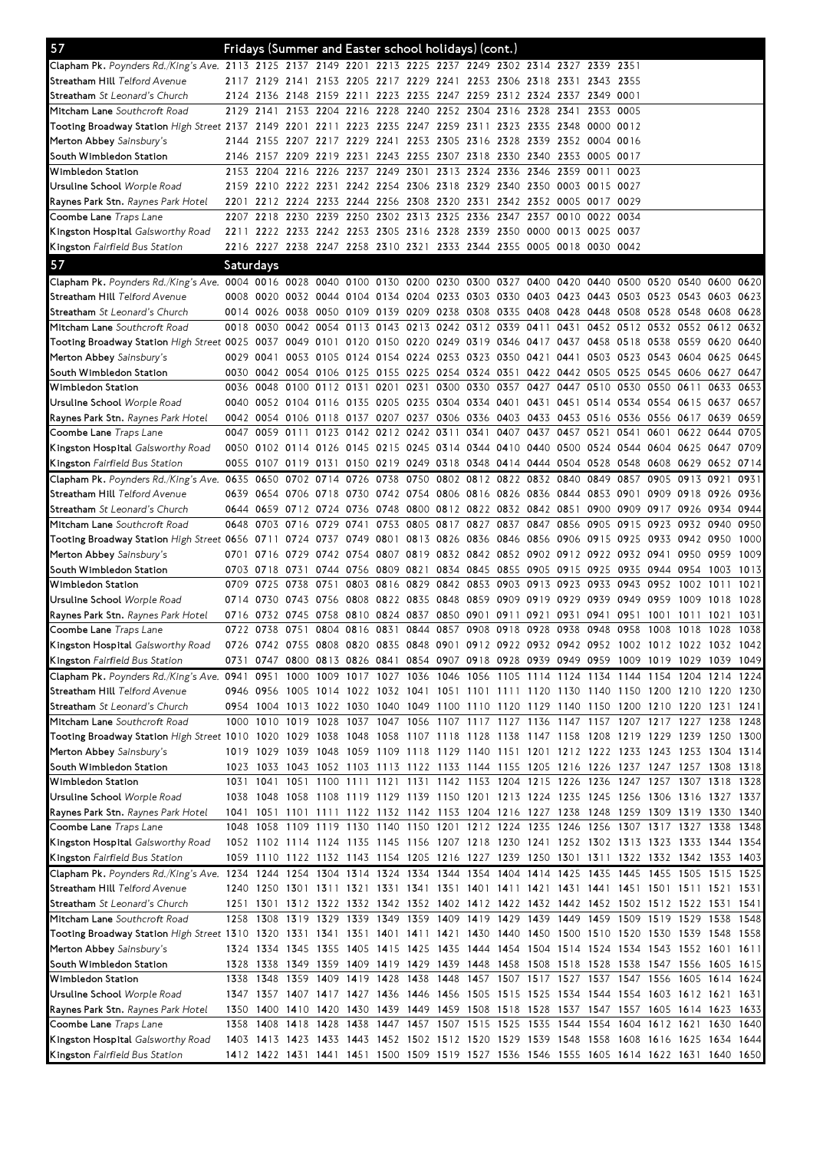| 57                                                                                                                             |           |           |           | Fridays (Summer and Easter school holidays) (cont.)                                       |      |                                         |  |                               |      |           |                |                                                        |           |      |      |
|--------------------------------------------------------------------------------------------------------------------------------|-----------|-----------|-----------|-------------------------------------------------------------------------------------------|------|-----------------------------------------|--|-------------------------------|------|-----------|----------------|--------------------------------------------------------|-----------|------|------|
| Clapham Pk. Poynders Rd./King's Ave. 2113 2125 2137 2149 2201 2213 2225 2237 2249 2302 2314 2327 2339 2351                     |           |           |           |                                                                                           |      |                                         |  |                               |      |           |                |                                                        |           |      |      |
| Streatham Hill Telford Avenue                                                                                                  |           |           |           | 2117 2129 2141 2153 2205 2217 2229 2241 2253 2306 2318 2331 2343 2355                     |      |                                         |  |                               |      |           |                |                                                        |           |      |      |
| <b>Streatham</b> <i>St Leonard's Church</i>                                                                                    | 2124      | 2136      |           | 2148 2159 2211 2223 2235 2247 2259 2312 2324 2337 2349 0001                               |      |                                         |  |                               |      |           |                |                                                        |           |      |      |
| Mitcham Lane Southcroft Road                                                                                                   |           |           |           | 2129 2141 2153 2204 2216 2228 2240 2252 2304 2316 2328 2341                               |      |                                         |  |                               |      | 2353 0005 |                |                                                        |           |      |      |
| Tooting Broadway Station High Street 2137 2149 2201 2211 2223 2235 2247 2259 2311 2323 2335 2348                               |           |           |           |                                                                                           |      |                                         |  |                               |      | 0000 0012 |                |                                                        |           |      |      |
| Merton Abbey Sainsbury's                                                                                                       | 2144      |           |           | 2155 2207 2217 2229 2241 2253 2305 2316 2328 2339 2352 0004 0016                          |      |                                         |  |                               |      |           |                |                                                        |           |      |      |
| South Wimbledon Station                                                                                                        |           |           |           | 2146 2157 2209 2219 2231 2243 2255 2307 2318 2330 2340 2353                               |      |                                         |  |                               |      | 0005 0017 |                |                                                        |           |      |      |
| Wimbledon Station                                                                                                              |           | 2153 2204 |           | 2216 2226 2237 2249 2301 2313 2324 2336 2346 2359 0011                                    |      |                                         |  |                               |      |           | 0023           |                                                        |           |      |      |
| Ursuline School Worple Road                                                                                                    |           |           |           | 2159 2210 2222 2231 2242 2254 2306 2318 2329 2340 2350 0003                               |      |                                         |  |                               |      | 0015 0027 |                |                                                        |           |      |      |
| <b>Raynes Park Stn.</b> Raynes Park Hotel                                                                                      |           |           |           | 2201 2212 2224 2233 2244 2256 2308 2320 2331 2342 2352 0005                               |      |                                         |  |                               |      | 0017 0029 |                |                                                        |           |      |      |
| Coombe Lane <i>Traps Lane</i>                                                                                                  |           | 2207 2218 | 2230      | 2239 2250                                                                                 |      | 2302 2313 2325 2336 2347 2357           |  |                               | 0010 | 0022 0034 |                |                                                        |           |      |      |
| <b>Kingston Hospital</b> Galsworthy Road                                                                                       |           |           |           | 2211 2222 2233 2242 2253 2305 2316 2328 2339 2350 0000 0013 0025 0037                     |      |                                         |  |                               |      |           |                |                                                        |           |      |      |
| Kingston Fairfield Bus Station                                                                                                 |           |           |           | 2216 2227 2238 2247 2258 2310 2321 2333 2344 2355 0005 0018 0030 0042                     |      |                                         |  |                               |      |           |                |                                                        |           |      |      |
| 57                                                                                                                             | Saturdays |           |           |                                                                                           |      |                                         |  |                               |      |           |                |                                                        |           |      |      |
| Clapham Pk. Poynders Rd. King's Ave. 0004 0016 0028 0040 0100 0130 0200 0230 0300 0327 0400 0420 0440 0500 0520 0540 0600 0620 |           |           |           |                                                                                           |      |                                         |  |                               |      |           |                |                                                        |           |      |      |
| Streatham Hill <i>Telford Avenue</i>                                                                                           |           |           |           | 0008 0020 0032 0044 0104 0134 0204 0233 0303 0330 0403 0423 0443 0503 0523 0543 0603 0623 |      |                                         |  |                               |      |           |                |                                                        |           |      |      |
| <b>Streatham</b> <i>St Leonard's Church</i>                                                                                    |           | 0014 0026 |           | 0038 0050 0109 0139 0209 0238 0308 0335 0408 0428                                         |      |                                         |  |                               |      |           |                | 0448 0508 0528 0548 0608                               |           |      | 0628 |
| <b>Mitcham Lane</b> Southcroft Road                                                                                            | 0018 0030 |           |           | 0042 0054 0113 0143 0213 0242 0312 0339 0411 0431                                         |      |                                         |  |                               |      |           |                | 0452 0512 0532 0552 0612                               |           |      | 0632 |
| Tooting Broadway Station High Street 0025 0037 0049 0101 0120 0150 0220 0249 0319 0346 0417 0437 0458 0518 0538 0559 0620      |           |           |           |                                                                                           |      |                                         |  |                               |      |           |                |                                                        |           |      | 0640 |
| Merton Abbey Sainsbury's                                                                                                       |           | 0029 0041 |           | 0053 0105 0124 0154 0224 0253 0323 0350 0421 0441                                         |      |                                         |  |                               |      |           |                | 0503 0523 0543 0604 0625                               |           |      | 0645 |
| South Wimbledon Station                                                                                                        |           |           |           | 0030 0042 0054 0106 0125 0155 0225 0254 0324 0351 0422 0442 0505 0525 0545 0606 0627      |      |                                         |  |                               |      |           |                |                                                        |           |      | 0647 |
| Wimbledon Station                                                                                                              |           | 0036 0048 |           | 0100 0112 0131 0201 0231 0300 0330 0357 0427 0447 0510 0530 0550 0611                     |      |                                         |  |                               |      |           |                |                                                        |           | 0633 | 0653 |
| Ursuline School <i>Worple Road</i>                                                                                             |           |           |           | 0040 0052 0104 0116 0135 0205 0235 0304 0334 0401 0431 0451 0514 0534 0554 0615 0637      |      |                                         |  |                               |      |           |                |                                                        |           |      | 0657 |
| <b>Raynes Park Stn.</b> <i>Raynes Park Hotel</i>                                                                               |           |           |           | 0042 0054 0106 0118 0137 0207 0237 0306 0336 0403 0433 0453 0516 0536 0556 0617 0639      |      |                                         |  |                               |      |           |                |                                                        |           |      | 0659 |
| Coombe Lane Traps Lane                                                                                                         |           |           |           | 0047 0059 0111 0123 0142 0212 0242 0311 0341 0407 0437 0457 0521 0541 0601 0622 0644      |      |                                         |  |                               |      |           |                |                                                        |           |      | 0705 |
| <b>Kingston Hospital</b> Galsworthy Road                                                                                       |           |           |           | 0050 0102 0114 0126 0145 0215 0245 0314 0344 0410 0440 0500 0524 0544 0604 0625 0647      |      |                                         |  |                               |      |           |                |                                                        |           |      | 0709 |
| <b>Kingston</b> Fairfield Bus Station                                                                                          |           |           |           | 0055 0107 0119 0131 0150 0219 0249 0318 0348 0414 0444 0504 0528 0548 0608 0629 0652 0714 |      |                                         |  |                               |      |           |                |                                                        |           |      |      |
| <b>Clapham Pk.</b> Poynders Rd./King's Ave. 0635                                                                               |           | 0650      |           | 0702 0714 0726                                                                            |      | 0738 0750 0802 0812 0822 0832 0840      |  |                               |      | 0849 0857 |                | 0905                                                   | 0913      | 0921 | 0931 |
| S <b>treatham Hill</b> Telford Avenue                                                                                          |           |           |           | 0639 0654 0706 0718 0730 0742 0754 0806 0816 0826 0836 0844 0853 0901 0909 0918 0926 0936 |      |                                         |  |                               |      |           |                |                                                        |           |      |      |
| <b>Streatham</b> <i>St Leonard's Church</i>                                                                                    |           |           |           | 0644 0659 0712 0724 0736 0748 0800 0812 0822 0832 0842 0851 0900 0909 0917 0926 0934 0944 |      |                                         |  |                               |      |           |                |                                                        |           |      |      |
| <b>Mitcham Lane</b> Southcroft Road                                                                                            |           | 0648 0703 | 0716      | 0729 0741                                                                                 |      | 0753 0805 0817 0827 0837 0847 0856      |  |                               |      |           |                | 0905 0915 0923 0932 0940                               |           |      | 0950 |
| Tooting Broadway Station High Street 0656 0711 0724 0737 0749 0801 0813 0826 0836 0846 0856 0906                               |           |           |           |                                                                                           |      |                                         |  |                               |      |           |                | 0915 0925 0933 0942 0950                               |           |      | 1000 |
| Merton Abbey Sainsbury's                                                                                                       | 0701      | 0716      | 0729      | 0742 0754                                                                                 |      | 0807 0819 0832 0842 0852 0902 0912      |  |                               |      |           |                | 0922 0932 0941 0950 0959                               |           |      | 1009 |
| South Wimbledon Station                                                                                                        |           | 0703 0718 | 0731      | 0744 0756 0809 0821 0834 0845 0855 0905 0915                                              |      |                                         |  |                               |      |           |                | 0925 0935 0944 0954 1003                               |           |      | 1013 |
| Wimbledon Station                                                                                                              |           | 0709 0725 | 0738 0751 |                                                                                           |      | 0803 0816 0829 0842 0853 0903 0913 0923 |  |                               |      |           | 0933 0943 0952 |                                                        | 1002 1011 |      | 1021 |
| Ursuline School <i>Worple Road</i>                                                                                             | 0714 0730 |           |           | 0743 0756 0808 0822 0835 0848 0859 0909 0919 0929 0939 0949 0959 1009 1018 1028           |      |                                         |  |                               |      |           |                |                                                        |           |      |      |
| <b>Raynes Park Stn.</b> <i>Raynes Park Hotel</i>                                                                               | 0716 0732 |           |           | 0745 0758 0810 0824 0837 0850 0901 0911 0921 0931                                         |      |                                         |  |                               |      |           |                | 0941 0951 1001 1011                                    |           | 1021 | 1031 |
| <b>Coombe Lane</b> Traps Lane                                                                                                  | 0722 0738 |           | 0751      | 0804 0816                                                                                 | 0831 |                                         |  | 0844 0857 0908 0918 0928 0938 |      | 0948 0958 |                | 1008 1018                                              |           | 1028 | 1038 |
| Kingston Hospital Galsworthy Road                                                                                              |           |           |           | 0726 0742 0755 0808 0820 0835 0848 0901 0912 0922 0932 0942 0952 1002 1012 1022 1032 1042 |      |                                         |  |                               |      |           |                |                                                        |           |      |      |
| <b>Kingston</b> Fairfield Bus Station                                                                                          |           |           |           | 0731 0747 0800 0813 0826 0841 0854 0907 0918 0928 0939 0949 0959 1009 1019 1029 1039 1049 |      |                                         |  |                               |      |           |                |                                                        |           |      |      |
| Clapham Pk. Poynders Rd./King's Ave. 0941 0951 1000                                                                            |           |           |           | 1009 1017 1027 1036 1046 1056 1105 1114 1124 1134 1144 1154 1204 1214 1224                |      |                                         |  |                               |      |           |                |                                                        |           |      |      |
| S <b>treatham Hill</b> Telford Avenue                                                                                          |           |           |           | 0946 0956 1005 1014 1022 1032 1041 1051 1101 1111 1120 1130 1140 1150 1200 1210 1220 1230 |      |                                         |  |                               |      |           |                |                                                        |           |      |      |
| <b>Streatham</b> <i>St Leonard's Church</i>                                                                                    |           |           |           | 0954 1004 1013 1022 1030 1040 1049 1100 1110 1120 1129 1140 1150 1200 1210 1220 1231 1241 |      |                                         |  |                               |      |           |                |                                                        |           |      |      |
| Mitcham Lane Southcroft Road                                                                                                   |           |           |           | 1000 1010 1019 1028 1037 1047 1056 1107 1117 1127 1136 1147 1157 1207 1217 1227 1238 1248 |      |                                         |  |                               |      |           |                |                                                        |           |      |      |
| Tooting Broadway Station High Street 1010 1020 1029 1038 1048 1058 1107 1118 1128 1138 1147 1158 1208 1219 1229 1239 1250 1300 |           |           |           |                                                                                           |      |                                         |  |                               |      |           |                |                                                        |           |      |      |
| Merton Abbey Sainsbury's                                                                                                       |           |           |           | 1019 1029 1039 1048 1059 1109 1118 1129 1140 1151 1201 1212 1222 1233 1243 1253 1304 1314 |      |                                         |  |                               |      |           |                |                                                        |           |      |      |
| South Wimbledon Station                                                                                                        |           |           |           | 1023 1033 1043 1052 1103 1113 1122 1133 1144 1155 1205 1216 1226 1237 1247 1257 1308 1318 |      |                                         |  |                               |      |           |                |                                                        |           |      |      |
| Wimbledon Station                                                                                                              |           |           |           | 1031 1041 1051 1100 1111 1121 1131 1142 1153 1204 1215 1226 1236 1247 1257 1307 1318 1328 |      |                                         |  |                               |      |           |                |                                                        |           |      |      |
| Ursuline School <i>Worple Road</i>                                                                                             |           |           |           | 1038 1048 1058 1108 1119 1129 1139 1150 1201 1213 1224 1235 1245 1256 1306 1316 1327 1337 |      |                                         |  |                               |      |           |                |                                                        |           |      |      |
| <b>Raynes Park Stn.</b> <i>Raynes Park Hotel</i>                                                                               |           |           |           | 1041 1051 1101 1111 1122 1132 1142 1153 1204 1216 1227 1238 1248 1259 1309 1319 1330 1340 |      |                                         |  |                               |      |           |                |                                                        |           |      |      |
| <b>Coombe Lane</b> Traps Lane                                                                                                  |           |           |           | 1048 1058 1109 1119 1130 1140 1150 1201 1212 1224 1235 1246 1256 1307 1317 1327 1338      |      |                                         |  |                               |      |           |                |                                                        |           |      | 1348 |
| <b>Kingston Hospital</b> Galsworthy Road                                                                                       |           |           |           | 1052 1102 1114 1124 1135 1145 1156 1207 1218 1230 1241 1252 1302 1313 1323 1333 1344 1354 |      |                                         |  |                               |      |           |                |                                                        |           |      |      |
| <b>Kingston</b> Fairfield Bus Station                                                                                          |           |           |           | 1059 1110 1122 1132 1143 1154 1205 1216 1227 1239 1250 1301 1311 1322 1332 1342 1353 1403 |      |                                         |  |                               |      |           |                |                                                        |           |      |      |
| Clapham Pk. Poynders Rd./King's Ave. 1234 1244 1254 1304 1314 1324 1334 1344 1354 1404 1414 1425 1435 1445 1455 1505 1515 1525 |           |           |           |                                                                                           |      |                                         |  |                               |      |           |                |                                                        |           |      |      |
| Streatham Hill Telford Avenue                                                                                                  |           |           |           | 1240 1250 1301 1311 1321 1331 1341 1351 1401 1411 1421 1431 1441 1451 1501 1511 1521 1531 |      |                                         |  |                               |      |           |                |                                                        |           |      |      |
| <b>Streatham</b> <i>St Leonard's Church</i>                                                                                    |           |           |           | 1251 1301 1312 1322 1332 1342 1352 1402 1412 1422 1432 1442 1452 1502 1512 1522 1531 1541 |      |                                         |  |                               |      |           |                |                                                        |           |      |      |
| Mitcham Lane Southcroft Road                                                                                                   |           |           |           | 1258 1308 1319 1329 1339 1349 1359 1409 1419 1429 1439 1449 1459 1509 1519 1529 1538 1548 |      |                                         |  |                               |      |           |                |                                                        |           |      |      |
| Tooting Broadway Station High Street 1310 1320 1331 1341 1351 1401 1411 1421 1430 1440 1450 1500 1510 1520 1530 1539 1548 1558 |           |           |           |                                                                                           |      |                                         |  |                               |      |           |                |                                                        |           |      |      |
| Merton Abbey Sainsbury's                                                                                                       |           |           |           | 1324 1334 1345 1355 1405 1415 1425 1435 1444 1454 1504 1514 1524 1534 1543 1552 1601 1611 |      |                                         |  |                               |      |           |                |                                                        |           |      |      |
| South Wimbledon Station                                                                                                        |           | 1328 1338 |           | 1349 1359 1409 1419 1429 1439 1448 1458 1508 1518 1528 1538 1547 1556 1605 1615           |      |                                         |  |                               |      |           |                |                                                        |           |      |      |
| Wimbledon Station                                                                                                              |           | 1338 1348 |           | 1359 1409 1419 1428 1438                                                                  |      |                                         |  |                               |      |           |                | 1448 1457 1507 1517 1527 1537 1547 1556 1605 1614 1624 |           |      |      |
| Ursuline School <i>Worple Road</i>                                                                                             |           |           |           | 1347 1357 1407 1417 1427 1436 1446 1456 1505 1515 1525 1534 1544 1554 1603 1612 1621 1631 |      |                                         |  |                               |      |           |                |                                                        |           |      |      |
| <b>Raynes Park Stn.</b> <i>Raynes Park Hotel</i>                                                                               |           |           |           | 1350 1400 1410 1420 1430 1439 1449 1459 1508 1518 1528 1537 1547 1557 1605 1614 1623 1633 |      |                                         |  |                               |      |           |                |                                                        |           |      |      |
| <b>Coombe Lane</b> Traps Lane                                                                                                  |           |           |           | 1358 1408 1418 1428 1438 1447 1457 1507 1515 1525 1535 1544 1554 1604 1612 1621 1630 1640 |      |                                         |  |                               |      |           |                |                                                        |           |      |      |
| <b>Kingston Hospital</b> Galsworthy Road                                                                                       |           |           |           | 1403 1413 1423 1433 1443 1452 1502 1512 1520 1529 1539 1548 1558 1608 1616 1625 1634 1644 |      |                                         |  |                               |      |           |                |                                                        |           |      |      |
| <b>Kingston</b> Fairfield Bus Station                                                                                          |           |           |           | 1412 1422 1431 1441 1451 1500 1509 1519 1527 1536 1546 1555 1605 1614 1622 1631 1640 1650 |      |                                         |  |                               |      |           |                |                                                        |           |      |      |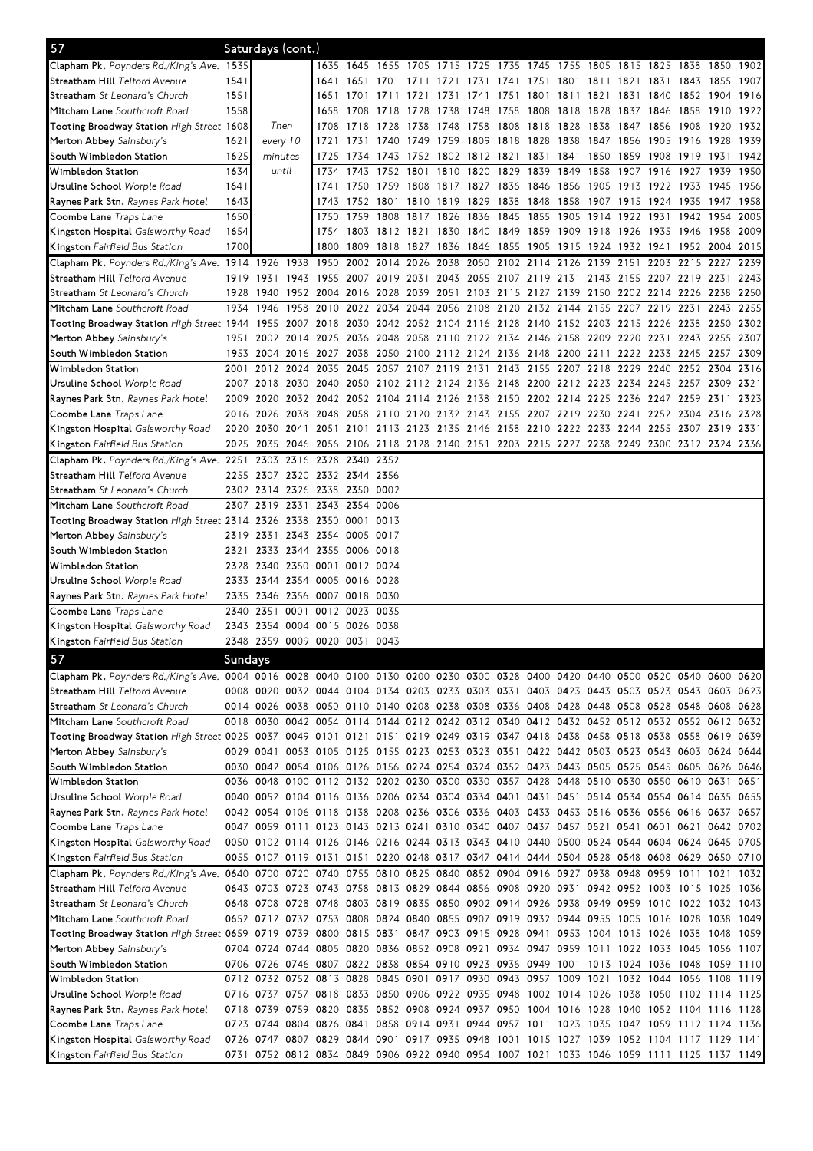| 57                                                                                                                                     |              |           | Saturdays (cont.)                                                                                                                                                                      |                     |                |                   |                                                                            |                   |                          |           |                     |           |                                              |      |                     |                |              |                                                                                           |
|----------------------------------------------------------------------------------------------------------------------------------------|--------------|-----------|----------------------------------------------------------------------------------------------------------------------------------------------------------------------------------------|---------------------|----------------|-------------------|----------------------------------------------------------------------------|-------------------|--------------------------|-----------|---------------------|-----------|----------------------------------------------|------|---------------------|----------------|--------------|-------------------------------------------------------------------------------------------|
| Clapham Pk. Poynders Rd./King's Ave. 1535                                                                                              |              |           |                                                                                                                                                                                        |                     | 1635 1645 1655 |                   | 1705 1715 1725 1735 1745 1755 1805 1815 1825 1838                          |                   |                          |           |                     |           |                                              |      |                     |                | 1850         | 1902                                                                                      |
| S <b>treatham Hill</b> Telford Avenue                                                                                                  | 1541         |           |                                                                                                                                                                                        | 1641                | 1651           | 1701              | 1711                                                                       | 1721 1731         |                          | 1741      |                     |           | 1751 1801 1811 1821 1831 1843                |      |                     |                | 1855         | 1907                                                                                      |
| <b>Streatham</b> <i>St Leonard's Church</i>                                                                                            | 1551         |           |                                                                                                                                                                                        | 1651                | 1701 1711      |                   | 1721                                                                       | 1731 1741         |                          | 1751      |                     |           | 1801 1811 1821 1831 1840 1852 1904 1916      |      |                     |                |              |                                                                                           |
| M <b>itcham Lane</b> Southcroft Road                                                                                                   | 1558         |           |                                                                                                                                                                                        | 1658                | 1708           | 1718              | 1728                                                                       | 1738              | 1748                     | 1758      | 1808                | 1818      | 1828                                         | 1837 | 1846                | 1858           | 1910         | 1922                                                                                      |
| <b>Tooting Broadway Station</b> High Street 1 <b>6</b> 08                                                                              |              |           | Then                                                                                                                                                                                   | 1708                | 1718 1728      |                   | 1738                                                                       | 1748 1758         |                          |           | 1808 1818 1828 1838 |           |                                              |      | 1847 1856 1908      |                |              | 1920 1932                                                                                 |
| Merton Abbey Sainsbury's                                                                                                               | 1621         |           | every 10                                                                                                                                                                               | 1721                |                |                   | 1731 1740 1749 1759 1809                                                   |                   |                          |           |                     |           | 1818 1828 1838 1847 1856                     |      | 1905 1916           |                |              | 1928 1939                                                                                 |
| South Wimbledon Station                                                                                                                | 1625         | minutes   |                                                                                                                                                                                        | 1725                | 1734           | 1743              | 1752 1802 1812 1821                                                        |                   |                          |           | 1831                | 1841 1850 |                                              | 1859 | 1908 1919           |                | 1931         | 1942                                                                                      |
| Wimbledon Station                                                                                                                      | 1634         |           | until                                                                                                                                                                                  | 1734                | 1743           | 1752 1801         |                                                                            | 1810 1820         |                          | 1829 1839 |                     | 1849      | 1858                                         | 1907 | 1916                | 1927           | 1939         | 1950                                                                                      |
| Ursuline School <i>Worple Road</i>                                                                                                     | 1641         |           |                                                                                                                                                                                        | 1741                | 1750           | 1759              | 1808 1817 1827 1836 1846 1856 1905                                         |                   |                          |           |                     |           |                                              | 1913 | 1922 1933           |                | 1945         | 1956                                                                                      |
| <b>Raynes Park Stn.</b> <i>Raynes Park Hotel</i><br>Coombe Lane <i>Traps Lane</i>                                                      | 1643<br>1650 |           |                                                                                                                                                                                        | 1743<br>1750        | 1752<br>1759   | 1801<br>1808 1817 | 1810                                                                       | 1819 1829<br>1826 | 1836                     | 1845      | 1838 1848 1858      |           | 1907 1915<br>1855 1905 1914 1922             |      | 1924 1935<br>1931   | 1942           | 1947<br>1954 | 1958<br>2005                                                                              |
| <b>Kingston Hospital</b> Galsworthy Road                                                                                               | 1654         |           |                                                                                                                                                                                        | 1754                |                |                   | 1803 1812 1821 1830 1840                                                   |                   |                          |           |                     |           | 1849 1859 1909 1918 1926 1935 1946 1958 2009 |      |                     |                |              |                                                                                           |
| <b>Kingston</b> Fairfield Bus Station                                                                                                  | 1700         |           |                                                                                                                                                                                        |                     |                |                   | 1800 1809 1818 1827 1836 1846 1855 1905 1915 1924 1932 1941 1952 2004 2015 |                   |                          |           |                     |           |                                              |      |                     |                |              |                                                                                           |
| Clapham Pk. Poynders Rd./King's Ave. 1914                                                                                              |              | 1926      | 1938                                                                                                                                                                                   | 1950                |                | 2002 2014         | 2026                                                                       |                   | 2038 2050 2102 2114 2126 |           |                     |           | 2139                                         | 2151 | 2203 2215           |                | 2227         | 2239                                                                                      |
| S <b>treatham Hill</b> Telford Avenue                                                                                                  | 1919         | 1931      |                                                                                                                                                                                        |                     |                |                   | 1943 1955 2007 2019 2031 2043 2055 2107 2119 2131 2143 2155 2207 2219 2231 |                   |                          |           |                     |           |                                              |      |                     |                |              | 2243                                                                                      |
| <b>Streatham</b> <i>St Leonard's Church</i>                                                                                            | 1928         | 1940      |                                                                                                                                                                                        | 1952 2004 2016 2028 |                |                   | 2039 2051 2103 2115 2127 2139 2150 2202 2214 2226 2238 2250                |                   |                          |           |                     |           |                                              |      |                     |                |              |                                                                                           |
| M <b>itcham Lane</b> Southcroft Road                                                                                                   | 1934         | 1946      | 1958                                                                                                                                                                                   | 2010                | 2022 2034      |                   | 2044 2056 2108 2120 2132 2144 2155 2207                                    |                   |                          |           |                     |           |                                              |      | 2219 2231           |                | 2243         | 2255                                                                                      |
| Tooting Broadway Station High Street 1944 1955 2007 2018 2030 2042 2052 2104 2116 2128 2140 2152 2203 2215 2226 2238 2250 2302         |              |           |                                                                                                                                                                                        |                     |                |                   |                                                                            |                   |                          |           |                     |           |                                              |      |                     |                |              |                                                                                           |
| Merton Abbey Sainsbury's                                                                                                               | 1951         |           | 2002 2014 2025 2036 2048 2058 2110 2122 2134 2146 2158 2209 2220 2231 2243 2255 2307                                                                                                   |                     |                |                   |                                                                            |                   |                          |           |                     |           |                                              |      |                     |                |              |                                                                                           |
| South Wimbledon Station                                                                                                                |              |           | 1953 2004 2016 2027 2038 2050 2100 2112 2124 2136 2148 2200 2211                                                                                                                       |                     |                |                   |                                                                            |                   |                          |           |                     |           |                                              |      | 2222 2233 2245 2257 |                |              | 2309                                                                                      |
| Wimbledon Station                                                                                                                      | 2001         |           | 2012 2024 2035 2045 2057 2107 2119 2131 2143 2155 2207 2218 2229 2240 2252 2304                                                                                                        |                     |                |                   |                                                                            |                   |                          |           |                     |           |                                              |      |                     |                |              | 2316                                                                                      |
| Ursuline School <i>Worple Road</i>                                                                                                     |              | 2007 2018 |                                                                                                                                                                                        |                     |                |                   | 2030 2040 2050 2102 2112 2124 2136 2148 2200 2212 2223 2234                |                   |                          |           |                     |           |                                              |      | 2245 2257 2309      |                |              | 2321                                                                                      |
| <b>Raynes Park Stn.</b> <i>Raynes Park Hotel</i>                                                                                       |              | 2009 2020 |                                                                                                                                                                                        |                     |                |                   | 2032 2042 2052 2104 2114 2126 2138 2150 2202 2214 2225                     |                   |                          |           |                     |           |                                              | 2236 | 2247 2259 2311      |                |              | 2323                                                                                      |
| Coombe Lane Traps Lane                                                                                                                 |              | 2016 2026 | 2038                                                                                                                                                                                   |                     |                |                   | 2048 2058 2110 2120 2132 2143 2155 2207 2219 2230                          |                   |                          |           |                     |           |                                              | 2241 |                     | 2252 2304 2316 |              | 2328                                                                                      |
| <b>Kingston Hospital</b> Galsworthy Road                                                                                               |              |           | 2020 2030 2041 2051 2101 2113 2123 2135 2146 2158 2210 2222 2233 2244 2255 2307 2319 2331                                                                                              |                     |                |                   |                                                                            |                   |                          |           |                     |           |                                              |      |                     |                |              |                                                                                           |
| <b>Kingston</b> Fairfield Bus Station                                                                                                  |              |           | 2025 2035 2046 2056 2106 2118 2128 2140 2151 2203 2215 2227 2238 2249 2300 2312 2324 2336                                                                                              |                     |                |                   |                                                                            |                   |                          |           |                     |           |                                              |      |                     |                |              |                                                                                           |
| Clapham Pk. Poynders Rd./King's Ave. 2251<br>S <b>treatham Hill</b> Telford Avenue                                                     |              | 2303      | 2316 2328 2340 2352<br>2255 2307 2320 2332 2344 2356                                                                                                                                   |                     |                |                   |                                                                            |                   |                          |           |                     |           |                                              |      |                     |                |              |                                                                                           |
| <b>Streatham</b> <i>St Leonard's Church</i>                                                                                            |              | 2302 2314 | 2326 2338 2350 0002                                                                                                                                                                    |                     |                |                   |                                                                            |                   |                          |           |                     |           |                                              |      |                     |                |              |                                                                                           |
| M <b>itcham Lane</b> Southcroft Road                                                                                                   |              | 2307 2319 | 2331                                                                                                                                                                                   |                     | 2343 2354 0006 |                   |                                                                            |                   |                          |           |                     |           |                                              |      |                     |                |              |                                                                                           |
| Tooting Broadway Station <i>High Street    2</i> 314 <i>2</i> 326 <i>2</i> 338    2350   0001   0013                                   |              |           |                                                                                                                                                                                        |                     |                |                   |                                                                            |                   |                          |           |                     |           |                                              |      |                     |                |              |                                                                                           |
| Merton Abbey Sainsbury's                                                                                                               |              |           | 2319 2331 2343 2354 0005 0017                                                                                                                                                          |                     |                |                   |                                                                            |                   |                          |           |                     |           |                                              |      |                     |                |              |                                                                                           |
| South Wimbledon Station                                                                                                                | 2321         | 2333      | 2344 2355 0006 0018                                                                                                                                                                    |                     |                |                   |                                                                            |                   |                          |           |                     |           |                                              |      |                     |                |              |                                                                                           |
| Wimbledon Station                                                                                                                      |              | 2328 2340 |                                                                                                                                                                                        | 2350 0001 0012 0024 |                |                   |                                                                            |                   |                          |           |                     |           |                                              |      |                     |                |              |                                                                                           |
| Ursuline School <i>Worple Road</i>                                                                                                     |              | 2333 2344 | 2354 0005 0016 0028                                                                                                                                                                    |                     |                |                   |                                                                            |                   |                          |           |                     |           |                                              |      |                     |                |              |                                                                                           |
| <b>Raynes Park Stn.</b> <i>Raynes Park Hotel</i>                                                                                       |              | 2335 2346 | 2356 0007 0018 0030                                                                                                                                                                    |                     |                |                   |                                                                            |                   |                          |           |                     |           |                                              |      |                     |                |              |                                                                                           |
| Coombe Lane <i>Traps Lane</i>                                                                                                          |              | 2340 2351 | 0001                                                                                                                                                                                   |                     | 0012 0023 0035 |                   |                                                                            |                   |                          |           |                     |           |                                              |      |                     |                |              |                                                                                           |
| <b>Kingston Hospital</b> Galsworthy Road                                                                                               |              | 2343 2354 |                                                                                                                                                                                        | 0004 0015 0026 0038 |                |                   |                                                                            |                   |                          |           |                     |           |                                              |      |                     |                |              |                                                                                           |
| <b>Kingston</b> Fairfield Bus Station                                                                                                  |              |           | 2348 2359 0009 0020 0031 0043                                                                                                                                                          |                     |                |                   |                                                                            |                   |                          |           |                     |           |                                              |      |                     |                |              |                                                                                           |
| 57                                                                                                                                     | Sundays      |           |                                                                                                                                                                                        |                     |                |                   |                                                                            |                   |                          |           |                     |           |                                              |      |                     |                |              |                                                                                           |
| Clapham Pk. Poynders Rd./King's Ave. 0004 0016 0028 0040 0100 0130 0200 0230 0300 0328 0400 0420 0440 0500 0520 0540 0600 0620         |              |           |                                                                                                                                                                                        |                     |                |                   |                                                                            |                   |                          |           |                     |           |                                              |      |                     |                |              |                                                                                           |
| Streatham Hill Telford Avenue                                                                                                          |              |           | 0008 0020 0032 0044 0104 0134 0203 0233 0303 0331 0403 0423 0443 0503 0523 0543 0603 0623                                                                                              |                     |                |                   |                                                                            |                   |                          |           |                     |           |                                              |      |                     |                |              |                                                                                           |
| <b>Streatham</b> <i>St Leonard's Church</i>                                                                                            |              |           | 0014 0026 0038 0050 0110 0140 0208 0238 0308 0336 0408 0428 0448 0508 0528 0548 0608 0628                                                                                              |                     |                |                   |                                                                            |                   |                          |           |                     |           |                                              |      |                     |                |              |                                                                                           |
| M <b>itcham Lane</b> Southcroft Road                                                                                                   |              |           | 0018 0030 0042 0054 0114 0144 0212 0242 0312 0340 0412 0432 0452 0512 0532 0552 0612 0632                                                                                              |                     |                |                   |                                                                            |                   |                          |           |                     |           |                                              |      |                     |                |              |                                                                                           |
| Tooting Broadway Station <i>High Street 0025 0037 0049 0101 0121 0151 0219 0249 0319 0347 0418 0438 0458 0518 0538 0558 0619 0639</i>  |              |           |                                                                                                                                                                                        |                     |                |                   |                                                                            |                   |                          |           |                     |           |                                              |      |                     |                |              |                                                                                           |
| Merton Abbey Sainsbury's                                                                                                               |              |           | 0029 0041 0053 0105 0125 0155 0223 0253 0323 0351 0422 0442 0503 0523 0543 0603 0624 0644                                                                                              |                     |                |                   |                                                                            |                   |                          |           |                     |           |                                              |      |                     |                |              |                                                                                           |
| South Wimbledon Station                                                                                                                |              |           | 0030 0042 0054 0106 0126 0156 0224 0254 0324 0352 0423 0443 0505 0525 0545 0605 0626 0646                                                                                              |                     |                |                   |                                                                            |                   |                          |           |                     |           |                                              |      |                     |                |              |                                                                                           |
| Wimbledon Station                                                                                                                      |              |           | 0036 0048 0100 0112 0132 0202 0230 0300 0330 0357 0428 0448 0510 0530 0550 0610 0631                                                                                                   |                     |                |                   |                                                                            |                   |                          |           |                     |           |                                              |      |                     |                |              | 0651                                                                                      |
| Ursuline School <i>Worple Road</i><br><b>Raynes Park Stn.</b> <i>Raynes Park Hotel</i>                                                 |              |           | 0040 0052 0104 0116 0136 0206 0234 0304 0334 0401 0431 0451 0514 0534 0554 0614 0635 0655<br>0042 0054 0106 0118 0138 0208 0236 0306 0336 0403 0433 0453 0516 0536 0556 0616 0637 0657 |                     |                |                   |                                                                            |                   |                          |           |                     |           |                                              |      |                     |                |              |                                                                                           |
| Coombe Lane <i>Traps Lane</i>                                                                                                          |              |           | 0047 0059 0111 0123 0143 0213 0241 0310 0340 0407 0437 0457 0521 0541 0601 0621 0642 0702                                                                                              |                     |                |                   |                                                                            |                   |                          |           |                     |           |                                              |      |                     |                |              |                                                                                           |
| <b>Kingston Hospital</b> Galsworthy Road                                                                                               |              |           | 0050 0102 0114 0126 0146 0216 0244 0313 0343 0410 0440 0500 0524 0544 0604 0624 0645 0705                                                                                              |                     |                |                   |                                                                            |                   |                          |           |                     |           |                                              |      |                     |                |              |                                                                                           |
| <b>Kingston</b> Fairfield Bus Station                                                                                                  |              |           | 0055 0107 0119 0131 0151 0220 0248 0317 0347 0414 0444 0504 0528 0548 0608 0629 0650 0710                                                                                              |                     |                |                   |                                                                            |                   |                          |           |                     |           |                                              |      |                     |                |              |                                                                                           |
| Clapham Pk. Poynders Rd./King's Ave. 0640 0700 0720 0740 0755 0810 0825 0840 0852 0904 0916 0927 0938 0948 0959 1011                   |              |           |                                                                                                                                                                                        |                     |                |                   |                                                                            |                   |                          |           |                     |           |                                              |      |                     |                | 1021         | 1032                                                                                      |
| S <b>treatham Hill</b> Telford Avenue                                                                                                  |              |           | 0643 0703 0723 0743 0758 0813 0829 0844 0856 0908 0920 0931 0942 0952 1003 1015 1025 1036                                                                                              |                     |                |                   |                                                                            |                   |                          |           |                     |           |                                              |      |                     |                |              |                                                                                           |
| <b>Streatham</b> <i>St Leonard's Church</i>                                                                                            |              |           | 0648 0708 0728 0748 0803 0819 0835 0850 0902 0914 0926 0938 0949 0959 1010 1022 1032 1043                                                                                              |                     |                |                   |                                                                            |                   |                          |           |                     |           |                                              |      |                     |                |              |                                                                                           |
| <b>Mitcham Lane</b> Southcroft Road                                                                                                    |              |           | 0652 0712 0732 0753 0808 0824 0840 0855 0907 0919 0932 0944 0955 1005 1016 1028                                                                                                        |                     |                |                   |                                                                            |                   |                          |           |                     |           |                                              |      |                     |                | 1038         | 10491                                                                                     |
| Tooting Broadway Station <i>High Street 065</i> 9 0719 0739 0800 0815 0831 0847 0903 0915 0928 0941 0953 1004 1015 1026 1038 1048 1059 |              |           |                                                                                                                                                                                        |                     |                |                   |                                                                            |                   |                          |           |                     |           |                                              |      |                     |                |              |                                                                                           |
| Merton Abbey Sainsbury's                                                                                                               |              |           | 0704 0724 0744 0805 0820 0836 0852 0908 0921 0934 0947 0959 1011 1022 1033 1045 1056 1107                                                                                              |                     |                |                   |                                                                            |                   |                          |           |                     |           |                                              |      |                     |                |              |                                                                                           |
| South Wimbledon Station                                                                                                                |              |           | 0706 0726 0746 0807 0822 0838 0854 0910 0923 0936 0949 1001 1013 1024 1036 1048 1059 1110                                                                                              |                     |                |                   |                                                                            |                   |                          |           |                     |           |                                              |      |                     |                |              |                                                                                           |
| Wimbledon Station                                                                                                                      |              |           | 0712 0732 0752 0813 0828 0845 0901 0917 0930 0943 0957 1009 1021 1032 1044 1056 1108 1119                                                                                              |                     |                |                   |                                                                            |                   |                          |           |                     |           |                                              |      |                     |                |              |                                                                                           |
| Ursuline School <i>Worple Road</i>                                                                                                     |              |           | 0716 0737 0757 0818 0833 0850 0906 0922 0935 0948 1002 1014 1026 1038 1050 1102 1114 1125                                                                                              |                     |                |                   |                                                                            |                   |                          |           |                     |           |                                              |      |                     |                |              |                                                                                           |
| <b>Raynes Park Stn.</b> <i>Raynes Park Hotel</i>                                                                                       |              |           | 0718 0739 0759 0820 0835 0852 0908 0924 0937 0950 1004 1016 1028 1040 1052 1104 1116 1128                                                                                              |                     |                |                   |                                                                            |                   |                          |           |                     |           |                                              |      |                     |                |              |                                                                                           |
| <b>Coombe Lane</b> Traps Lane                                                                                                          |              |           |                                                                                                                                                                                        |                     |                |                   |                                                                            |                   |                          |           |                     |           |                                              |      |                     |                |              | 0723 0744 0804 0826 0841 0858 0914 0931 0944 0957 1011 1023 1035 1047 1059 1112 1124 1136 |
|                                                                                                                                        |              |           |                                                                                                                                                                                        |                     |                |                   |                                                                            |                   |                          |           |                     |           |                                              |      |                     |                |              |                                                                                           |
| <b>Kingston Hospital</b> Galsworthy Road<br><b>Kingston</b> Fairfield Bus Station                                                      |              |           | 0726 0747 0807 0829 0844 0901 0917 0935 0948 1001 1015 1027 1039 1052 1104 1117 1129 1141<br>0731 0752 0812 0834 0849 0906 0922 0940 0954 1007 1021 1033 1046 1059 1111 1125 1137 1149 |                     |                |                   |                                                                            |                   |                          |           |                     |           |                                              |      |                     |                |              |                                                                                           |